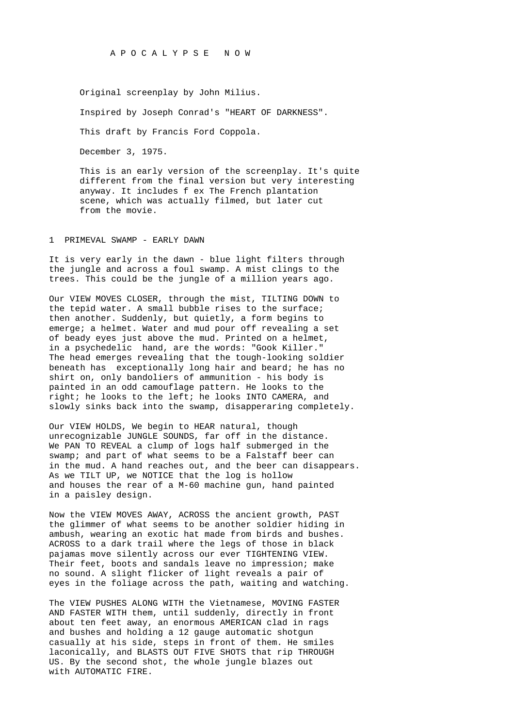A P O C A L Y P S E N O W

Original screenplay by John Milius.

Inspired by Joseph Conrad's "HEART OF DARKNESS".

This draft by Francis Ford Coppola.

December 3, 1975.

This is an early version of the screenplay. It's quite different from the final version but very interesting anyway. It includes f ex The French plantation scene, which was actually filmed, but later cut from the movie.

1 PRIMEVAL SWAMP - EARLY DAWN

It is very early in the dawn - blue light filters through the jungle and across a foul swamp. A mist clings to the trees. This could be the jungle of a million years ago.

Our VIEW MOVES CLOSER, through the mist, TILTING DOWN to the tepid water. A small bubble rises to the surface; then another. Suddenly, but quietly, a form begins to emerge; a helmet. Water and mud pour off revealing a set of beady eyes just above the mud. Printed on a helmet, in a psychedelic hand, are the words: "Gook Killer." The head emerges revealing that the tough-looking soldier beneath has exceptionally long hair and beard; he has no shirt on, only bandoliers of ammunition - his body is painted in an odd camouflage pattern. He looks to the right; he looks to the left; he looks INTO CAMERA, and slowly sinks back into the swamp, disapperaring completely.

Our VIEW HOLDS, We begin to HEAR natural, though unrecognizable JUNGLE SOUNDS, far off in the distance. We PAN TO REVEAL a clump of logs half submerged in the swamp; and part of what seems to be a Falstaff beer can in the mud. A hand reaches out, and the beer can disappears. As we TILT UP, we NOTICE that the log is hollow and houses the rear of a M-60 machine gun, hand painted in a paisley design.

Now the VIEW MOVES AWAY, ACROSS the ancient growth, PAST the glimmer of what seems to be another soldier hiding in ambush, wearing an exotic hat made from birds and bushes. ACROSS to a dark trail where the legs of those in black pajamas move silently across our ever TIGHTENING VIEW. Their feet, boots and sandals leave no impression; make no sound. A slight flicker of light reveals a pair of eyes in the foliage across the path, waiting and watching.

The VIEW PUSHES ALONG WITH the Vietnamese, MOVING FASTER AND FASTER WITH them, until suddenly, directly in front about ten feet away, an enormous AMERICAN clad in rags and bushes and holding a 12 gauge automatic shotgun casually at his side, steps in front of them. He smiles laconically, and BLASTS OUT FIVE SHOTS that rip THROUGH US. By the second shot, the whole jungle blazes out with AUTOMATIC FIRE.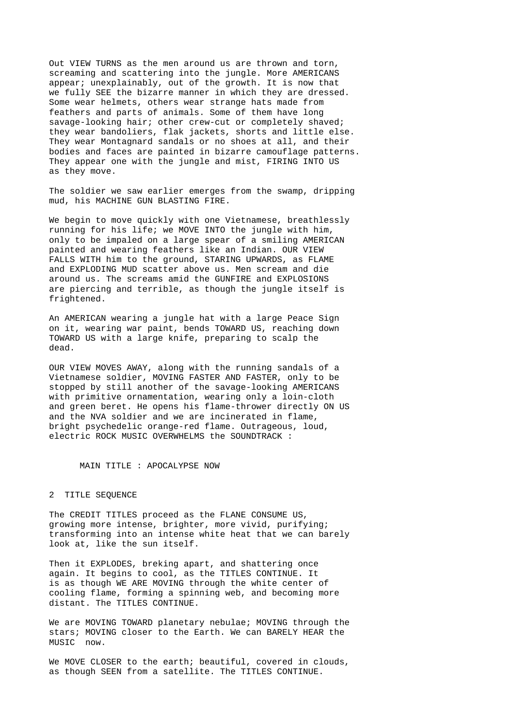Out VIEW TURNS as the men around us are thrown and torn, screaming and scattering into the jungle. More AMERICANS appear; unexplainably, out of the growth. It is now that we fully SEE the bizarre manner in which they are dressed. Some wear helmets, others wear strange hats made from feathers and parts of animals. Some of them have long savage-looking hair; other crew-cut or completely shaved; they wear bandoliers, flak jackets, shorts and little else. They wear Montagnard sandals or no shoes at all, and their bodies and faces are painted in bizarre camouflage patterns. They appear one with the jungle and mist, FIRING INTO US as they move.

The soldier we saw earlier emerges from the swamp, dripping mud, his MACHINE GUN BLASTING FIRE.

We begin to move quickly with one Vietnamese, breathlessly running for his life; we MOVE INTO the jungle with him, only to be impaled on a large spear of a smiling AMERICAN painted and wearing feathers like an Indian. OUR VIEW FALLS WITH him to the ground, STARING UPWARDS, as FLAME and EXPLODING MUD scatter above us. Men scream and die around us. The screams amid the GUNFIRE and EXPLOSIONS are piercing and terrible, as though the jungle itself is frightened.

An AMERICAN wearing a jungle hat with a large Peace Sign on it, wearing war paint, bends TOWARD US, reaching down TOWARD US with a large knife, preparing to scalp the dead.

OUR VIEW MOVES AWAY, along with the running sandals of a Vietnamese soldier, MOVING FASTER AND FASTER, only to be stopped by still another of the savage-looking AMERICANS with primitive ornamentation, wearing only a loin-cloth and green beret. He opens his flame-thrower directly ON US and the NVA soldier and we are incinerated in flame, bright psychedelic orange-red flame. Outrageous, loud, electric ROCK MUSIC OVERWHELMS the SOUNDTRACK :

### MAIN TITLE : APOCALYPSE NOW

#### 2 TITLE SEQUENCE

The CREDIT TITLES proceed as the FLANE CONSUME US, growing more intense, brighter, more vivid, purifying; transforming into an intense white heat that we can barely look at, like the sun itself.

Then it EXPLODES, breking apart, and shattering once again. It begins to cool, as the TITLES CONTINUE. It is as though WE ARE MOVING through the white center of cooling flame, forming a spinning web, and becoming more distant. The TITLES CONTINUE.

We are MOVING TOWARD planetary nebulae; MOVING through the stars; MOVING closer to the Earth. We can BARELY HEAR the MUSIC now.

We MOVE CLOSER to the earth; beautiful, covered in clouds, as though SEEN from a satellite. The TITLES CONTINUE.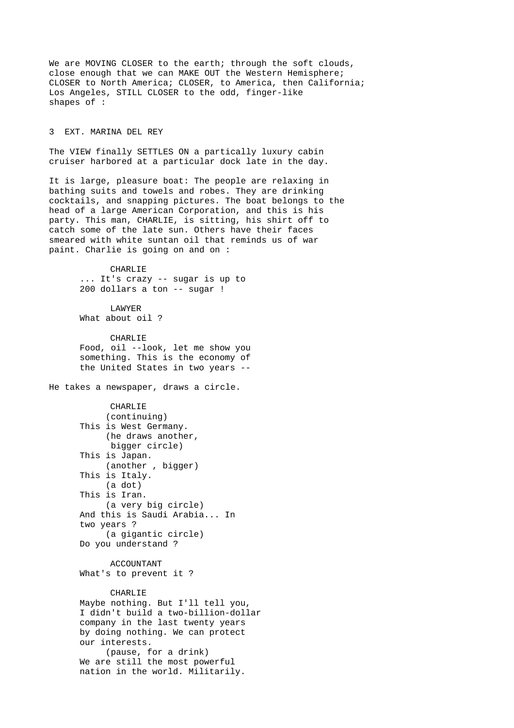We are MOVING CLOSER to the earth; through the soft clouds, close enough that we can MAKE OUT the Western Hemisphere; CLOSER to North America; CLOSER, to America, then California; Los Angeles, STILL CLOSER to the odd, finger-like shapes of :

## 3 EXT. MARINA DEL REY

The VIEW finally SETTLES ON a partically luxury cabin cruiser harbored at a particular dock late in the day.

It is large, pleasure boat: The people are relaxing in bathing suits and towels and robes. They are drinking cocktails, and snapping pictures. The boat belongs to the head of a large American Corporation, and this is his party. This man, CHARLIE, is sitting, his shirt off to catch some of the late sun. Others have their faces smeared with white suntan oil that reminds us of war paint. Charlie is going on and on :

CHARLIE ... It's crazy -- sugar is up to 200 dollars a ton -- sugar ! LAWYER What about oil ? CHARL TF Food, oil --look, let me show you something. This is the economy of the United States in two years -- He takes a newspaper, draws a circle. CHARLIE (continuing) This is West Germany. (he draws another, bigger circle) This is Japan. (another , bigger) This is Italy. (a dot) This is Iran. (a very big circle) And this is Saudi Arabia... In two years ? (a gigantic circle) Do you understand ? ACCOUNTANT What's to prevent it ? CHARL TE Maybe nothing. But I'll tell you, I didn't build a two-billion-dollar company in the last twenty years by doing nothing. We can protect our interests. (pause, for a drink) We are still the most powerful nation in the world. Militarily.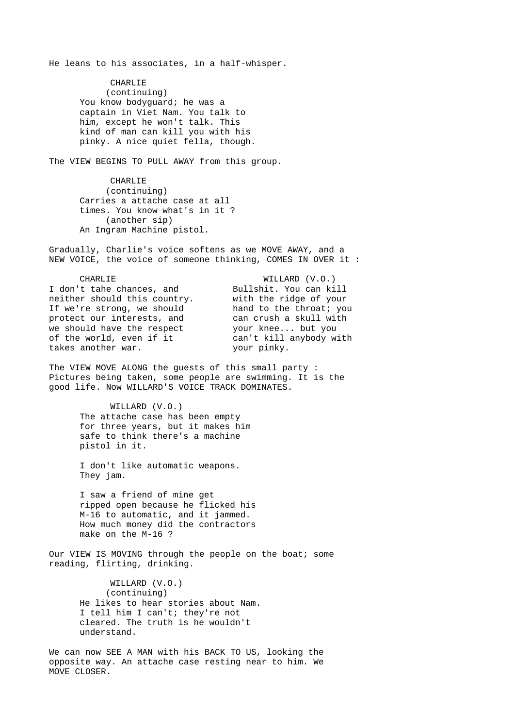He leans to his associates, in a half-whisper.

CHARLIE (continuing) You know bodyguard; he was a captain in Viet Nam. You talk to him, except he won't talk. This kind of man can kill you with his pinky. A nice quiet fella, though.

The VIEW BEGINS TO PULL AWAY from this group.

CHARLIE (continuing) Carries a attache case at all times. You know what's in it ? (another sip) An Ingram Machine pistol.

Gradually, Charlie's voice softens as we MOVE AWAY, and a NEW VOICE, the voice of someone thinking, COMES IN OVER it :

I don't tahe chances, and Bullshit. You can kill<br>neither should this country. With the ridge of your neither should this country. with the ridge of your<br>If we're strong, we should hand to the throat; you If we're strong, we should<br>
protect our interests, and a can crush a skull with protect our interests, and a can crush a skull with<br>we should have the respect your knee... but you we should have the respect your knee... but you<br>of the world, even if it an't kill anybody with of the world, even if it can't kill anybody with takes another war.

CHARLIE WILLARD (V.O.)

The VIEW MOVE ALONG the guests of this small party : Pictures being taken, some people are swimming. It is the good life. Now WILLARD'S VOICE TRACK DOMINATES.

> WILLARD (V.O.) The attache case has been empty for three years, but it makes him safe to think there's a machine pistol in it.

I don't like automatic weapons. They jam.

I saw a friend of mine get ripped open because he flicked his M-16 to automatic, and it jammed. How much money did the contractors make on the M-16 ?

Our VIEW IS MOVING through the people on the boat; some reading, flirting, drinking.

> WILLARD (V.O.) (continuing) He likes to hear stories about Nam. I tell him I can't; they're not cleared. The truth is he wouldn't understand.

We can now SEE A MAN with his BACK TO US, looking the opposite way. An attache case resting near to him. We MOVE CLOSER.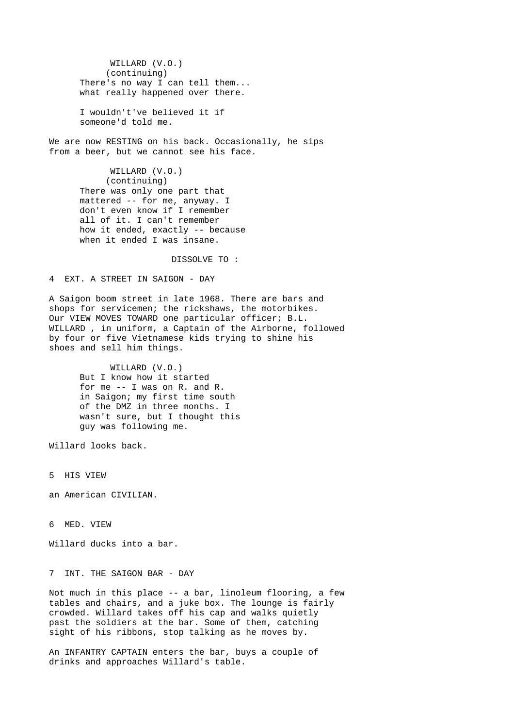WILLARD (V.O.) (continuing) There's no way I can tell them... what really happened over there.

I wouldn't've believed it if someone'd told me.

We are now RESTING on his back. Occasionally, he sips from a beer, but we cannot see his face.

> WILLARD (V.O.) (continuing) There was only one part that mattered -- for me, anyway. I don't even know if I remember all of it. I can't remember how it ended, exactly -- because when it ended I was insane.

> > DISSOLVE TO :

4 EXT. A STREET IN SAIGON - DAY

A Saigon boom street in late 1968. There are bars and shops for servicemen; the rickshaws, the motorbikes. Our VIEW MOVES TOWARD one particular officer; B.L. WILLARD , in uniform, a Captain of the Airborne, followed by four or five Vietnamese kids trying to shine his shoes and sell him things.

> WILLARD (V.O.) But I know how it started for me -- I was on R. and R. in Saigon; my first time south of the DMZ in three months. I wasn't sure, but I thought this guy was following me.

Willard looks back.

5 HIS VIEW

an American CIVILIAN.

6 MED. VIEW

Willard ducks into a bar.

7 INT. THE SAIGON BAR - DAY

Not much in this place -- a bar, linoleum flooring, a few tables and chairs, and a juke box. The lounge is fairly crowded. Willard takes off his cap and walks quietly past the soldiers at the bar. Some of them, catching sight of his ribbons, stop talking as he moves by.

An INFANTRY CAPTAIN enters the bar, buys a couple of drinks and approaches Willard's table.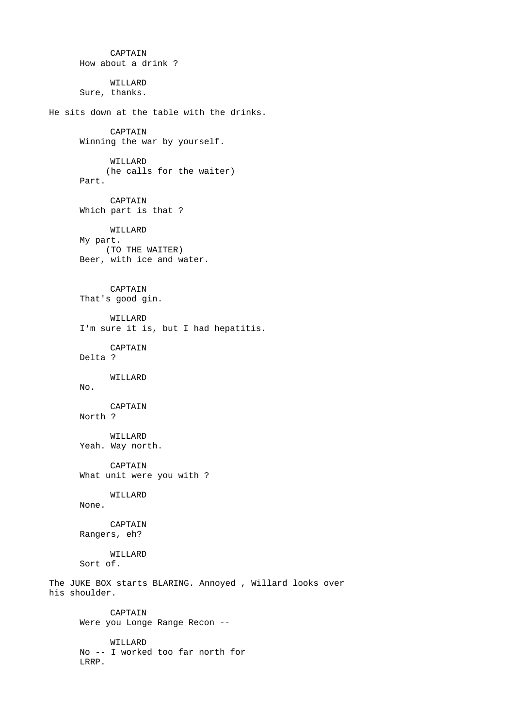CAPTAIN How about a drink ? WILLARD Sure, thanks. He sits down at the table with the drinks. CAPTAIN Winning the war by yourself. WILLARD (he calls for the waiter) Part. CAPTAIN Which part is that ? WILLARD My part. (TO THE WAITER) Beer, with ice and water. CAPTAIN That's good gin. WILLARD I'm sure it is, but I had hepatitis. CAPTAIN Delta ? WILLARD No. CAPTAIN North ? WILLARD Yeah. Way north. CAPTAIN What unit were you with ? WILLARD None. CAPTAIN Rangers, eh? WILLARD Sort of. The JUKE BOX starts BLARING. Annoyed , Willard looks over his shoulder. CAPTAIN Were you Longe Range Recon -- WILLARD No -- I worked too far north for LRRP.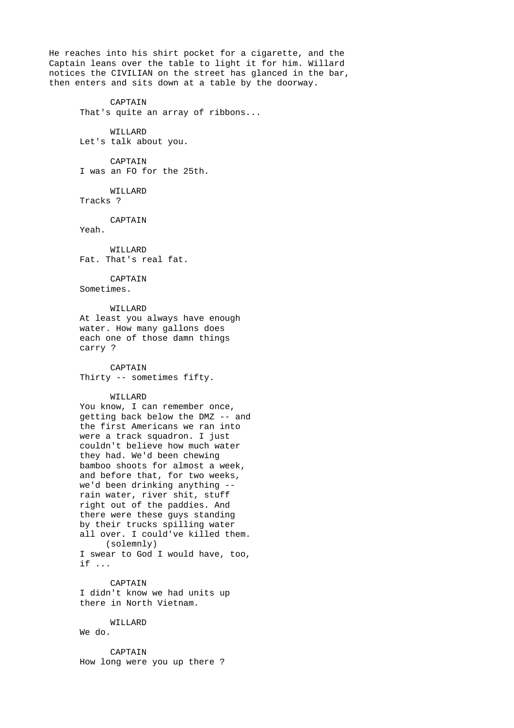He reaches into his shirt pocket for a cigarette, and the Captain leans over the table to light it for him. Willard notices the CIVILIAN on the street has glanced in the bar, then enters and sits down at a table by the doorway. **CAPTAIN** That's quite an array of ribbons... WILLARD Let's talk about you. **CAPTAIN** I was an FO for the 25th. WILLARD Tracks ? CAPTAIN Yeah. WILLARD Fat. That's real fat. CAPTAIN Sometimes. WILLARD At least you always have enough water. How many gallons does each one of those damn things carry ? CAPTAIN Thirty -- sometimes fifty. WILLARD You know, I can remember once, getting back below the DMZ -- and the first Americans we ran into were a track squadron. I just couldn't believe how much water they had. We'd been chewing bamboo shoots for almost a week, and before that, for two weeks, we'd been drinking anything - rain water, river shit, stuff right out of the paddies. And there were these guys standing by their trucks spilling water all over. I could've killed them. (solemnly) I swear to God I would have, too, if ... **CAPTAIN** I didn't know we had units up there in North Vietnam. WILLARD We do. CAPTAIN How long were you up there ?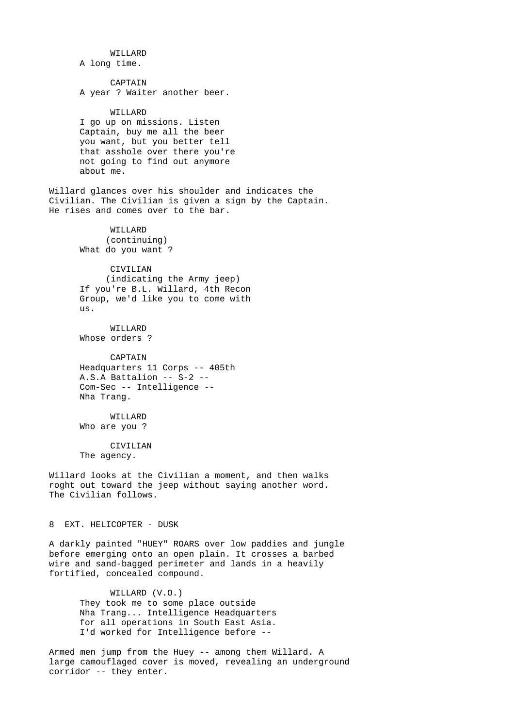WILLARD A long time. **CAPTAIN** A year ? Waiter another beer. WILLARD I go up on missions. Listen Captain, buy me all the beer you want, but you better tell that asshole over there you're not going to find out anymore about me. Willard glances over his shoulder and indicates the Civilian. The Civilian is given a sign by the Captain. He rises and comes over to the bar. WILLARD (continuing) What do you want ? CIVILIAN (indicating the Army jeep) If you're B.L. Willard, 4th Recon Group, we'd like you to come with  $\overline{u}$ WILLARD Whose orders ? **CAPTAIN** Headquarters 11 Corps -- 405th A.S.A Battalion -- S-2 -- Com-Sec -- Intelligence -- Nha Trang. WILLARD Who are you ? CIVILIAN The agency. Willard looks at the Civilian a moment, and then walks roght out toward the jeep without saying another word. The Civilian follows. 8 EXT. HELICOPTER - DUSK A darkly painted "HUEY" ROARS over low paddies and jungle before emerging onto an open plain. It crosses a barbed wire and sand-bagged perimeter and lands in a heavily fortified, concealed compound. WILLARD (V.O.) They took me to some place outside Nha Trang... Intelligence Headquarters for all operations in South East Asia. I'd worked for Intelligence before -- Armed men jump from the Huey -- among them Willard. A large camouflaged cover is moved, revealing an underground

corridor -- they enter.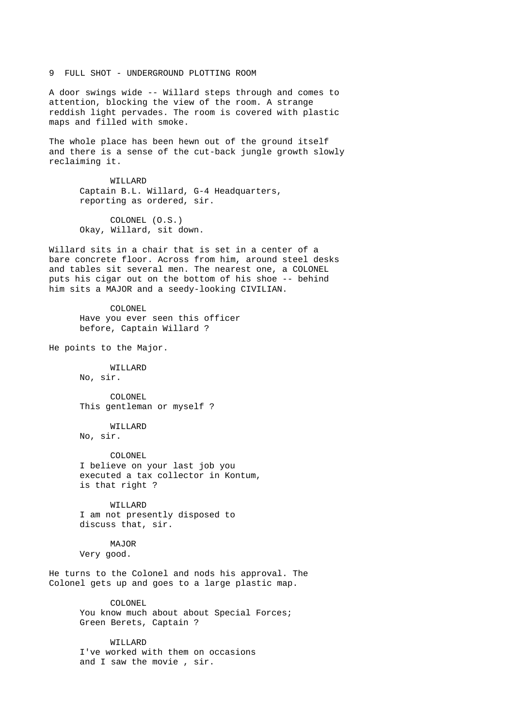9 FULL SHOT - UNDERGROUND PLOTTING ROOM

A door swings wide -- Willard steps through and comes to attention, blocking the view of the room. A strange reddish light pervades. The room is covered with plastic maps and filled with smoke.

The whole place has been hewn out of the ground itself and there is a sense of the cut-back jungle growth slowly reclaiming it.

> WILLARD Captain B.L. Willard, G-4 Headquarters, reporting as ordered, sir.

COLONEL (O.S.) Okay, Willard, sit down.

Willard sits in a chair that is set in a center of a bare concrete floor. Across from him, around steel desks and tables sit several men. The nearest one, a COLONEL puts his cigar out on the bottom of his shoe -- behind him sits a MAJOR and a seedy-looking CIVILIAN.

> COLONEL Have you ever seen this officer before, Captain Willard ?

He points to the Major.

WILLARD No, sir.

COLONEL This gentleman or myself ?

WILLARD No, sir.

COLONEL I believe on your last job you executed a tax collector in Kontum, is that right ?

WILLARD I am not presently disposed to discuss that, sir.

MAJOR Very good.

He turns to the Colonel and nods his approval. The Colonel gets up and goes to a large plastic map.

> COLONEL You know much about about Special Forces; Green Berets, Captain ?

WILLARD I've worked with them on occasions and I saw the movie , sir.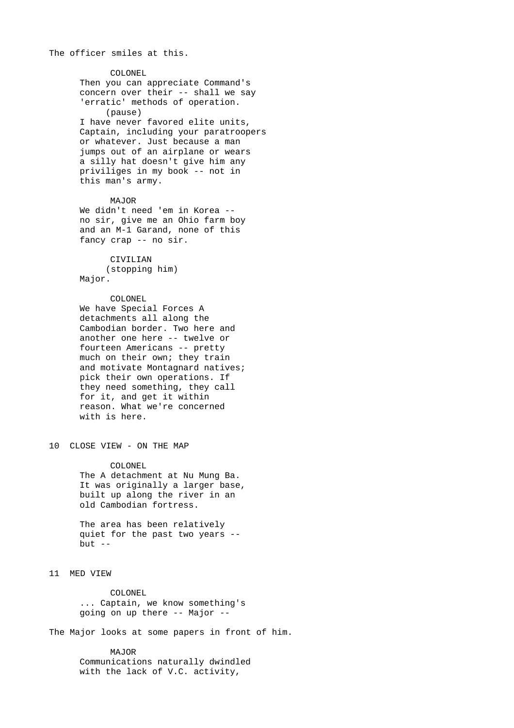The officer smiles at this.

COLONEL Then you can appreciate Command's concern over their -- shall we say 'erratic' methods of operation. (pause) I have never favored elite units, Captain, including your paratroopers or whatever. Just because a man jumps out of an airplane or wears a silly hat doesn't give him any priviliges in my book -- not in this man's army.

MAJOR We didn't need 'em in Korea - no sir, give me an Ohio farm boy and an M-1 Garand, none of this fancy crap -- no sir.

CIVILIAN (stopping him) Major.

COLONEL We have Special Forces A detachments all along the Cambodian border. Two here and another one here -- twelve or fourteen Americans -- pretty much on their own; they train and motivate Montagnard natives; pick their own operations. If they need something, they call for it, and get it within reason. What we're concerned with is here.

10 CLOSE VIEW - ON THE MAP

COLONEL

The A detachment at Nu Mung Ba. It was originally a larger base, built up along the river in an old Cambodian fortress.

The area has been relatively quiet for the past two years -  $but -$ 

11 MED VIEW

COLONEL ... Captain, we know something's going on up there -- Major --

The Major looks at some papers in front of him.

MAJOR Communications naturally dwindled with the lack of V.C. activity,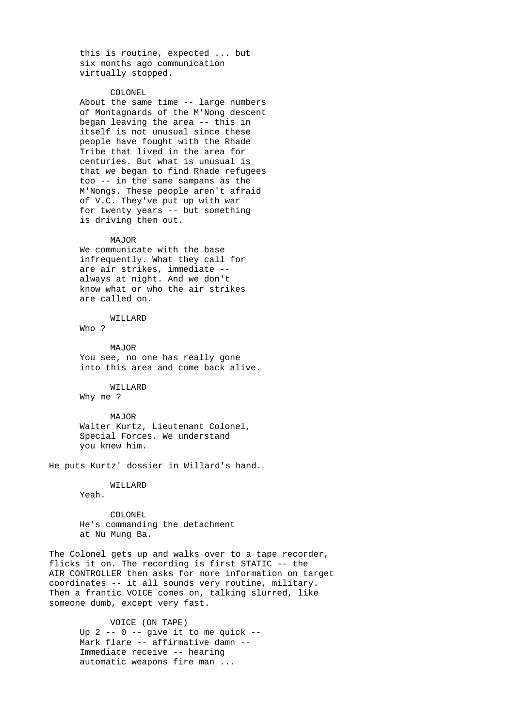this is routine, expected ... but six months ago communication virtually stopped.

### COLONEL

About the same time -- large numbers of Montagnards of the M'Nong descent began leaving the area -- this in itself is not unusual since these people have fought with the Rhade Tribe that lived in the area for centuries. But what is unusual is that we began to find Rhade refugees too -- in the same sampans as the M'Nongs. These people aren't afraid of V.C. They've put up with war for twenty years -- but something is driving them out.

#### MAJOR

We communicate with the base infrequently. What they call for are air strikes, immediate - always at night. And we don't know what or who the air strikes are called on.

# WILLARD

Who ?

MAJOR You see, no one has really gone into this area and come back alive.

WILLARD

Why me ?

MAJOR Walter Kurtz, Lieutenant Colonel, Special Forces. We understand you knew him.

He puts Kurtz' dossier in Willard's hand.

WILLARD

Yeah.

COLONEL He's commanding the detachment at Nu Mung Ba.

The Colonel gets up and walks over to a tape recorder, flicks it on. The recording is first STATIC -- the AIR CONTROLLER then asks for more information on target coordinates -- it all sounds very routine, military. Then a frantic VOICE comes on, talking slurred, like someone dumb, except very fast.

> VOICE (ON TAPE) Up 2 -- 0 -- give it to me quick -- Mark flare -- affirmative damn -- Immediate receive -- hearing automatic weapons fire man ...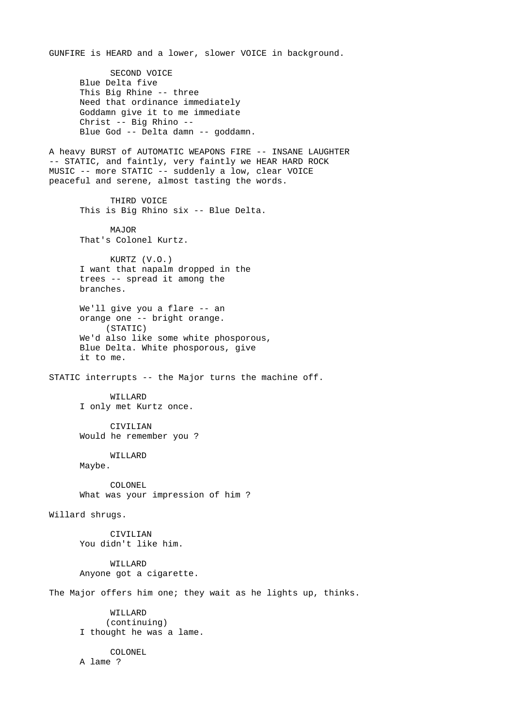GUNFIRE is HEARD and a lower, slower VOICE in background. SECOND VOICE Blue Delta five This Big Rhine -- three Need that ordinance immediately Goddamn give it to me immediate Christ -- Big Rhino -- Blue God -- Delta damn -- goddamn. A heavy BURST of AUTOMATIC WEAPONS FIRE -- INSANE LAUGHTER -- STATIC, and faintly, very faintly we HEAR HARD ROCK MUSIC -- more STATIC -- suddenly a low, clear VOICE peaceful and serene, almost tasting the words. THIRD VOICE This is Big Rhino six -- Blue Delta. MAJOR That's Colonel Kurtz. KURTZ (V.O.) I want that napalm dropped in the trees -- spread it among the branches. We'll give you a flare -- an orange one -- bright orange. (STATIC) We'd also like some white phosporous, Blue Delta. White phosporous, give it to me. STATIC interrupts -- the Major turns the machine off. WILLARD I only met Kurtz once. CIVILIAN Would he remember you ? WILLARD Maybe. COLONEL What was your impression of him ? Willard shrugs. CIVILIAN You didn't like him. WILLARD Anyone got a cigarette. The Major offers him one; they wait as he lights up, thinks. WILLARD (continuing) I thought he was a lame. COLONEL A lame ?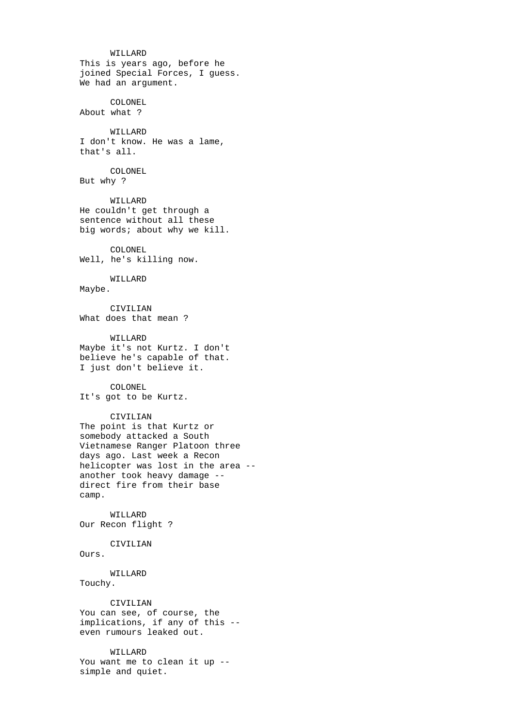WILLARD This is years ago, before he joined Special Forces, I guess. We had an argument. COLONEL About what ? WILLARD I don't know. He was a lame, that's all. COLONEL But why ? WILLARD He couldn't get through a sentence without all these big words; about why we kill. COLONEL Well, he's killing now. WILLARD Maybe. CIVILIAN What does that mean ? WILLARD Maybe it's not Kurtz. I don't believe he's capable of that. I just don't believe it. COLONEL It's got to be Kurtz. CIVILIAN The point is that Kurtz or somebody attacked a South Vietnamese Ranger Platoon three days ago. Last week a Recon helicopter was lost in the area - another took heavy damage - direct fire from their base camp. WILLARD Our Recon flight ? CIVILIAN Ours. WILLARD Touchy. CIVILIAN You can see, of course, the implications, if any of this - even rumours leaked out. WILLARD You want me to clean it up - simple and quiet.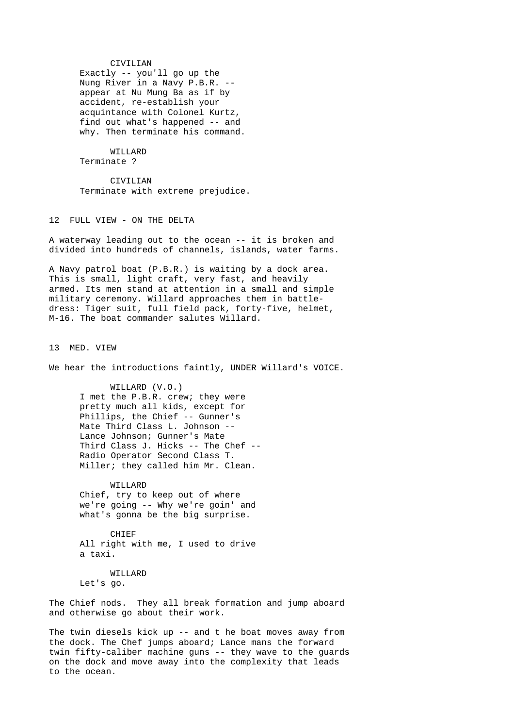CIVILIAN Exactly -- you'll go up the Nung River in a Navy P.B.R. - appear at Nu Mung Ba as if by accident, re-establish your acquintance with Colonel Kurtz, find out what's happened -- and why. Then terminate his command. WILLARD Terminate ? CIVILIAN Terminate with extreme prejudice. 12 FULL VIEW - ON THE DELTA A waterway leading out to the ocean -- it is broken and divided into hundreds of channels, islands, water farms. A Navy patrol boat (P.B.R.) is waiting by a dock area. This is small, light craft, very fast, and heavily armed. Its men stand at attention in a small and simple military ceremony. Willard approaches them in battledress: Tiger suit, full field pack, forty-five, helmet, M-16. The boat commander salutes Willard. 13 MED. VIEW We hear the introductions faintly, UNDER Willard's VOICE. WILLARD (V.O.) I met the P.B.R. crew; they were pretty much all kids, except for Phillips, the Chief -- Gunner's Mate Third Class L. Johnson -- Lance Johnson; Gunner's Mate Third Class J. Hicks -- The Chef -- Radio Operator Second Class T. Miller; they called him Mr. Clean. WILLARD Chief, try to keep out of where we're going -- Why we're goin' and what's gonna be the big surprise. **CHTEF** All right with me, I used to drive a taxi. WILLARD Let's go.

The Chief nods. They all break formation and jump aboard and otherwise go about their work.

The twin diesels kick up -- and t he boat moves away from the dock. The Chef jumps aboard; Lance mans the forward twin fifty-caliber machine guns -- they wave to the guards on the dock and move away into the complexity that leads to the ocean.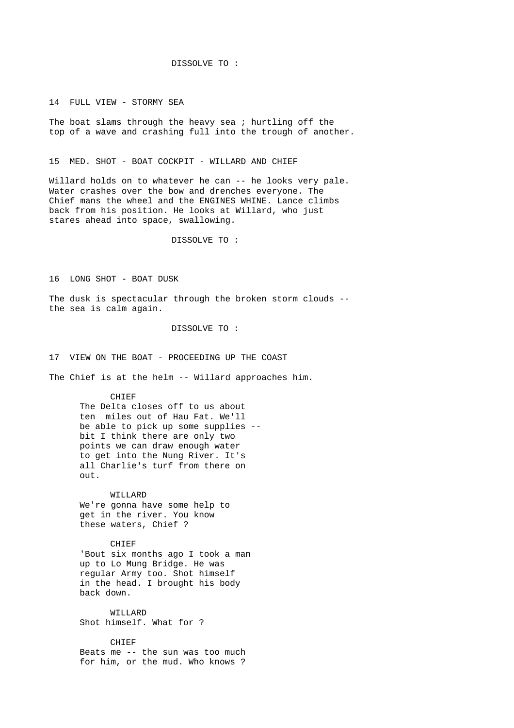## DISSOLVE TO :

14 FULL VIEW - STORMY SEA

The boat slams through the heavy sea ; hurtling off the top of a wave and crashing full into the trough of another.

## 15 MED. SHOT - BOAT COCKPIT - WILLARD AND CHIEF

Willard holds on to whatever he can -- he looks very pale. Water crashes over the bow and drenches everyone. The Chief mans the wheel and the ENGINES WHINE. Lance climbs back from his position. He looks at Willard, who just stares ahead into space, swallowing.

#### DISSOLVE TO :

16 LONG SHOT - BOAT DUSK

The dusk is spectacular through the broken storm clouds - the sea is calm again.

# DISSOLVE TO :

17 VIEW ON THE BOAT - PROCEEDING UP THE COAST

The Chief is at the helm -- Willard approaches him.

## CHIEF

The Delta closes off to us about ten miles out of Hau Fat. We'll be able to pick up some supplies - bit I think there are only two points we can draw enough water to get into the Nung River. It's all Charlie's turf from there on out.

WILLARD We're gonna have some help to get in the river. You know these waters, Chief ?

CHIEF 'Bout six months ago I took a man up to Lo Mung Bridge. He was regular Army too. Shot himself in the head. I brought his body back down.

WILLARD Shot himself. What for ?

CHIEF Beats me -- the sun was too much for him, or the mud. Who knows ?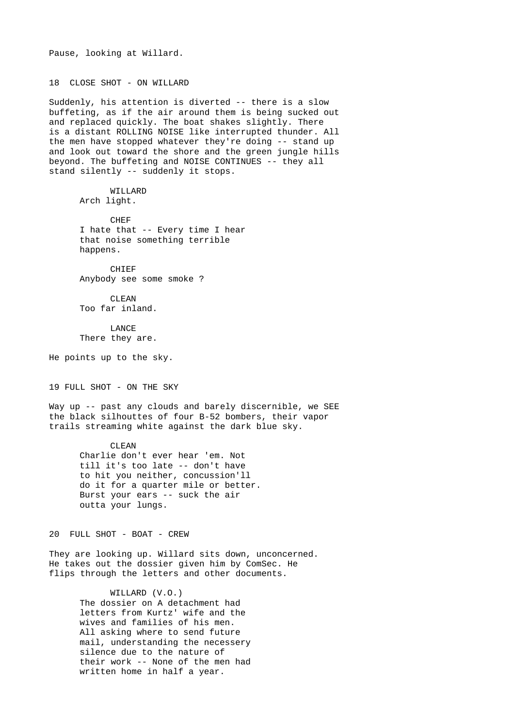Pause, looking at Willard.

18 CLOSE SHOT - ON WILLARD

Suddenly, his attention is diverted -- there is a slow buffeting, as if the air around them is being sucked out and replaced quickly. The boat shakes slightly. There is a distant ROLLING NOISE like interrupted thunder. All the men have stopped whatever they're doing -- stand up and look out toward the shore and the green jungle hills beyond. The buffeting and NOISE CONTINUES -- they all stand silently -- suddenly it stops.

> WILLARD Arch light.

CHEF I hate that -- Every time I hear that noise something terrible happens.

CHIEF Anybody see some smoke ?

CLEAN Too far inland.

LANCE There they are.

He points up to the sky.

19 FULL SHOT - ON THE SKY

Way up -- past any clouds and barely discernible, we SEE the black silhouttes of four B-52 bombers, their vapor trails streaming white against the dark blue sky.

> CLEAN Charlie don't ever hear 'em. Not till it's too late -- don't have to hit you neither, concussion'll do it for a quarter mile or better. Burst your ears -- suck the air outta your lungs.

20 FULL SHOT - BOAT - CREW

They are looking up. Willard sits down, unconcerned. He takes out the dossier given him by ComSec. He flips through the letters and other documents.

> WILLARD (V.O.) The dossier on A detachment had letters from Kurtz' wife and the wives and families of his men. All asking where to send future mail, understanding the necessery silence due to the nature of their work -- None of the men had written home in half a year.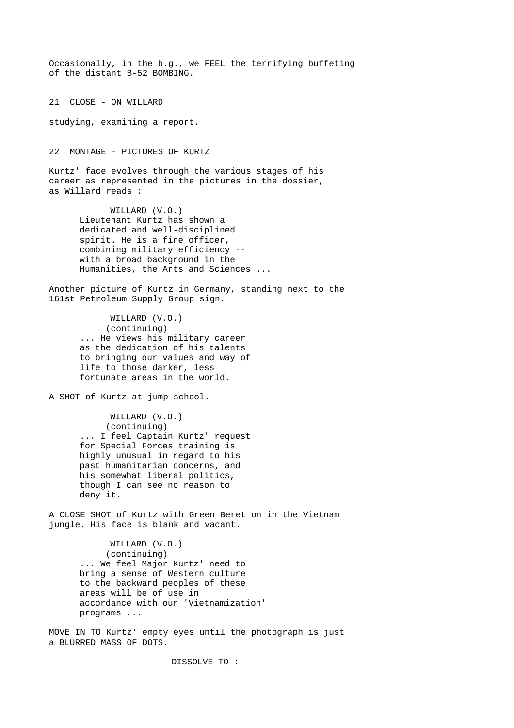Occasionally, in the b.g., we FEEL the terrifying buffeting of the distant B-52 BOMBING.

21 CLOSE - ON WILLARD

studying, examining a report.

22 MONTAGE - PICTURES OF KURTZ

Kurtz' face evolves through the various stages of his career as represented in the pictures in the dossier, as Willard reads :

> WILLARD (V.O.) Lieutenant Kurtz has shown a dedicated and well-disciplined spirit. He is a fine officer, combining military efficiency - with a broad background in the Humanities, the Arts and Sciences ...

Another picture of Kurtz in Germany, standing next to the 161st Petroleum Supply Group sign.

> WILLARD (V.O.) (continuing) ... He views his military career as the dedication of his talents to bringing our values and way of life to those darker, less fortunate areas in the world.

A SHOT of Kurtz at jump school.

WILLARD (V.O.) (continuing) ... I feel Captain Kurtz' request for Special Forces training is highly unusual in regard to his past humanitarian concerns, and his somewhat liberal politics, though I can see no reason to deny it.

A CLOSE SHOT of Kurtz with Green Beret on in the Vietnam jungle. His face is blank and vacant.

> WILLARD (V.O.) (continuing) ... We feel Major Kurtz' need to bring a sense of Western culture to the backward peoples of these areas will be of use in accordance with our 'Vietnamization' programs ...

MOVE IN TO Kurtz' empty eyes until the photograph is just a BLURRED MASS OF DOTS.

DISSOLVE TO :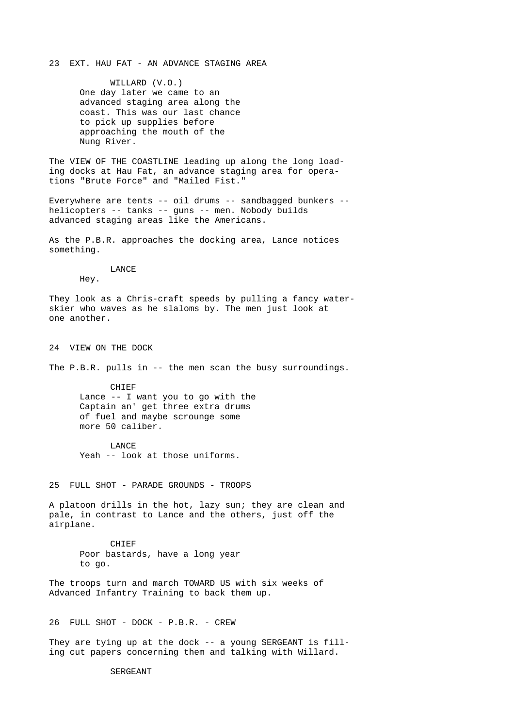## 23 EXT. HAU FAT - AN ADVANCE STAGING AREA

WILLARD (V.O.) One day later we came to an advanced staging area along the coast. This was our last chance to pick up supplies before approaching the mouth of the Nung River.

The VIEW OF THE COASTLINE leading up along the long loading docks at Hau Fat, an advance staging area for operations "Brute Force" and "Mailed Fist."

Everywhere are tents -- oil drums -- sandbagged bunkers - helicopters -- tanks -- guns -- men. Nobody builds advanced staging areas like the Americans.

As the P.B.R. approaches the docking area, Lance notices something.

LANCE

Hey.

They look as a Chris-craft speeds by pulling a fancy waterskier who waves as he slaloms by. The men just look at one another.

24 VIEW ON THE DOCK

The P.B.R. pulls in -- the men scan the busy surroundings.

CHIEF Lance -- I want you to go with the Captain an' get three extra drums of fuel and maybe scrounge some more 50 caliber.

LANCE Yeah -- look at those uniforms.

25 FULL SHOT - PARADE GROUNDS - TROOPS

A platoon drills in the hot, lazy sun; they are clean and pale, in contrast to Lance and the others, just off the airplane.

> CHIEF Poor bastards, have a long year to go.

The troops turn and march TOWARD US with six weeks of Advanced Infantry Training to back them up.

26 FULL SHOT - DOCK - P.B.R. - CREW

They are tying up at the dock -- a young SERGEANT is filling cut papers concerning them and talking with Willard.

SERGEANT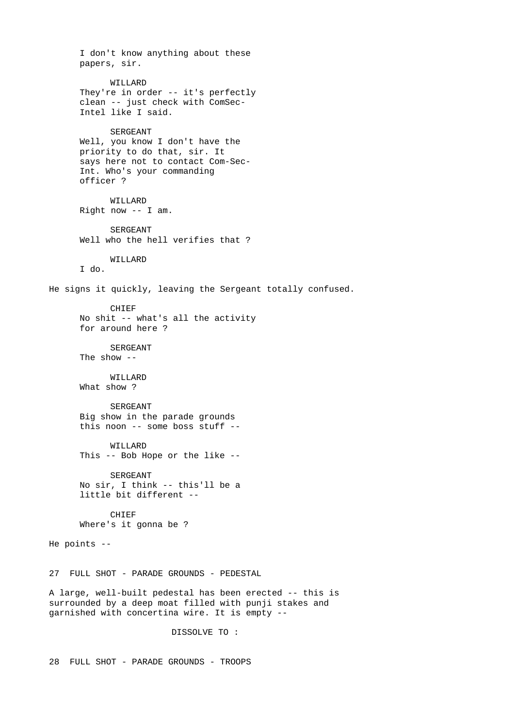I don't know anything about these papers, sir. WILLARD They're in order -- it's perfectly clean -- just check with ComSec-Intel like I said. SERGEANT Well, you know I don't have the priority to do that, sir. It says here not to contact Com-Sec-Int. Who's your commanding officer ? WILLARD Right now -- I am. SERGEANT Well who the hell verifies that ? WILLARD I do. He signs it quickly, leaving the Sergeant totally confused. CHIEF No shit -- what's all the activity for around here ? SERGEANT The show -- WILLARD What show ? SERGEANT Big show in the parade grounds this noon -- some boss stuff -- WILLARD This -- Bob Hope or the like -- SERGEANT No sir, I think -- this'll be a little bit different -- CHIEF Where's it gonna be ? He points -- 27 FULL SHOT - PARADE GROUNDS - PEDESTAL A large, well-built pedestal has been erected -- this is surrounded by a deep moat filled with punji stakes and garnished with concertina wire. It is empty -- DISSOLVE TO : 28 FULL SHOT - PARADE GROUNDS - TROOPS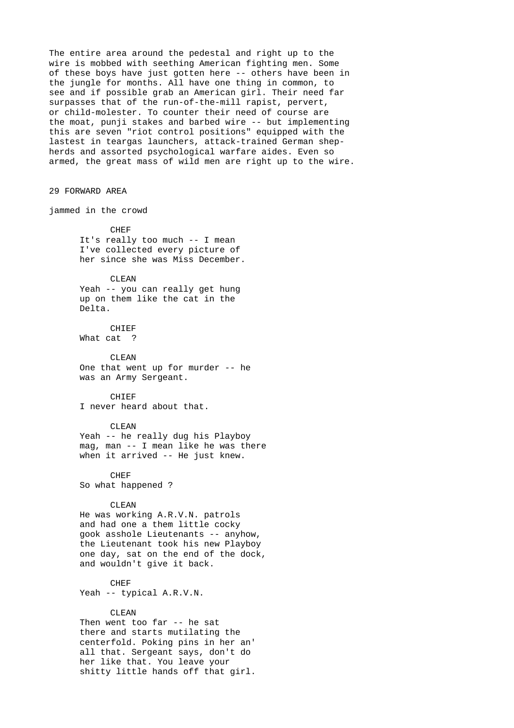The entire area around the pedestal and right up to the wire is mobbed with seething American fighting men. Some of these boys have just gotten here -- others have been in the jungle for months. All have one thing in common, to see and if possible grab an American girl. Their need far surpasses that of the run-of-the-mill rapist, pervert, or child-molester. To counter their need of course are the moat, punji stakes and barbed wire -- but implementing this are seven "riot control positions" equipped with the lastest in teargas launchers, attack-trained German shepherds and assorted psychological warfare aides. Even so armed, the great mass of wild men are right up to the wire.

```
29 FORWARD AREA
```
jammed in the crowd

CHEF It's really too much -- I mean I've collected every picture of her since she was Miss December. CLEAN Yeah -- you can really get hung up on them like the cat in the Delta. **CHTEF** What cat ? CLEAN One that went up for murder -- he was an Army Sergeant. CHIEF I never heard about that. CLEAN Yeah -- he really dug his Playboy mag, man -- I mean like he was there when it arrived -- He just knew. CHEF So what happened ? CLEAN He was working A.R.V.N. patrols and had one a them little cocky gook asshole Lieutenants -- anyhow, the Lieutenant took his new Playboy one day, sat on the end of the dock, and wouldn't give it back. CHEF Yeah -- typical A.R.V.N. CLEAN Then went too far -- he sat there and starts mutilating the centerfold. Poking pins in her an' all that. Sergeant says, don't do

her like that. You leave your shitty little hands off that girl.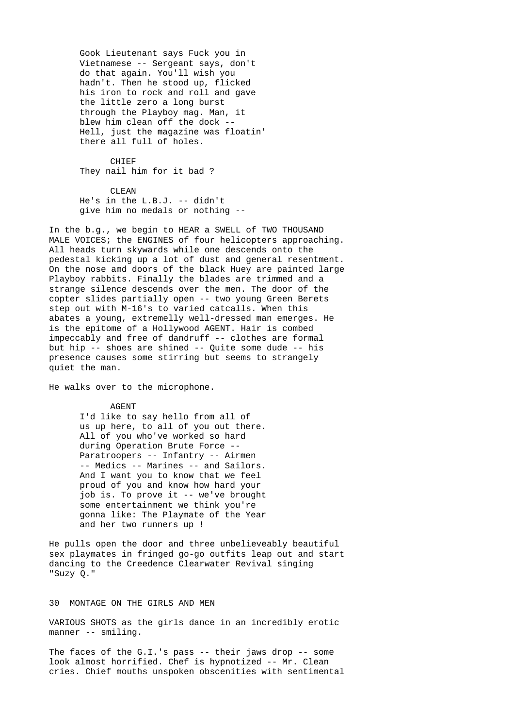Gook Lieutenant says Fuck you in Vietnamese -- Sergeant says, don't do that again. You'll wish you hadn't. Then he stood up, flicked his iron to rock and roll and gave the little zero a long burst through the Playboy mag. Man, it blew him clean off the dock -- Hell, just the magazine was floatin' there all full of holes.

CHTEE<sub></sub> They nail him for it bad ?

CLEAN He's in the L.B.J. -- didn't give him no medals or nothing --

In the b.g., we begin to HEAR a SWELL of TWO THOUSAND MALE VOICES; the ENGINES of four helicopters approaching. All heads turn skywards while one descends onto the pedestal kicking up a lot of dust and general resentment. On the nose amd doors of the black Huey are painted large Playboy rabbits. Finally the blades are trimmed and a strange silence descends over the men. The door of the copter slides partially open -- two young Green Berets step out with M-16's to varied catcalls. When this abates a young, extremelly well-dressed man emerges. He is the epitome of a Hollywood AGENT. Hair is combed impeccably and free of dandruff -- clothes are formal but hip -- shoes are shined -- Quite some dude -- his presence causes some stirring but seems to strangely quiet the man.

He walks over to the microphone.

AGENT I'd like to say hello from all of us up here, to all of you out there. All of you who've worked so hard during Operation Brute Force -- Paratroopers -- Infantry -- Airmen -- Medics -- Marines -- and Sailors. And I want you to know that we feel proud of you and know how hard your job is. To prove it -- we've brought some entertainment we think you're gonna like: The Playmate of the Year and her two runners up !

He pulls open the door and three unbelieveably beautiful sex playmates in fringed go-go outfits leap out and start dancing to the Creedence Clearwater Revival singing "Suzy Q."

# 30 MONTAGE ON THE GIRLS AND MEN

VARIOUS SHOTS as the girls dance in an incredibly erotic manner -- smiling.

The faces of the G.I.'s pass -- their jaws drop -- some look almost horrified. Chef is hypnotized -- Mr. Clean cries. Chief mouths unspoken obscenities with sentimental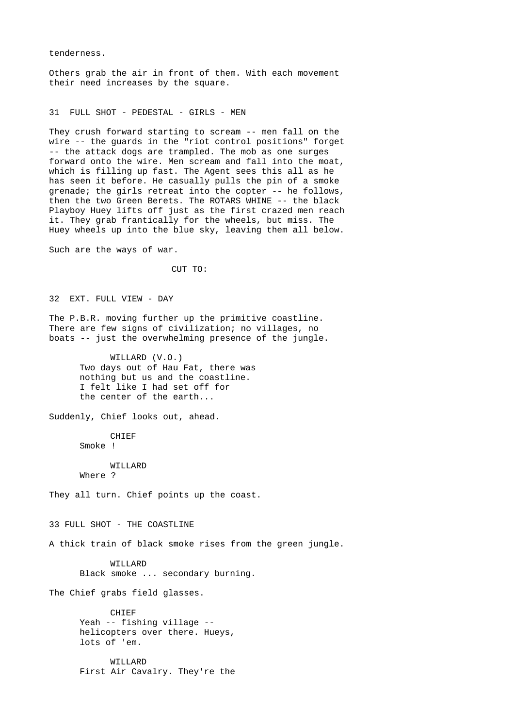tenderness.

Others grab the air in front of them. With each movement their need increases by the square.

# 31 FULL SHOT - PEDESTAL - GIRLS - MEN

They crush forward starting to scream -- men fall on the wire -- the guards in the "riot control positions" forget -- the attack dogs are trampled. The mob as one surges forward onto the wire. Men scream and fall into the moat, which is filling up fast. The Agent sees this all as he has seen it before. He casually pulls the pin of a smoke grenade; the girls retreat into the copter -- he follows, then the two Green Berets. The ROTARS WHINE -- the black Playboy Huey lifts off just as the first crazed men reach it. They grab frantically for the wheels, but miss. The Huey wheels up into the blue sky, leaving them all below.

Such are the ways of war.

CUT TO:

32 EXT. FULL VIEW - DAY

The P.B.R. moving further up the primitive coastline. There are few signs of civilization; no villages, no boats -- just the overwhelming presence of the jungle.

> WILLARD (V.O.) Two days out of Hau Fat, there was nothing but us and the coastline. I felt like I had set off for the center of the earth...

Suddenly, Chief looks out, ahead.

CHIEF Smoke !

WILLARD Where ?

They all turn. Chief points up the coast.

33 FULL SHOT - THE COASTLINE

A thick train of black smoke rises from the green jungle.

WILLARD Black smoke ... secondary burning.

The Chief grabs field glasses.

CHIEF Yeah -- fishing village - helicopters over there. Hueys, lots of 'em.

WILLARD First Air Cavalry. They're the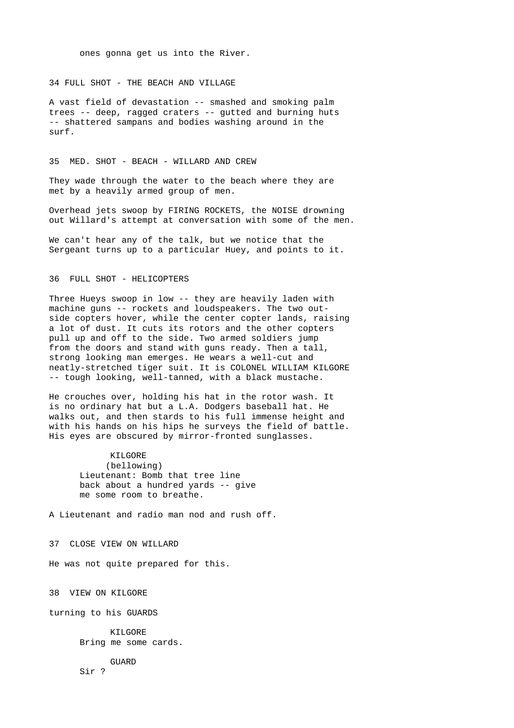ones gonna get us into the River.

34 FULL SHOT - THE BEACH AND VILLAGE

A vast field of devastation -- smashed and smoking palm trees -- deep, ragged craters -- gutted and burning huts -- shattered sampans and bodies washing around in the surf.

### 35 MED. SHOT - BEACH - WILLARD AND CREW

They wade through the water to the beach where they are met by a heavily armed group of men.

Overhead jets swoop by FIRING ROCKETS, the NOISE drowning out Willard's attempt at conversation with some of the men.

We can't hear any of the talk, but we notice that the Sergeant turns up to a particular Huey, and points to it.

# 36 FULL SHOT - HELICOPTERS

Three Hueys swoop in low -- they are heavily laden with machine guns -- rockets and loudspeakers. The two outside copters hover, while the center copter lands, raising a lot of dust. It cuts its rotors and the other copters pull up and off to the side. Two armed soldiers jump from the doors and stand with guns ready. Then a tall, strong looking man emerges. He wears a well-cut and neatly-stretched tiger suit. It is COLONEL WILLIAM KILGORE -- tough looking, well-tanned, with a black mustache.

He crouches over, holding his hat in the rotor wash. It is no ordinary hat but a L.A. Dodgers baseball hat. He walks out, and then stards to his full immense height and with his hands on his hips he surveys the field of battle. His eyes are obscured by mirror-fronted sunglasses.

> KILGORE (bellowing) Lieutenant: Bomb that tree line back about a hundred yards -- give me some room to breathe.

A Lieutenant and radio man nod and rush off.

37 CLOSE VIEW ON WILLARD

He was not quite prepared for this.

38 VIEW ON KILGORE

turning to his GUARDS

KILGORE Bring me some cards.

GUARD Sir ?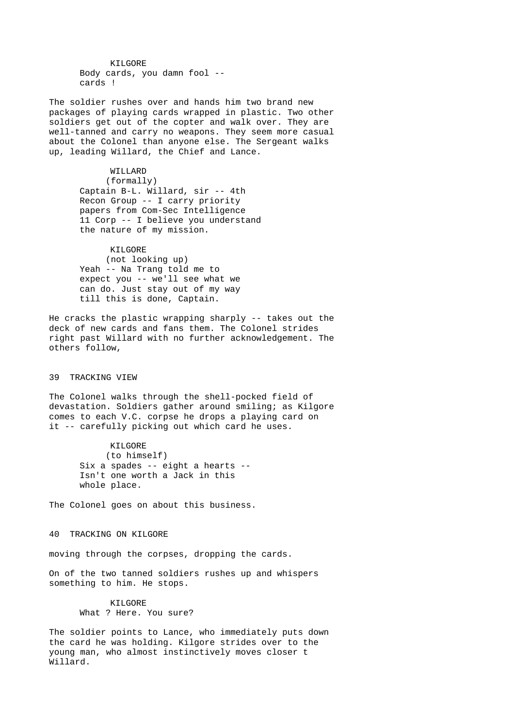KILGORE Body cards, you damn fool - cards !

The soldier rushes over and hands him two brand new packages of playing cards wrapped in plastic. Two other soldiers get out of the copter and walk over. They are well-tanned and carry no weapons. They seem more casual about the Colonel than anyone else. The Sergeant walks up, leading Willard, the Chief and Lance.

> WILLARD (formally) Captain B-L. Willard, sir -- 4th Recon Group -- I carry priority papers from Com-Sec Intelligence 11 Corp -- I believe you understand the nature of my mission.

KILGORE (not looking up) Yeah -- Na Trang told me to expect you -- we'll see what we can do. Just stay out of my way till this is done, Captain.

He cracks the plastic wrapping sharply -- takes out the deck of new cards and fans them. The Colonel strides right past Willard with no further acknowledgement. The others follow,

39 TRACKING VIEW

The Colonel walks through the shell-pocked field of devastation. Soldiers gather around smiling; as Kilgore comes to each V.C. corpse he drops a playing card on it -- carefully picking out which card he uses.

> KILGORE (to himself) Six a spades -- eight a hearts -- Isn't one worth a Jack in this whole place.

The Colonel goes on about this business.

40 TRACKING ON KILGORE

moving through the corpses, dropping the cards.

On of the two tanned soldiers rushes up and whispers something to him. He stops.

> KILGORE What ? Here. You sure?

The soldier points to Lance, who immediately puts down the card he was holding. Kilgore strides over to the young man, who almost instinctively moves closer t Willard.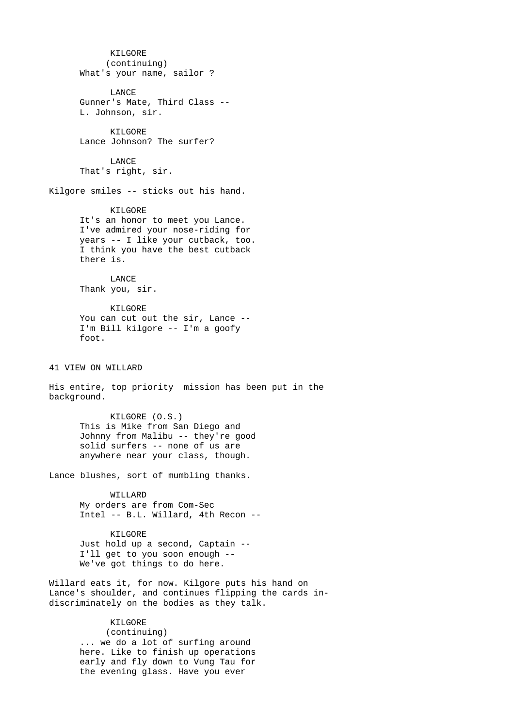KILGORE (continuing) What's your name, sailor ? LANCE Gunner's Mate, Third Class -- L. Johnson, sir. KILGORE Lance Johnson? The surfer? LANCE That's right, sir. Kilgore smiles -- sticks out his hand. KILGORE It's an honor to meet you Lance. I've admired your nose-riding for years -- I like your cutback, too. I think you have the best cutback there is. LANCE Thank you, sir. KILGORE You can cut out the sir, Lance -- I'm Bill kilgore -- I'm a goofy foot. 41 VIEW ON WILLARD His entire, top priority mission has been put in the background. KILGORE (O.S.) This is Mike from San Diego and Johnny from Malibu -- they're good solid surfers -- none of us are anywhere near your class, though. Lance blushes, sort of mumbling thanks. WILLARD My orders are from Com-Sec Intel -- B.L. Willard, 4th Recon -- KILGORE Just hold up a second, Captain -- I'll get to you soon enough -- We've got things to do here. Willard eats it, for now. Kilgore puts his hand on Lance's shoulder, and continues flipping the cards indiscriminately on the bodies as they talk. KILGORE (continuing) ... we do a lot of surfing around here. Like to finish up operations early and fly down to Vung Tau for the evening glass. Have you ever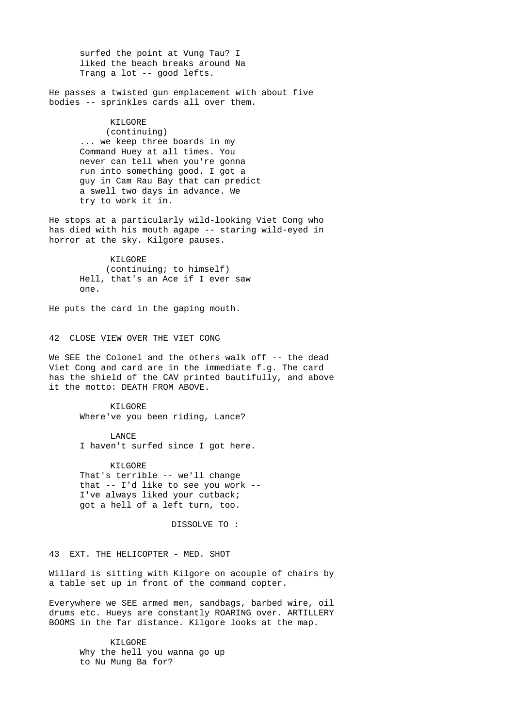surfed the point at Vung Tau? I liked the beach breaks around Na Trang a lot -- good lefts. He passes a twisted gun emplacement with about five bodies -- sprinkles cards all over them. KILGORE (continuing) ... we keep three boards in my Command Huey at all times. You never can tell when you're gonna run into something good. I got a guy in Cam Rau Bay that can predict a swell two days in advance. We try to work it in. He stops at a particularly wild-looking Viet Cong who has died with his mouth agape -- staring wild-eyed in horror at the sky. Kilgore pauses. KILGORE (continuing; to himself) Hell, that's an Ace if I ever saw one. He puts the card in the gaping mouth. 42 CLOSE VIEW OVER THE VIET CONG We SEE the Colonel and the others walk off -- the dead Viet Cong and card are in the immediate f.g. The card has the shield of the CAV printed bautifully, and above it the motto: DEATH FROM ABOVE. KILGORE Where've you been riding, Lance? LANCE I haven't surfed since I got here. KILGORE That's terrible -- we'll change that -- I'd like to see you work -- I've always liked your cutback; got a hell of a left turn, too.

DISSOLVE TO :

43 EXT. THE HELICOPTER - MED. SHOT

Willard is sitting with Kilgore on acouple of chairs by a table set up in front of the command copter.

Everywhere we SEE armed men, sandbags, barbed wire, oil drums etc. Hueys are constantly ROARING over. ARTILLERY BOOMS in the far distance. Kilgore looks at the map.

> KILGORE Why the hell you wanna go up to Nu Mung Ba for?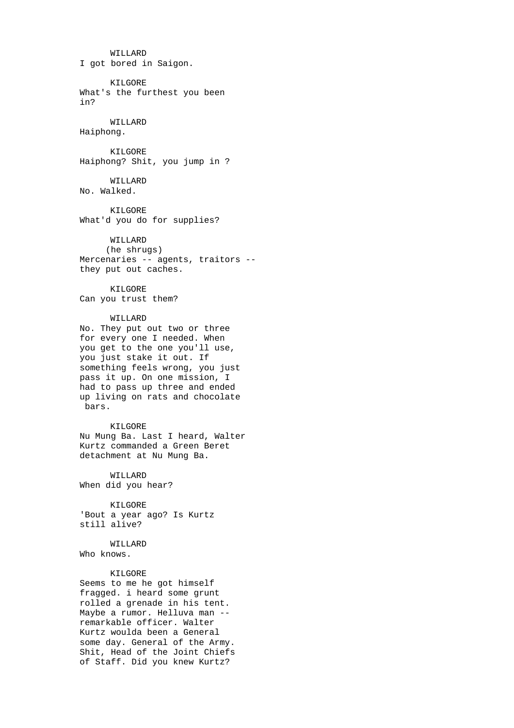```
WILLARD
I got bored in Saigon.
      KILGORE
What's the furthest you been
in?
      WILLARD
Haiphong.
      KILGORE
Haiphong? Shit, you jump in ?
      WILLARD
No. Walked.
      KILGORE
What'd you do for supplies?
      WILLARD
      (he shrugs)
Mercenaries -- agents, traitors --
they put out caches.
      KILGORE
Can you trust them?
      WILLARD
No. They put out two or three
for every one I needed. When
you get to the one you'll use,
you just stake it out. If
something feels wrong, you just
pass it up. On one mission, I
had to pass up three and ended
up living on rats and chocolate
  bars.
      KILGORE
Nu Mung Ba. Last I heard, Walter
Kurtz commanded a Green Beret
detachment at Nu Mung Ba.
      WILLARD
When did you hear?
      KILGORE
'Bout a year ago? Is Kurtz
still alive?
      WILLARD
Who knows.
      KILGORE
Seems to me he got himself
fragged. i heard some grunt
rolled a grenade in his tent.
Maybe a rumor. Helluva man --
remarkable officer. Walter
Kurtz woulda been a General
some day. General of the Army.
Shit, Head of the Joint Chiefs
```
of Staff. Did you knew Kurtz?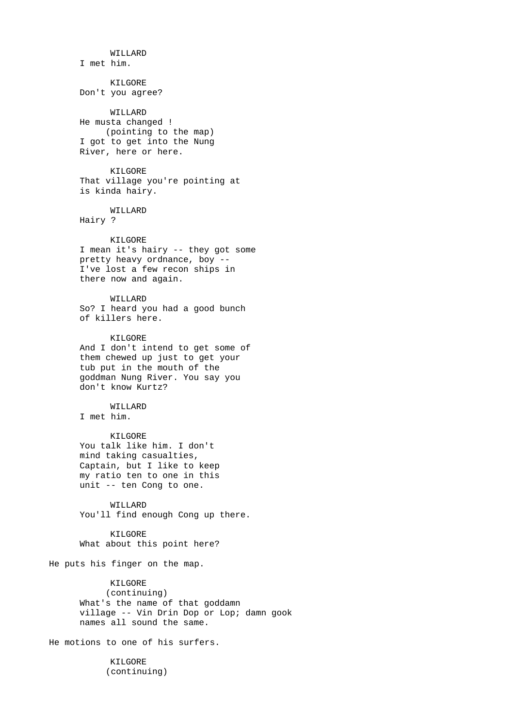WILLARD I met him. KILGORE Don't you agree? WILLARD He musta changed ! (pointing to the map) I got to get into the Nung River, here or here. KILGORE That village you're pointing at is kinda hairy. WILLARD Hairy ? KILGORE I mean it's hairy -- they got some pretty heavy ordnance, boy -- I've lost a few recon ships in there now and again. WILLARD So? I heard you had a good bunch of killers here. KTI GORE And I don't intend to get some of them chewed up just to get your tub put in the mouth of the goddman Nung River. You say you don't know Kurtz? WILLARD I met him. KILGORE You talk like him. I don't mind taking casualties, Captain, but I like to keep my ratio ten to one in this unit -- ten Cong to one. WILLARD You'll find enough Cong up there. KILGORE What about this point here? He puts his finger on the map. KILGORE (continuing) What's the name of that goddamn village -- Vin Drin Dop or Lop; damn gook names all sound the same. He motions to one of his surfers. KILGORE (continuing)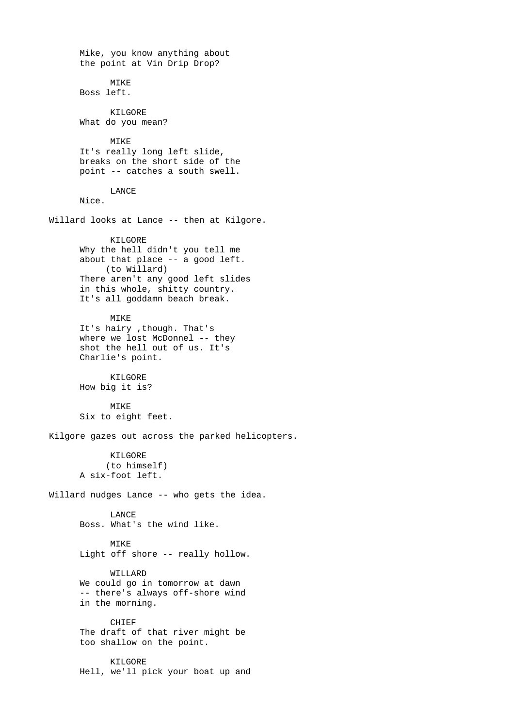Mike, you know anything about the point at Vin Drip Drop? **MTKF** Boss left. KILGORE What do you mean? **MTKF** It's really long left slide, breaks on the short side of the point -- catches a south swell. LANCE Nice. Willard looks at Lance -- then at Kilgore. KILGORE Why the hell didn't you tell me about that place -- a good left. (to Willard) There aren't any good left slides in this whole, shitty country. It's all goddamn beach break. MIKE It's hairy ,though. That's where we lost McDonnel -- they shot the hell out of us. It's Charlie's point. KILGORE How big it is? MIKE Six to eight feet. Kilgore gazes out across the parked helicopters. KILGORE (to himself) A six-foot left. Willard nudges Lance -- who gets the idea. LANCE Boss. What's the wind like. MIKE Light off shore -- really hollow. WILLARD We could go in tomorrow at dawn -- there's always off-shore wind in the morning. CHIEF The draft of that river might be too shallow on the point. KILGORE Hell, we'll pick your boat up and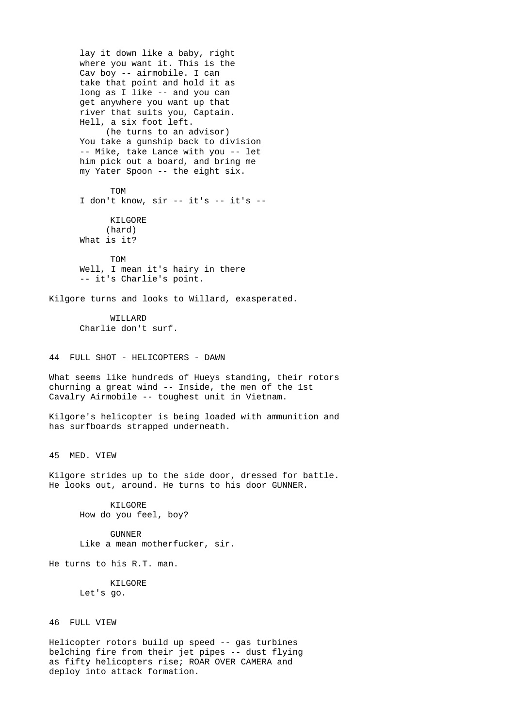lay it down like a baby, right where you want it. This is the Cav boy -- airmobile. I can take that point and hold it as long as I like -- and you can get anywhere you want up that river that suits you, Captain. Hell, a six foot left. (he turns to an advisor) You take a gunship back to division -- Mike, take Lance with you -- let him pick out a board, and bring me my Yater Spoon -- the eight six. TOM I don't know, sir -- it's -- it's -- KILGORE (hard) What is it? TOM Well, I mean it's hairy in there -- it's Charlie's point. Kilgore turns and looks to Willard, exasperated. **WILLARD** Charlie don't surf. 44 FULL SHOT - HELICOPTERS - DAWN What seems like hundreds of Hueys standing, their rotors churning a great wind -- Inside, the men of the 1st Cavalry Airmobile -- toughest unit in Vietnam. Kilgore's helicopter is being loaded with ammunition and has surfboards strapped underneath. 45 MED. VIEW Kilgore strides up to the side door, dressed for battle. He looks out, around. He turns to his door GUNNER. KILGORE How do you feel, boy? GUNNER Like a mean motherfucker, sir. He turns to his R.T. man. KILGORE Let's go. 46 FULL VIEW Helicopter rotors build up speed -- gas turbines

belching fire from their jet pipes -- dust flying as fifty helicopters rise; ROAR OVER CAMERA and deploy into attack formation.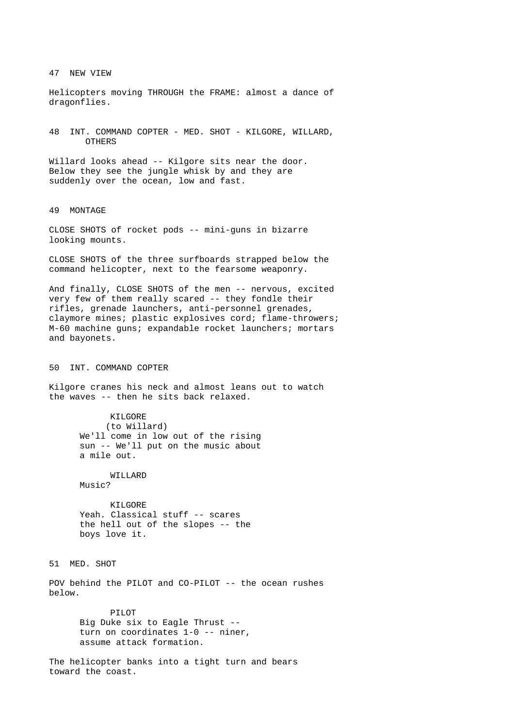47 NEW VIEW

Helicopters moving THROUGH the FRAME: almost a dance of dragonflies.

48 INT. COMMAND COPTER - MED. SHOT - KILGORE, WILLARD, **OTHERS** 

Willard looks ahead -- Kilgore sits near the door. Below they see the jungle whisk by and they are suddenly over the ocean, low and fast.

49 MONTAGE

CLOSE SHOTS of rocket pods -- mini-guns in bizarre looking mounts.

CLOSE SHOTS of the three surfboards strapped below the command helicopter, next to the fearsome weaponry.

And finally, CLOSE SHOTS of the men -- nervous, excited very few of them really scared -- they fondle their rifles, grenade launchers, anti-personnel grenades, claymore mines; plastic explosives cord; flame-throwers; M-60 machine guns; expandable rocket launchers; mortars and bayonets.

50 INT. COMMAND COPTER

Kilgore cranes his neck and almost leans out to watch the waves -- then he sits back relaxed.

> KILGORE (to Willard) We'll come in low out of the rising sun -- We'll put on the music about a mile out.

WILLARD

Music?

KILGORE Yeah. Classical stuff -- scares the hell out of the slopes -- the boys love it.

51 MED. SHOT

POV behind the PILOT and CO-PILOT -- the ocean rushes below.

> PILOT Big Duke six to Eagle Thrust - turn on coordinates 1-0 -- niner, assume attack formation.

The helicopter banks into a tight turn and bears toward the coast.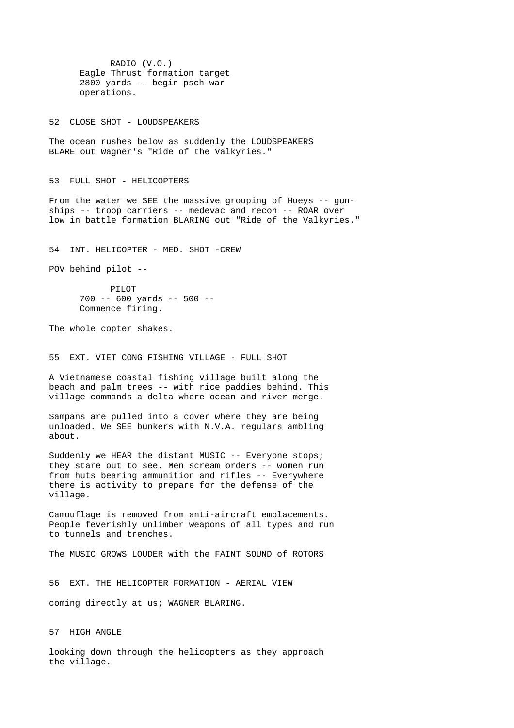RADIO (V.O.) Eagle Thrust formation target 2800 yards -- begin psch-war operations.

52 CLOSE SHOT - LOUDSPEAKERS

The ocean rushes below as suddenly the LOUDSPEAKERS BLARE out Wagner's "Ride of the Valkyries."

53 FULL SHOT - HELICOPTERS

From the water we SEE the massive grouping of Hueys -- gunships -- troop carriers -- medevac and recon -- ROAR over low in battle formation BLARING out "Ride of the Valkyries."

54 INT. HELICOPTER - MED. SHOT -CREW

POV behind pilot --

PILOT 700 -- 600 yards -- 500 -- Commence firing.

The whole copter shakes.

55 EXT. VIET CONG FISHING VILLAGE - FULL SHOT

A Vietnamese coastal fishing village built along the beach and palm trees -- with rice paddies behind. This village commands a delta where ocean and river merge.

Sampans are pulled into a cover where they are being unloaded. We SEE bunkers with N.V.A. regulars ambling about.

Suddenly we HEAR the distant MUSIC -- Everyone stops; they stare out to see. Men scream orders -- women run from huts bearing ammunition and rifles -- Everywhere there is activity to prepare for the defense of the village.

Camouflage is removed from anti-aircraft emplacements. People feverishly unlimber weapons of all types and run to tunnels and trenches.

The MUSIC GROWS LOUDER with the FAINT SOUND of ROTORS

56 EXT. THE HELICOPTER FORMATION - AERIAL VIEW

coming directly at us; WAGNER BLARING.

57 HIGH ANGLE

looking down through the helicopters as they approach the village.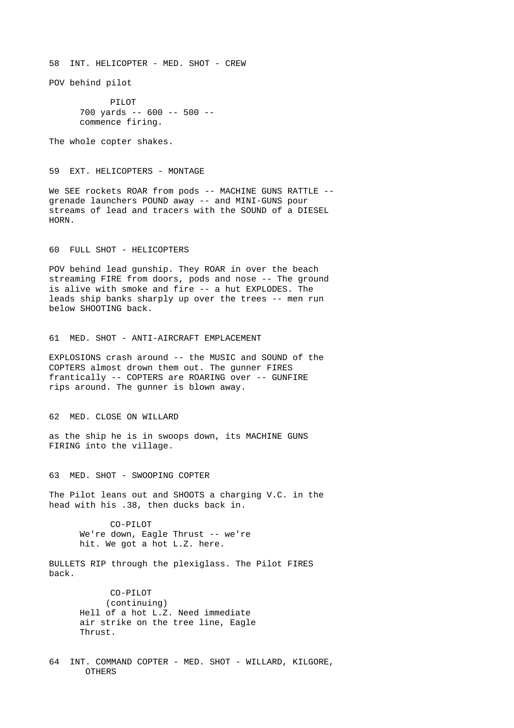58 INT. HELICOPTER - MED. SHOT - CREW

POV behind pilot

PILOT 700 yards -- 600 -- 500 - commence firing.

The whole copter shakes.

59 EXT. HELICOPTERS - MONTAGE

We SEE rockets ROAR from pods -- MACHINE GUNS RATTLE -grenade launchers POUND away -- and MINI-GUNS pour streams of lead and tracers with the SOUND of a DIESEL HORN.

60 FULL SHOT - HELICOPTERS

POV behind lead gunship. They ROAR in over the beach streaming FIRE from doors, pods and nose -- The ground is alive with smoke and fire -- a hut EXPLODES. The leads ship banks sharply up over the trees -- men run below SHOOTING back.

61 MED. SHOT - ANTI-AIRCRAFT EMPLACEMENT

EXPLOSIONS crash around -- the MUSIC and SOUND of the COPTERS almost drown them out. The gunner FIRES frantically -- COPTERS are ROARING over -- GUNFIRE rips around. The gunner is blown away.

62 MED. CLOSE ON WILLARD

as the ship he is in swoops down, its MACHINE GUNS FIRING into the village.

63 MED. SHOT - SWOOPING COPTER

The Pilot leans out and SHOOTS a charging V.C. in the head with his .38, then ducks back in.

> CO-PILOT We're down, Eagle Thrust -- we're hit. We got a hot L.Z. here.

BULLETS RIP through the plexiglass. The Pilot FIRES back.

> CO-PILOT (continuing) Hell of a hot L.Z. Need immediate air strike on the tree line, Eagle Thrust.

64 INT. COMMAND COPTER - MED. SHOT - WILLARD, KILGORE, **OTHERS**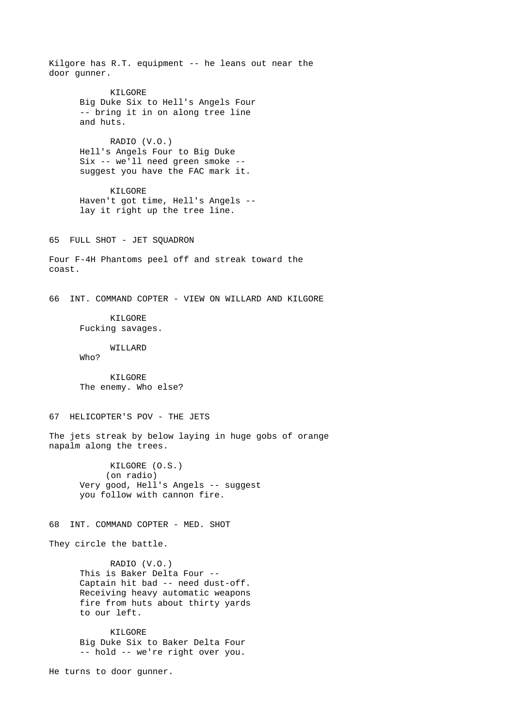Kilgore has R.T. equipment -- he leans out near the door gunner. KILGORE Big Duke Six to Hell's Angels Four -- bring it in on along tree line and huts. RADIO (V.O.) Hell's Angels Four to Big Duke Six -- we'll need green smoke - suggest you have the FAC mark it. KILGORE Haven't got time, Hell's Angels - lay it right up the tree line. 65 FULL SHOT - JET SQUADRON Four F-4H Phantoms peel off and streak toward the coast. 66 INT. COMMAND COPTER - VIEW ON WILLARD AND KILGORE KILGORE Fucking savages. WTI LARD Who? KILGORE The enemy. Who else? 67 HELICOPTER'S POV - THE JETS The jets streak by below laying in huge gobs of orange napalm along the trees. KILGORE (O.S.) (on radio) Very good, Hell's Angels -- suggest you follow with cannon fire. 68 INT. COMMAND COPTER - MED. SHOT They circle the battle. RADIO (V.O.) This is Baker Delta Four -- Captain hit bad -- need dust-off. Receiving heavy automatic weapons fire from huts about thirty yards to our left. KILGORE Big Duke Six to Baker Delta Four -- hold -- we're right over you.

He turns to door gunner.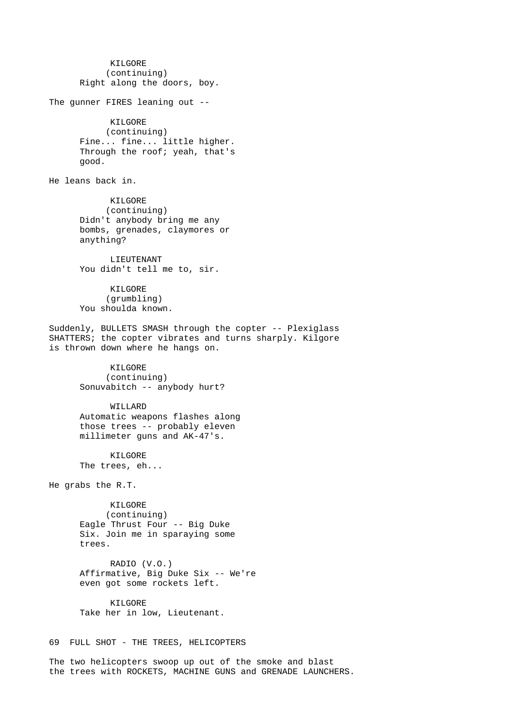KILGORE (continuing) Right along the doors, boy. The gunner FIRES leaning out -- KILGORE (continuing) Fine... fine... little higher. Through the roof; yeah, that's good. He leans back in. KILGORE (continuing) Didn't anybody bring me any bombs, grenades, claymores or anything? LIEUTENANT You didn't tell me to, sir. KILGORE (grumbling) You shoulda known. Suddenly, BULLETS SMASH through the copter -- Plexiglass SHATTERS; the copter vibrates and turns sharply. Kilgore is thrown down where he hangs on. KILGORE (continuing) Sonuvabitch -- anybody hurt? WILLARD Automatic weapons flashes along those trees -- probably eleven millimeter guns and AK-47's. KILGORE The trees, eh... He grabs the R.T. KILGORE (continuing) Eagle Thrust Four -- Big Duke Six. Join me in sparaying some trees. RADIO (V.O.) Affirmative, Big Duke Six -- We're even got some rockets left. KILGORE Take her in low, Lieutenant. 69 FULL SHOT - THE TREES, HELICOPTERS

The two helicopters swoop up out of the smoke and blast the trees with ROCKETS, MACHINE GUNS and GRENADE LAUNCHERS.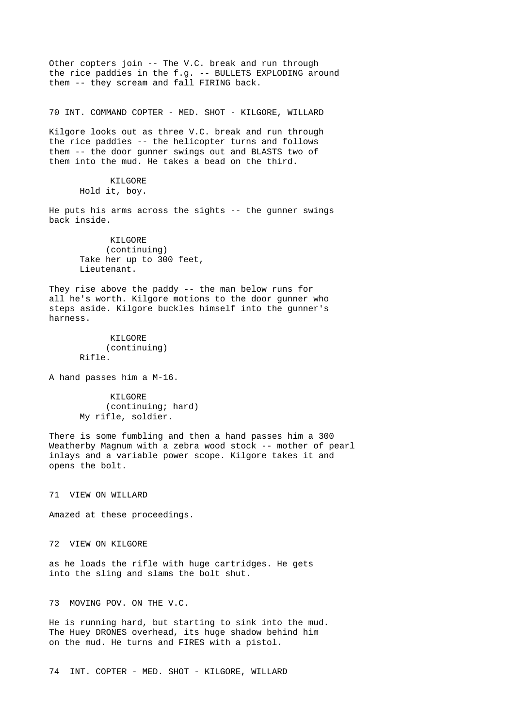Other copters join -- The V.C. break and run through the rice paddies in the f.g. -- BULLETS EXPLODING around them -- they scream and fall FIRING back.

70 INT. COMMAND COPTER - MED. SHOT - KILGORE, WILLARD

Kilgore looks out as three V.C. break and run through the rice paddies -- the helicopter turns and follows them -- the door gunner swings out and BLASTS two of them into the mud. He takes a bead on the third.

> KILGORE Hold it, boy.

He puts his arms across the sights -- the gunner swings back inside.

> KILGORE (continuing) Take her up to 300 feet, Lieutenant.

They rise above the paddy -- the man below runs for all he's worth. Kilgore motions to the door gunner who steps aside. Kilgore buckles himself into the gunner's harness.

> KTI GORF (continuing) Rifle.

A hand passes him a M-16.

KILGORE (continuing; hard) My rifle, soldier.

There is some fumbling and then a hand passes him a 300 Weatherby Magnum with a zebra wood stock -- mother of pearl inlays and a variable power scope. Kilgore takes it and opens the bolt.

71 VIEW ON WILLARD

Amazed at these proceedings.

72 VIEW ON KILGORE

as he loads the rifle with huge cartridges. He gets into the sling and slams the bolt shut.

73 MOVING POV. ON THE V.C.

He is running hard, but starting to sink into the mud. The Huey DRONES overhead, its huge shadow behind him on the mud. He turns and FIRES with a pistol.

74 INT. COPTER - MED. SHOT - KILGORE, WILLARD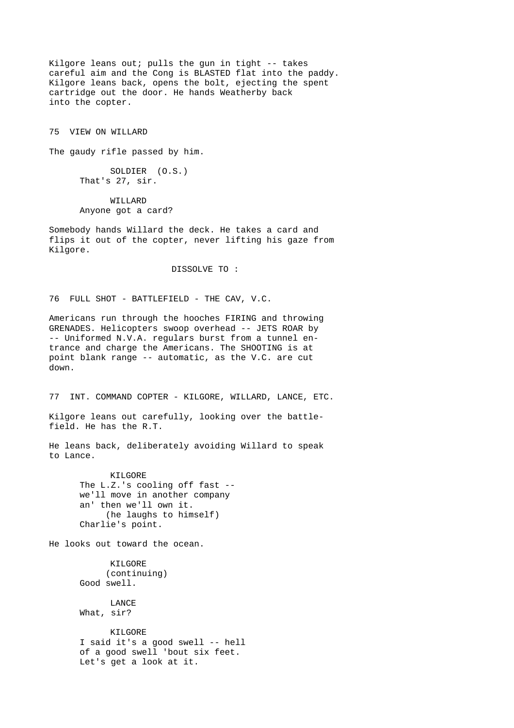Kilgore leans out; pulls the gun in tight -- takes careful aim and the Cong is BLASTED flat into the paddy. Kilgore leans back, opens the bolt, ejecting the spent cartridge out the door. He hands Weatherby back into the copter.

75 VIEW ON WILLARD

The gaudy rifle passed by him.

SOLDIER (O.S.) That's 27, sir.

WILLARD Anyone got a card?

Somebody hands Willard the deck. He takes a card and flips it out of the copter, never lifting his gaze from Kilgore.

DISSOLVE TO :

76 FULL SHOT - BATTLEFIELD - THE CAV, V.C.

Americans run through the hooches FIRING and throwing GRENADES. Helicopters swoop overhead -- JETS ROAR by -- Uniformed N.V.A. regulars burst from a tunnel entrance and charge the Americans. The SHOOTING is at point blank range -- automatic, as the V.C. are cut down.

77 INT. COMMAND COPTER - KILGORE, WILLARD, LANCE, ETC.

Kilgore leans out carefully, looking over the battlefield. He has the R.T.

He leans back, deliberately avoiding Willard to speak to Lance.

> KILGORE The L.Z.'s cooling off fast - we'll move in another company an' then we'll own it. (he laughs to himself) Charlie's point.

He looks out toward the ocean.

KILGORE (continuing) Good swell.

LANCE What, sir?

KILGORE I said it's a good swell -- hell of a good swell 'bout six feet. Let's get a look at it.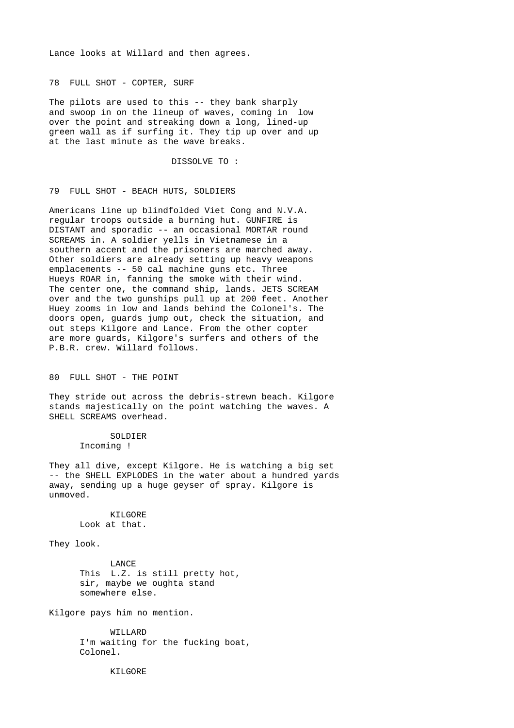Lance looks at Willard and then agrees.

78 FULL SHOT - COPTER, SURF

The pilots are used to this -- they bank sharply and swoop in on the lineup of waves, coming in low over the point and streaking down a long, lined-up green wall as if surfing it. They tip up over and up at the last minute as the wave breaks.

DISSOLVE TO :

79 FULL SHOT - BEACH HUTS, SOLDIERS

Americans line up blindfolded Viet Cong and N.V.A. regular troops outside a burning hut. GUNFIRE is DISTANT and sporadic -- an occasional MORTAR round SCREAMS in. A soldier yells in Vietnamese in a southern accent and the prisoners are marched away. Other soldiers are already setting up heavy weapons emplacements -- 50 cal machine guns etc. Three Hueys ROAR in, fanning the smoke with their wind. The center one, the command ship, lands. JETS SCREAM over and the two gunships pull up at 200 feet. Another Huey zooms in low and lands behind the Colonel's. The doors open, guards jump out, check the situation, and out steps Kilgore and Lance. From the other copter are more guards, Kilgore's surfers and others of the P.B.R. crew. Willard follows.

80 FULL SHOT - THE POINT

They stride out across the debris-strewn beach. Kilgore stands majestically on the point watching the waves. A SHELL SCREAMS overhead.

> SOLDIER Incoming !

They all dive, except Kilgore. He is watching a big set -- the SHELL EXPLODES in the water about a hundred yards away, sending up a huge geyser of spray. Kilgore is unmoved.

> KILGORE Look at that.

They look.

LANCE This L.Z. is still pretty hot, sir, maybe we oughta stand somewhere else.

Kilgore pays him no mention.

WILLARD I'm waiting for the fucking boat, Colonel.

KILGORE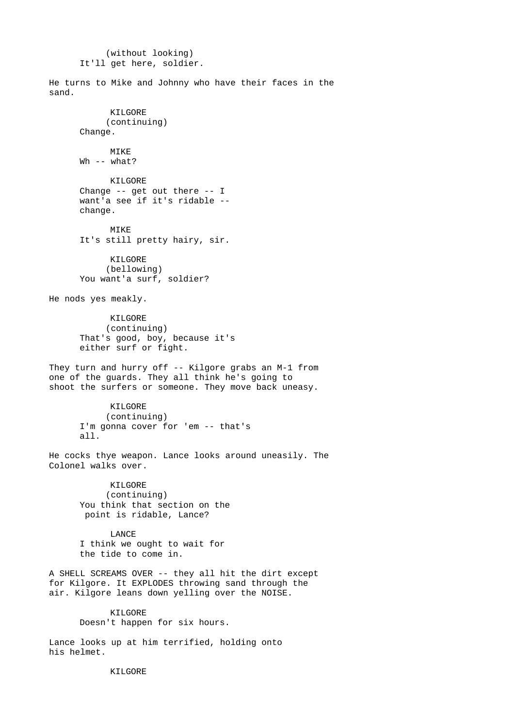```
 (without looking)
It'll get here, soldier.
```
He turns to Mike and Johnny who have their faces in the sand.

KILGORE (continuing) Change. MIKE Wh -- what? KILGORE Change -- get out there -- I want'a see if it's ridable - change. MIKE It's still pretty hairy, sir. KILGORE (bellowing) You want'a surf, soldier? He nods yes meakly. KILGORE (continuing) That's good, boy, because it's either surf or fight. They turn and hurry off -- Kilgore grabs an M-1 from one of the guards. They all think he's going to shoot the surfers or someone. They move back uneasy. KILGORE (continuing) I'm gonna cover for 'em -- that's all. He cocks thye weapon. Lance looks around uneasily. The Colonel walks over. KILGORE (continuing) You think that section on the point is ridable, Lance? LANCE I think we ought to wait for the tide to come in. A SHELL SCREAMS OVER -- they all hit the dirt except for Kilgore. It EXPLODES throwing sand through the air. Kilgore leans down yelling over the NOISE. KILGORE Doesn't happen for six hours. Lance looks up at him terrified, holding onto his helmet.

KILGORE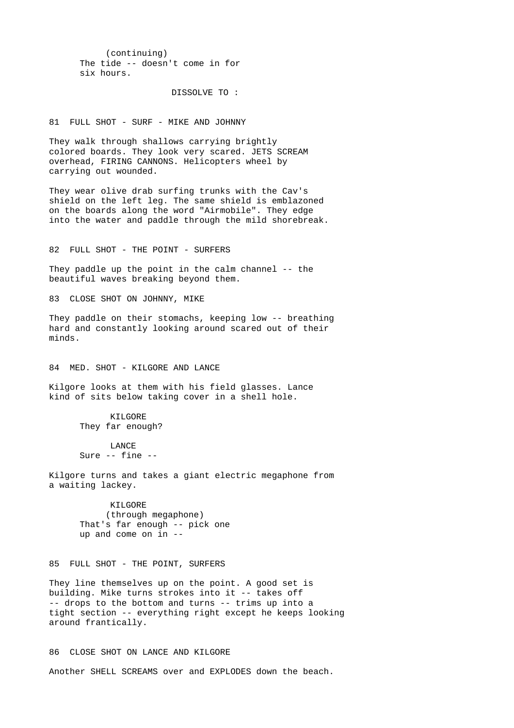(continuing) The tide -- doesn't come in for six hours.

### DISSOLVE TO :

81 FULL SHOT - SURF - MIKE AND JOHNNY

They walk through shallows carrying brightly colored boards. They look very scared. JETS SCREAM overhead, FIRING CANNONS. Helicopters wheel by carrying out wounded.

They wear olive drab surfing trunks with the Cav's shield on the left leg. The same shield is emblazoned on the boards along the word "Airmobile". They edge into the water and paddle through the mild shorebreak.

82 FULL SHOT - THE POINT - SURFERS

They paddle up the point in the calm channel -- the beautiful waves breaking beyond them.

83 CLOSE SHOT ON JOHNNY, MIKE

They paddle on their stomachs, keeping low -- breathing hard and constantly looking around scared out of their minds.

84 MED. SHOT - KILGORE AND LANCE

Kilgore looks at them with his field glasses. Lance kind of sits below taking cover in a shell hole.

> KILGORE They far enough?

LANCE Sure -- fine --

Kilgore turns and takes a giant electric megaphone from a waiting lackey.

> KILGORE (through megaphone) That's far enough -- pick one up and come on in --

85 FULL SHOT - THE POINT, SURFERS

They line themselves up on the point. A good set is building. Mike turns strokes into it -- takes off -- drops to the bottom and turns -- trims up into a tight section -- everything right except he keeps looking around frantically.

86 CLOSE SHOT ON LANCE AND KILGORE

Another SHELL SCREAMS over and EXPLODES down the beach.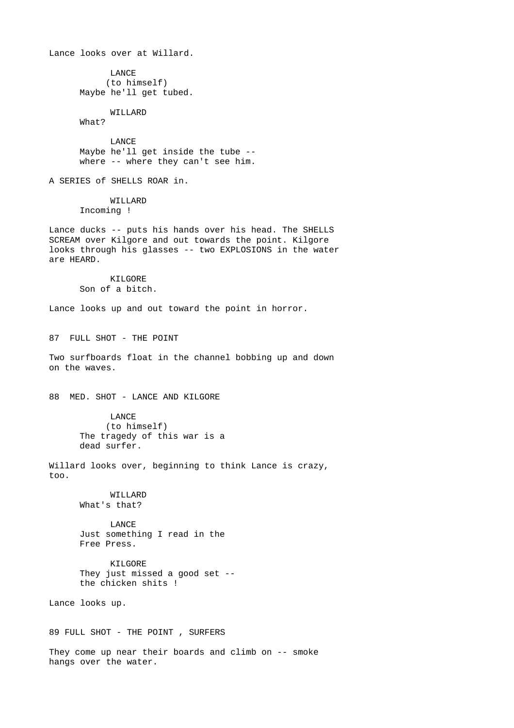Lance looks over at Willard. LANCE (to himself) Maybe he'll get tubed. WILLARD What? LANCE Maybe he'll get inside the tube - where -- where they can't see him. A SERIES of SHELLS ROAR in. WILLARD Incoming ! Lance ducks -- puts his hands over his head. The SHELLS SCREAM over Kilgore and out towards the point. Kilgore looks through his glasses -- two EXPLOSIONS in the water are HEARD. KILGORE Son of a bitch. Lance looks up and out toward the point in horror. 87 FULL SHOT - THE POINT Two surfboards float in the channel bobbing up and down on the waves. 88 MED. SHOT - LANCE AND KILGORE LANCE (to himself) The tragedy of this war is a dead surfer. Willard looks over, beginning to think Lance is crazy, too. WILLARD What's that? LANCE Just something I read in the Free Press. KILGORE They just missed a good set - the chicken shits ! Lance looks up. 89 FULL SHOT - THE POINT , SURFERS They come up near their boards and climb on -- smoke hangs over the water.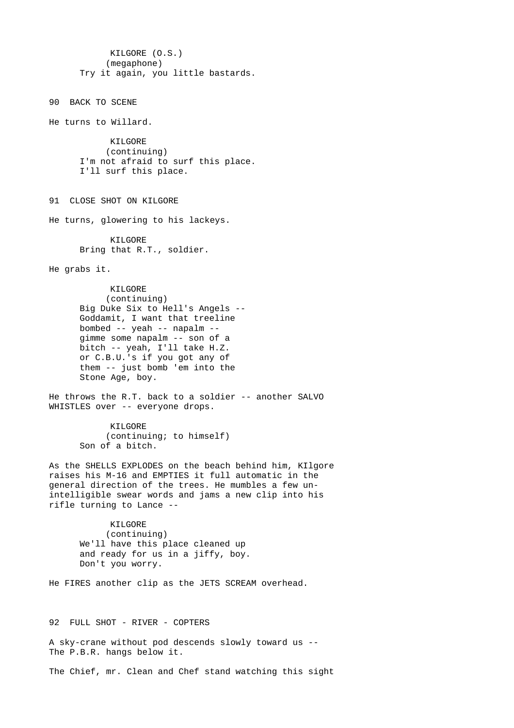KILGORE (O.S.) (megaphone) Try it again, you little bastards.

90 BACK TO SCENE

He turns to Willard.

KILGORE (continuing) I'm not afraid to surf this place. I'll surf this place.

91 CLOSE SHOT ON KILGORE

He turns, glowering to his lackeys.

KILGORE Bring that R.T., soldier.

He grabs it.

KILGORE (continuing) Big Duke Six to Hell's Angels -- Goddamit, I want that treeline bombed -- yeah -- napalm - gimme some napalm -- son of a bitch -- yeah, I'll take H.Z. or C.B.U.'s if you got any of them -- just bomb 'em into the Stone Age, boy.

He throws the R.T. back to a soldier -- another SALVO WHISTLES over -- everyone drops.

> KILGORE (continuing; to himself) Son of a bitch.

As the SHELLS EXPLODES on the beach behind him, KIlgore raises his M-16 and EMPTIES it full automatic in the general direction of the trees. He mumbles a few unintelligible swear words and jams a new clip into his rifle turning to Lance --

> KILGORE (continuing) We'll have this place cleaned up and ready for us in a jiffy, boy. Don't you worry.

He FIRES another clip as the JETS SCREAM overhead.

92 FULL SHOT - RIVER - COPTERS

A sky-crane without pod descends slowly toward us -- The P.B.R. hangs below it.

The Chief, mr. Clean and Chef stand watching this sight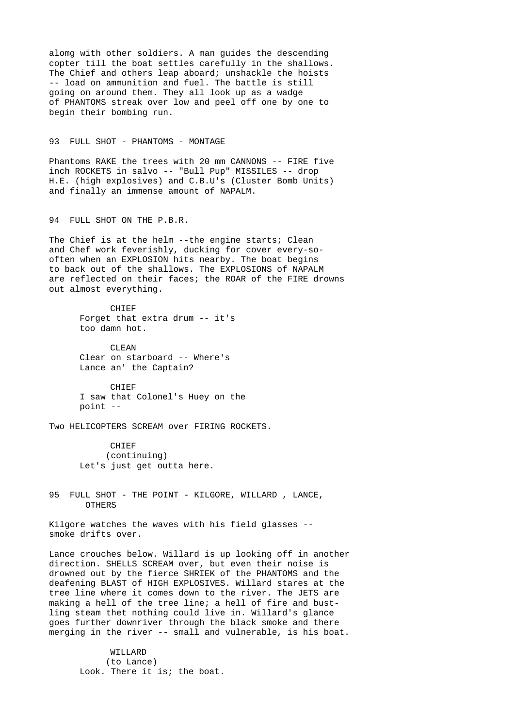alomg with other soldiers. A man guides the descending copter till the boat settles carefully in the shallows. The Chief and others leap aboard; unshackle the hoists -- load on ammunition and fuel. The battle is still going on around them. They all look up as a wadge of PHANTOMS streak over low and peel off one by one to begin their bombing run.

93 FULL SHOT - PHANTOMS - MONTAGE

Phantoms RAKE the trees with 20 mm CANNONS -- FIRE five inch ROCKETS in salvo -- "Bull Pup" MISSILES -- drop H.E. (high explosives) and C.B.U's (Cluster Bomb Units) and finally an immense amount of NAPALM.

94 FULL SHOT ON THE P.B.R.

The Chief is at the helm --the engine starts; Clean and Chef work feverishly, ducking for cover every-sooften when an EXPLOSION hits nearby. The boat begins to back out of the shallows. The EXPLOSIONS of NAPALM are reflected on their faces; the ROAR of the FIRE drowns out almost everything.

> **CHTEF** Forget that extra drum -- it's too damn hot.

CLEAN Clear on starboard -- Where's Lance an' the Captain?

CHIEF I saw that Colonel's Huey on the point --

Two HELICOPTERS SCREAM over FIRING ROCKETS.

CHIEF (continuing) Let's just get outta here.

95 FULL SHOT - THE POINT - KILGORE, WILLARD , LANCE, **OTHERS** 

Kilgore watches the waves with his field glasses - smoke drifts over.

Lance crouches below. Willard is up looking off in another direction. SHELLS SCREAM over, but even their noise is drowned out by the fierce SHRIEK of the PHANTOMS and the deafening BLAST of HIGH EXPLOSIVES. Willard stares at the tree line where it comes down to the river. The JETS are making a hell of the tree line; a hell of fire and bustling steam thet nothing could live in. Willard's glance goes further downriver through the black smoke and there merging in the river -- small and vulnerable, is his boat.

> WILLARD (to Lance) Look. There it is; the boat.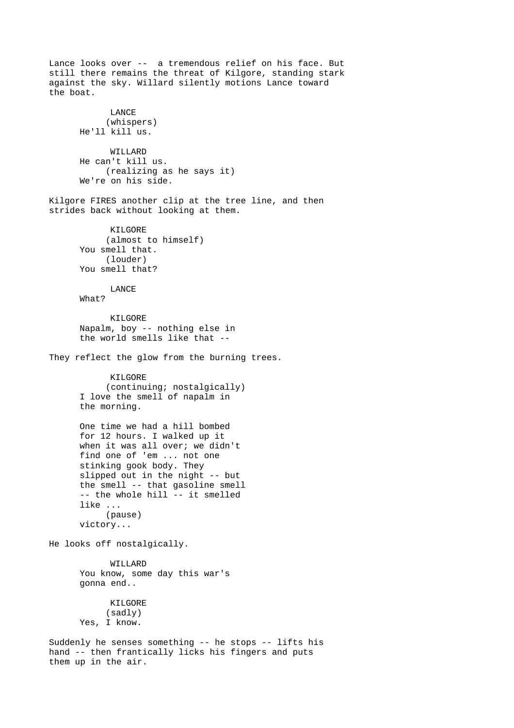Lance looks over -- a tremendous relief on his face. But still there remains the threat of Kilgore, standing stark against the sky. Willard silently motions Lance toward the boat. LANCE (whispers) He'll kill us. WILLARD He can't kill us. (realizing as he says it) We're on his side. Kilgore FIRES another clip at the tree line, and then strides back without looking at them. KILGORE (almost to himself) You smell that. (louder) You smell that? LANCE What? KILGORE Napalm, boy -- nothing else in the world smells like that -- They reflect the glow from the burning trees. KILGORE (continuing; nostalgically) I love the smell of napalm in the morning. One time we had a hill bombed for 12 hours. I walked up it when it was all over; we didn't find one of 'em ... not one stinking gook body. They slipped out in the night -- but the smell -- that gasoline smell -- the whole hill -- it smelled like ... (pause) victory... He looks off nostalgically. WILLARD You know, some day this war's gonna end.. KILGORE (sadly) Yes, I know. Suddenly he senses something -- he stops -- lifts his hand -- then frantically licks his fingers and puts them up in the air.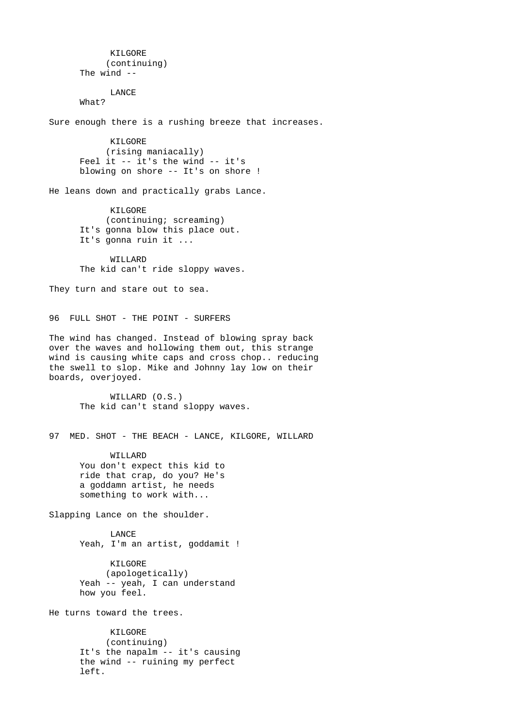KILGORE (continuing) The wind -- **LANCE** What? Sure enough there is a rushing breeze that increases. KILGORE (rising maniacally) Feel it -- it's the wind -- it's blowing on shore -- It's on shore ! He leans down and practically grabs Lance. KILGORE (continuing; screaming) It's gonna blow this place out. It's gonna ruin it ... WILLARD The kid can't ride sloppy waves. They turn and stare out to sea. 96 FULL SHOT - THE POINT - SURFERS The wind has changed. Instead of blowing spray back over the waves and hollowing them out, this strange wind is causing white caps and cross chop.. reducing the swell to slop. Mike and Johnny lay low on their boards, overjoyed. WILLARD (O.S.) The kid can't stand sloppy waves. 97 MED. SHOT - THE BEACH - LANCE, KILGORE, WILLARD WILLARD You don't expect this kid to ride that crap, do you? He's a goddamn artist, he needs something to work with... Slapping Lance on the shoulder. LANCE Yeah, I'm an artist, goddamit ! KILGORE (apologetically) Yeah -- yeah, I can understand how you feel. He turns toward the trees. KILGORE (continuing) It's the napalm -- it's causing the wind -- ruining my perfect left.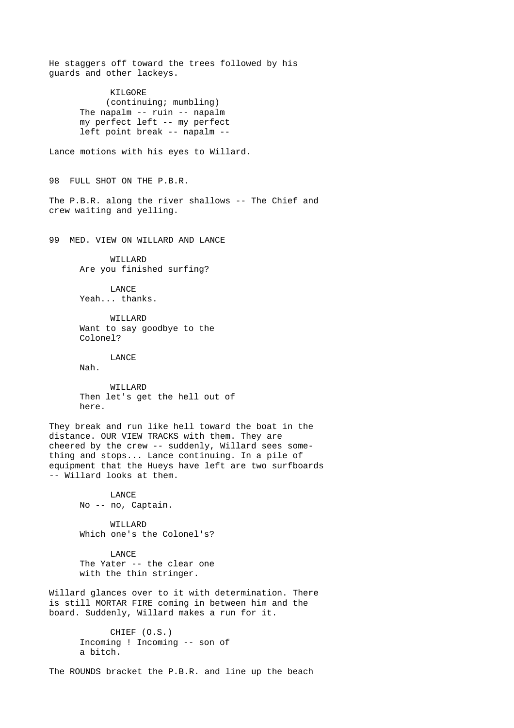He staggers off toward the trees followed by his guards and other lackeys. KILGORE (continuing; mumbling) The napalm -- ruin -- napalm my perfect left -- my perfect left point break -- napalm -- Lance motions with his eyes to Willard. 98 FULL SHOT ON THE P.B.R. The P.B.R. along the river shallows -- The Chief and crew waiting and yelling. 99 MED. VIEW ON WILLARD AND LANCE WILLARD Are you finished surfing? LANCE Yeah... thanks. **WILLARD** Want to say goodbye to the Colonel? LANCE Nah. WILLARD Then let's get the hell out of here. They break and run like hell toward the boat in the distance. OUR VIEW TRACKS with them. They are cheered by the crew -- suddenly, Willard sees something and stops... Lance continuing. In a pile of equipment that the Hueys have left are two surfboards -- Willard looks at them. LANCE No -- no, Captain. WILLARD Which one's the Colonel's? LANCE The Yater -- the clear one with the thin stringer. Willard glances over to it with determination. There is still MORTAR FIRE coming in between him and the board. Suddenly, Willard makes a run for it. CHIEF (O.S.) Incoming ! Incoming -- son of a bitch.

The ROUNDS bracket the P.B.R. and line up the beach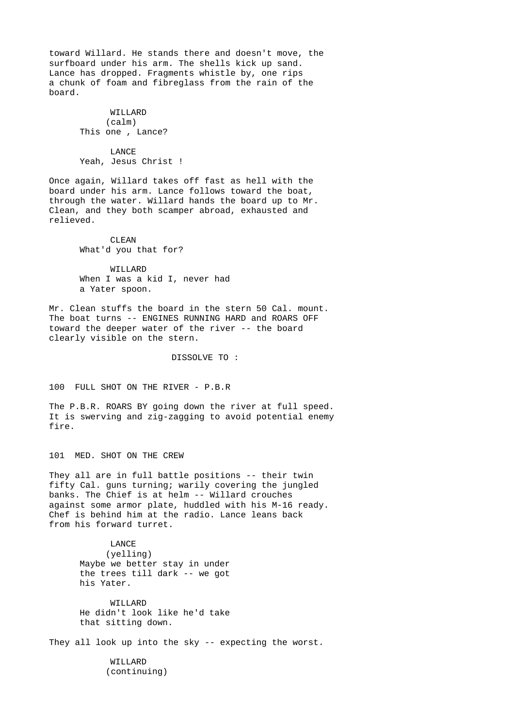toward Willard. He stands there and doesn't move, the surfboard under his arm. The shells kick up sand. Lance has dropped. Fragments whistle by, one rips a chunk of foam and fibreglass from the rain of the board.

> WILLARD (calm) This one , Lance?

LANCE Yeah, Jesus Christ !

Once again, Willard takes off fast as hell with the board under his arm. Lance follows toward the boat, through the water. Willard hands the board up to Mr. Clean, and they both scamper abroad, exhausted and relieved.

> CLEAN What'd you that for?

WILLARD When I was a kid I, never had a Yater spoon.

Mr. Clean stuffs the board in the stern 50 Cal. mount. The boat turns -- ENGINES RUNNING HARD and ROARS OFF toward the deeper water of the river -- the board clearly visible on the stern.

DISSOLVE TO :

100 FULL SHOT ON THE RIVER - P.B.R

The P.B.R. ROARS BY going down the river at full speed. It is swerving and zig-zagging to avoid potential enemy fire.

101 MED. SHOT ON THE CREW

They all are in full battle positions -- their twin fifty Cal. guns turning; warily covering the jungled banks. The Chief is at helm -- Willard crouches against some armor plate, huddled with his M-16 ready. Chef is behind him at the radio. Lance leans back from his forward turret.

> LANCE (yelling) Maybe we better stay in under the trees till dark -- we got his Yater.

> WILLARD He didn't look like he'd take that sitting down.

They all look up into the sky -- expecting the worst.

WILLARD (continuing)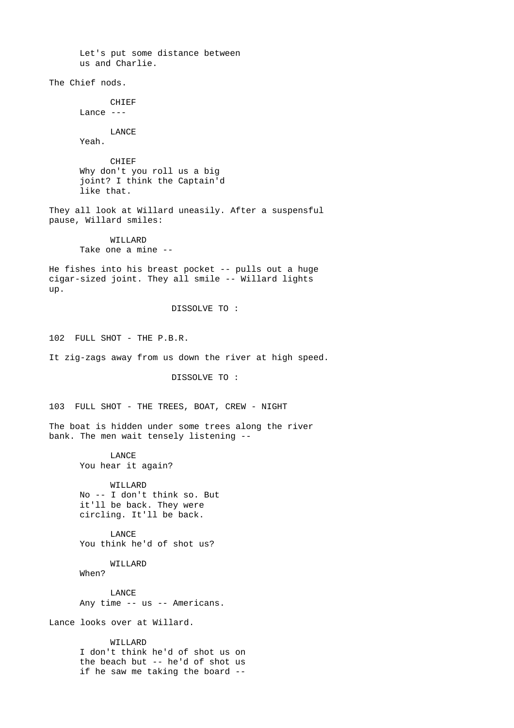Let's put some distance between us and Charlie. The Chief nods. **CHTEF** Lance --- LANCE Yeah. CHIEF Why don't you roll us a big joint? I think the Captain'd like that. They all look at Willard uneasily. After a suspensful pause, Willard smiles: WILLARD Take one a mine -- He fishes into his breast pocket -- pulls out a huge cigar-sized joint. They all smile -- Willard lights up. DISSOLVE TO : 102 FULL SHOT - THE P.B.R. It zig-zags away from us down the river at high speed. DISSOLVE TO : 103 FULL SHOT - THE TREES, BOAT, CREW - NIGHT The boat is hidden under some trees along the river bank. The men wait tensely listening -- LANCE You hear it again? WILLARD No -- I don't think so. But it'll be back. They were circling. It'll be back. LANCE You think he'd of shot us? WILLARD When? LANCE Any time -- us -- Americans. Lance looks over at Willard. WILLARD I don't think he'd of shot us on the beach but -- he'd of shot us if he saw me taking the board --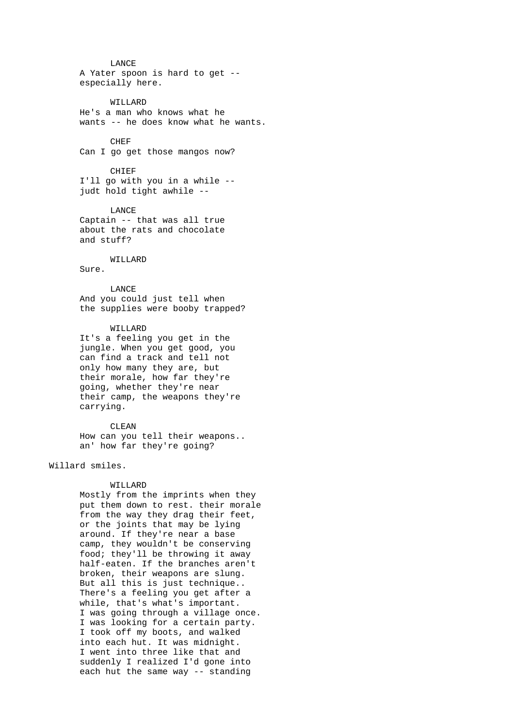LANCE A Yater spoon is hard to get - especially here. **WILLARD** He's a man who knows what he wants -- he does know what he wants. CHEF Can I go get those mangos now? CHIEF I'll go with you in a while - judt hold tight awhile -- LANCE Captain -- that was all true about the rats and chocolate and stuff? WILLARD Sure. LANCE And you could just tell when the supplies were booby trapped? WILLARD It's a feeling you get in the jungle. When you get good, you can find a track and tell not only how many they are, but their morale, how far they're going, whether they're near their camp, the weapons they're carrying. CLEAN How can you tell their weapons.. an' how far they're going? Willard smiles. WILLARD Mostly from the imprints when they put them down to rest. their morale from the way they drag their feet, or the joints that may be lying around. If they're near a base camp, they wouldn't be conserving food; they'll be throwing it away half-eaten. If the branches aren't broken, their weapons are slung.

But all this is just technique.. There's a feeling you get after a while, that's what's important. I was going through a village once. I was looking for a certain party. I took off my boots, and walked into each hut. It was midnight. I went into three like that and suddenly I realized I'd gone into

each hut the same way -- standing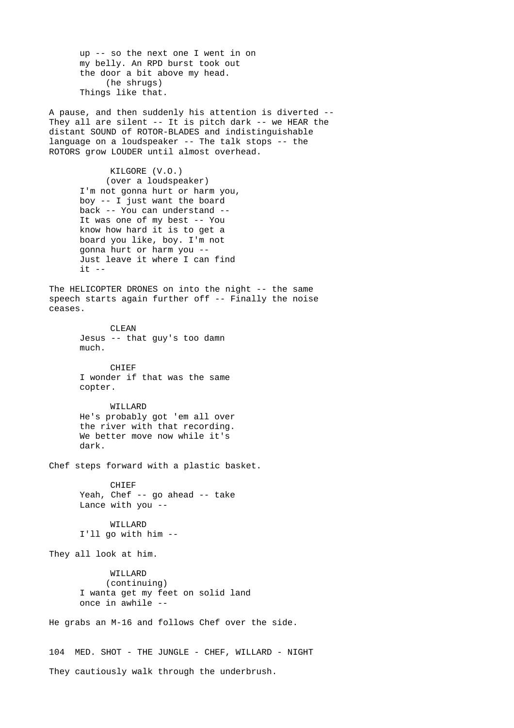up -- so the next one I went in on my belly. An RPD burst took out the door a bit above my head. (he shrugs) Things like that.

A pause, and then suddenly his attention is diverted -- They all are silent -- It is pitch dark -- we HEAR the distant SOUND of ROTOR-BLADES and indistinguishable language on a loudspeaker -- The talk stops -- the ROTORS grow LOUDER until almost overhead.

> KILGORE (V.O.) (over a loudspeaker) I'm not gonna hurt or harm you, boy -- I just want the board back -- You can understand -- It was one of my best -- You know how hard it is to get a board you like, boy. I'm not gonna hurt or harm you -- Just leave it where I can find it --

The HELICOPTER DRONES on into the night -- the same speech starts again further off -- Finally the noise ceases.

> CLEAN Jesus -- that guy's too damn much.

CHIEF I wonder if that was the same copter.

WILLARD He's probably got 'em all over the river with that recording. We better move now while it's dark.

Chef steps forward with a plastic basket.

CHIEF Yeah, Chef -- go ahead -- take Lance with you --

WILLARD I'll go with him --

They all look at him.

WILLARD (continuing) I wanta get my feet on solid land once in awhile --

He grabs an M-16 and follows Chef over the side.

104 MED. SHOT - THE JUNGLE - CHEF, WILLARD - NIGHT They cautiously walk through the underbrush.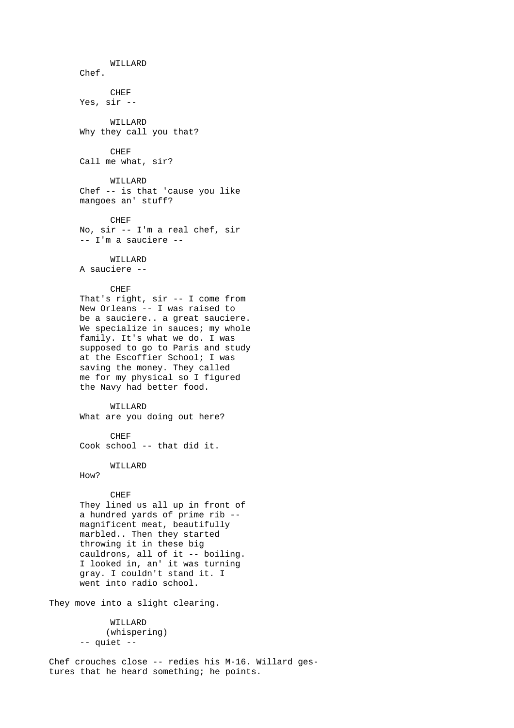WILLARD Chef. CHEF Yes, sir -- WILLARD Why they call you that? CHEF Call me what, sir? WILLARD Chef -- is that 'cause you like mangoes an' stuff? CHEF No, sir -- I'm a real chef, sir -- I'm a sauciere -- WILLARD A sauciere -- CHEF That's right, sir -- I come from New Orleans -- I was raised to be a sauciere.. a great sauciere. We specialize in sauces; my whole family. It's what we do. I was supposed to go to Paris and study at the Escoffier School; I was saving the money. They called me for my physical so I figured the Navy had better food. WILLARD What are you doing out here? CHEF Cook school -- that did it. WILLARD How? CHEF They lined us all up in front of a hundred yards of prime rib - magnificent meat, beautifully marbled.. Then they started throwing it in these big cauldrons, all of it -- boiling. I looked in, an' it was turning gray. I couldn't stand it. I went into radio school. They move into a slight clearing. WILLARD (whispering) -- quiet --

Chef crouches close -- redies his M-16. Willard gestures that he heard something; he points.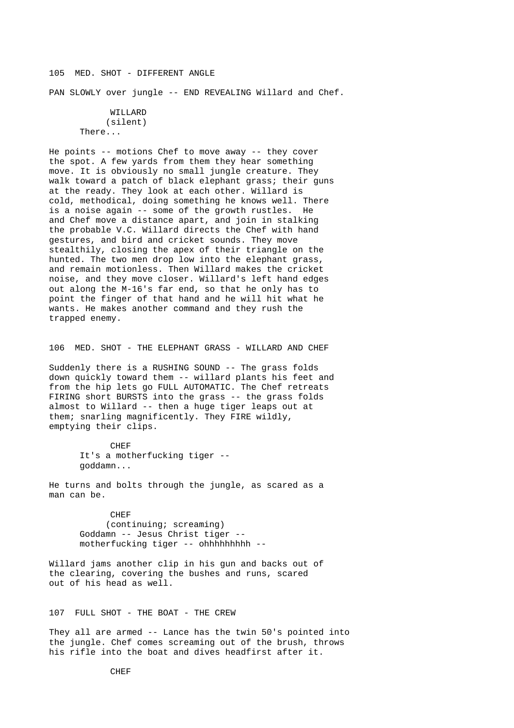105 MED. SHOT - DIFFERENT ANGLE

PAN SLOWLY over jungle -- END REVEALING Willard and Chef.

WILLARD (silent) There...

He points -- motions Chef to move away -- they cover the spot. A few yards from them they hear something move. It is obviously no small jungle creature. They walk toward a patch of black elephant grass; their guns at the ready. They look at each other. Willard is cold, methodical, doing something he knows well. There is a noise again -- some of the growth rustles. He and Chef move a distance apart, and join in stalking the probable V.C. Willard directs the Chef with hand gestures, and bird and cricket sounds. They move stealthily, closing the apex of their triangle on the hunted. The two men drop low into the elephant grass, and remain motionless. Then Willard makes the cricket noise, and they move closer. Willard's left hand edges out along the M-16's far end, so that he only has to point the finger of that hand and he will hit what he wants. He makes another command and they rush the trapped enemy.

106 MED. SHOT - THE ELEPHANT GRASS - WILLARD AND CHEF

Suddenly there is a RUSHING SOUND -- The grass folds down quickly toward them -- willard plants his feet and from the hip lets go FULL AUTOMATIC. The Chef retreats FIRING short BURSTS into the grass -- the grass folds almost to Willard -- then a huge tiger leaps out at them; snarling magnificently. They FIRE wildly, emptying their clips.

> CHEF It's a motherfucking tiger - goddamn...

He turns and bolts through the jungle, as scared as a man can be.

> CHEF (continuing; screaming) Goddamn -- Jesus Christ tiger - motherfucking tiger -- ohhhhhhhhh --

Willard jams another clip in his gun and backs out of the clearing, covering the bushes and runs, scared out of his head as well.

107 FULL SHOT - THE BOAT - THE CREW

They all are armed -- Lance has the twin 50's pointed into the jungle. Chef comes screaming out of the brush, throws his rifle into the boat and dives headfirst after it.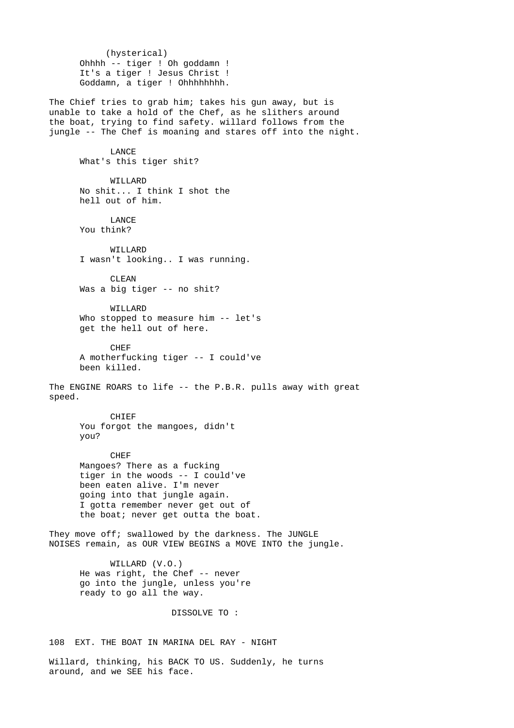(hysterical) Ohhhh -- tiger ! Oh goddamn ! It's a tiger ! Jesus Christ ! Goddamn, a tiger ! Ohhhhhhhh. The Chief tries to grab him; takes his gun away, but is unable to take a hold of the Chef, as he slithers around the boat, trying to find safety. willard follows from the jungle -- The Chef is moaning and stares off into the night. LANCE What's this tiger shit? WILLARD No shit... I think I shot the hell out of him. LANCE You think? WILLARD I wasn't looking.. I was running. CLEAN Was a big tiger -- no shit? WILLARD Who stopped to measure him -- let's get the hell out of here. CHEF A motherfucking tiger -- I could've been killed. The ENGINE ROARS to life -- the P.B.R. pulls away with great speed. CHIEF You forgot the mangoes, didn't you? CHEF Mangoes? There as a fucking tiger in the woods -- I could've been eaten alive. I'm never going into that jungle again. I gotta remember never get out of the boat; never get outta the boat. They move off; swallowed by the darkness. The JUNGLE NOISES remain, as OUR VIEW BEGINS a MOVE INTO the jungle. WILLARD (V.O.) He was right, the Chef -- never go into the jungle, unless you're ready to go all the way. DISSOLVE TO : 108 EXT. THE BOAT IN MARINA DEL RAY - NIGHT Willard, thinking, his BACK TO US. Suddenly, he turns

around, and we SEE his face.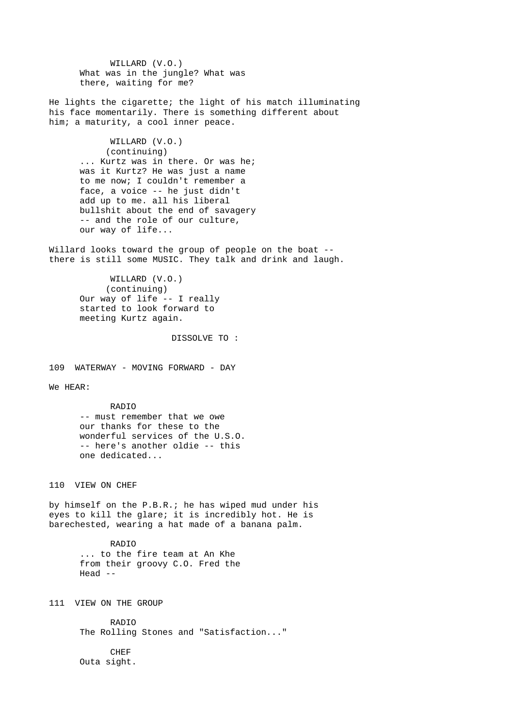WILLARD (V.O.) What was in the jungle? What was there, waiting for me?

He lights the cigarette; the light of his match illuminating his face momentarily. There is something different about him; a maturity, a cool inner peace.

WILLARD (V.O.) (continuing) ... Kurtz was in there. Or was he; was it Kurtz? He was just a name to me now; I couldn't remember a face, a voice -- he just didn't add up to me. all his liberal bullshit about the end of savagery -- and the role of our culture, our way of life...

Willard looks toward the group of people on the boat - there is still some MUSIC. They talk and drink and laugh.

> WILLARD (V.O.) (continuing) Our way of life -- I really started to look forward to meeting Kurtz again.

> > DISSOLVE TO :

109 WATERWAY - MOVING FORWARD - DAY

We HEAR:

RADIO -- must remember that we owe our thanks for these to the wonderful services of the U.S.O. -- here's another oldie -- this one dedicated...

110 VIEW ON CHEF

by himself on the P.B.R.; he has wiped mud under his eyes to kill the glare; it is incredibly hot. He is barechested, wearing a hat made of a banana palm.

> RADIO ... to the fire team at An Khe from their groovy C.O. Fred the Head --

111 VIEW ON THE GROUP

RADIO The Rolling Stones and "Satisfaction..."

CHEF Outa sight.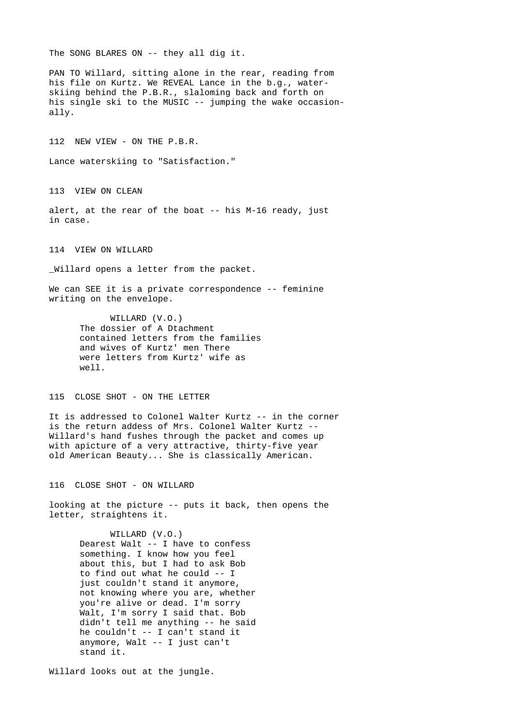The SONG BLARES ON -- they all dig it.

PAN TO Willard, sitting alone in the rear, reading from his file on Kurtz. We REVEAL Lance in the b.g., waterskiing behind the P.B.R., slaloming back and forth on his single ski to the MUSIC -- jumping the wake occasionally.

112 NEW VIEW - ON THE P.B.R.

Lance waterskiing to "Satisfaction."

113 VIEW ON CLEAN

alert, at the rear of the boat -- his M-16 ready, just in case.

114 VIEW ON WILLARD

\_Willard opens a letter from the packet.

We can SEE it is a private correspondence -- feminine writing on the envelope.

> WILLARD (V.O.) The dossier of A Dtachment contained letters from the families and wives of Kurtz' men There were letters from Kurtz' wife as well.

115 CLOSE SHOT - ON THE LETTER

It is addressed to Colonel Walter Kurtz -- in the corner is the return addess of Mrs. Colonel Walter Kurtz -- Willard's hand fushes through the packet and comes up with apicture of a very attractive, thirty-five year old American Beauty... She is classically American.

116 CLOSE SHOT - ON WILLARD

looking at the picture -- puts it back, then opens the letter, straightens it.

> WILLARD (V.O.) Dearest Walt -- I have to confess something. I know how you feel about this, but I had to ask Bob to find out what he could -- I just couldn't stand it anymore, not knowing where you are, whether you're alive or dead. I'm sorry Walt, I'm sorry I said that. Bob didn't tell me anything -- he said he couldn't -- I can't stand it anymore, Walt -- I just can't stand it.

Willard looks out at the jungle.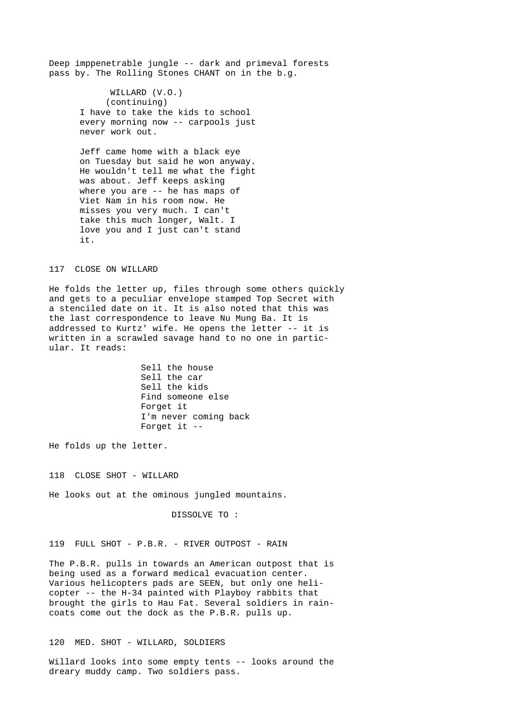Deep imppenetrable jungle -- dark and primeval forests pass by. The Rolling Stones CHANT on in the b.g.

> WILLARD (V.O.) (continuing) I have to take the kids to school every morning now -- carpools just never work out.

> Jeff came home with a black eye on Tuesday but said he won anyway. He wouldn't tell me what the fight was about. Jeff keeps asking where you are -- he has maps of Viet Nam in his room now. He misses you very much. I can't take this much longer, Walt. I love you and I just can't stand it.

# 117 CLOSE ON WILLARD

He folds the letter up, files through some others quickly and gets to a peculiar envelope stamped Top Secret with a stenciled date on it. It is also noted that this was the last correspondence to leave Nu Mung Ba. It is addressed to Kurtz' wife. He opens the letter -- it is written in a scrawled savage hand to no one in particular. It reads:

> Sell the house Sell the car Sell the kids Find someone else Forget it I'm never coming back Forget it --

He folds up the letter.

118 CLOSE SHOT - WILLARD

He looks out at the ominous jungled mountains.

DISSOLVE TO :

119 FULL SHOT - P.B.R. - RIVER OUTPOST - RAIN

The P.B.R. pulls in towards an American outpost that is being used as a forward medical evacuation center. Various helicopters pads are SEEN, but only one helicopter -- the H-34 painted with Playboy rabbits that brought the girls to Hau Fat. Several soldiers in raincoats come out the dock as the P.B.R. pulls up.

#### 120 MED. SHOT - WILLARD, SOLDIERS

Willard looks into some empty tents -- looks around the dreary muddy camp. Two soldiers pass.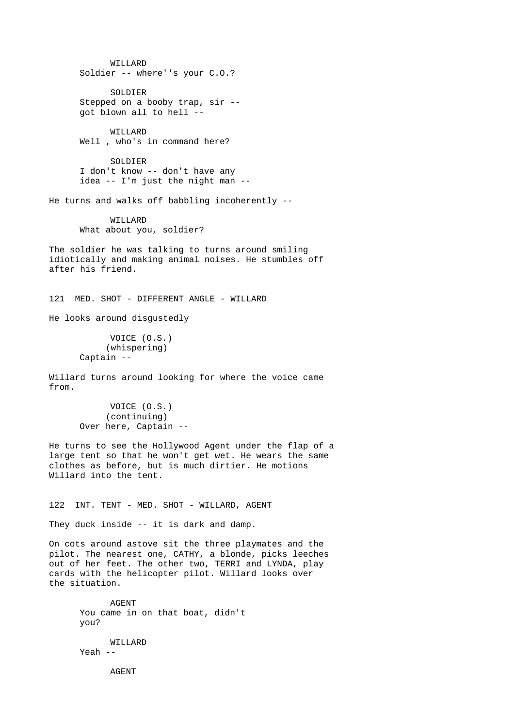WILLARD Soldier -- where''s your C.O.? SOLDIER Stepped on a booby trap, sir - got blown all to hell -- WILLARD Well , who's in command here? SOLDIER I don't know -- don't have any idea -- I'm just the night man -- He turns and walks off babbling incoherently -- WILLARD What about you, soldier? The soldier he was talking to turns around smiling idiotically and making animal noises. He stumbles off after his friend. 121 MED. SHOT - DIFFERENT ANGLE - WILLARD He looks around disgustedly VOICE (O.S.) (whispering) Captain -- Willard turns around looking for where the voice came from. VOICE (O.S.) (continuing) Over here, Captain -- He turns to see the Hollywood Agent under the flap of a large tent so that he won't get wet. He wears the same clothes as before, but is much dirtier. He motions Willard into the tent. 122 INT. TENT - MED. SHOT - WILLARD, AGENT They duck inside -- it is dark and damp. On cots around astove sit the three playmates and the pilot. The nearest one, CATHY, a blonde, picks leeches out of her feet. The other two, TERRI and LYNDA, play cards with the helicopter pilot. Willard looks over the situation. AGENT You came in on that boat, didn't you? WILLARD Yeah -- AGENT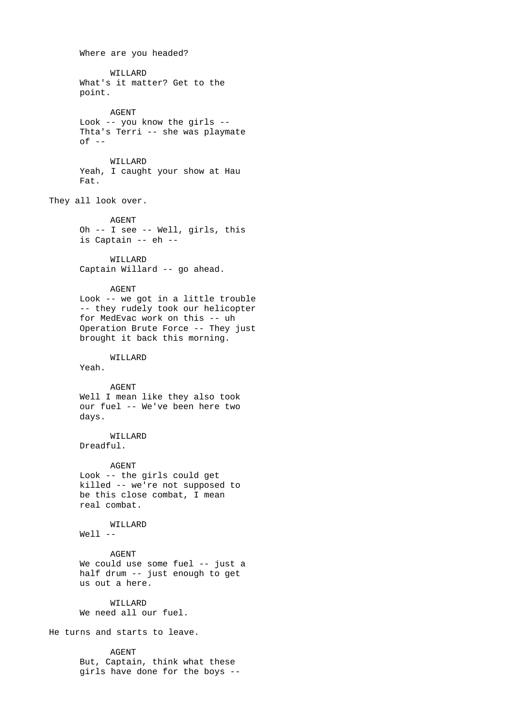Where are you headed? WILLARD What's it matter? Get to the point. AGENT Look -- you know the girls -- Thta's Terri -- she was playmate  $of - -$ WILLARD Yeah, I caught your show at Hau Fat. They all look over. AGENT Oh -- I see -- Well, girls, this is Captain -- eh -- WILLARD Captain Willard -- go ahead. AGENT Look -- we got in a little trouble -- they rudely took our helicopter for MedEvac work on this -- uh Operation Brute Force -- They just brought it back this morning. WILLARD Yeah. AGENT Well I mean like they also took our fuel -- We've been here two days. WILLARD Dreadful. AGENT Look -- the girls could get killed -- we're not supposed to be this close combat, I mean real combat. WILLARD Well -- AGENT We could use some fuel -- just a half drum -- just enough to get us out a here. WILLARD We need all our fuel. He turns and starts to leave. AGENT But, Captain, think what these

girls have done for the boys --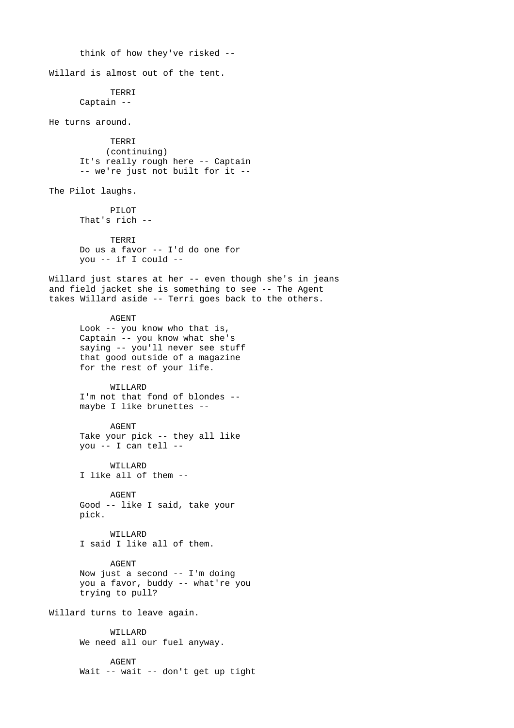think of how they've risked -- Willard is almost out of the tent. TERRI Captain -- He turns around. TERRI (continuing) It's really rough here -- Captain -- we're just not built for it -- The Pilot laughs. PILOT That's rich -- TERRI Do us a favor -- I'd do one for you -- if I could -- Willard just stares at her -- even though she's in jeans and field jacket she is something to see -- The Agent takes Willard aside -- Terri goes back to the others. AGENT Look -- you know who that is, Captain -- you know what she's saying -- you'll never see stuff that good outside of a magazine for the rest of your life. WILLARD I'm not that fond of blondes - maybe I like brunettes -- AGENT Take your pick -- they all like you -- I can tell -- WILLARD I like all of them -- AGENT Good -- like I said, take your pick. WILLARD I said I like all of them. AGENT Now just a second -- I'm doing you a favor, buddy -- what're you trying to pull? Willard turns to leave again. WILLARD We need all our fuel anyway. AGENT Wait -- wait -- don't get up tight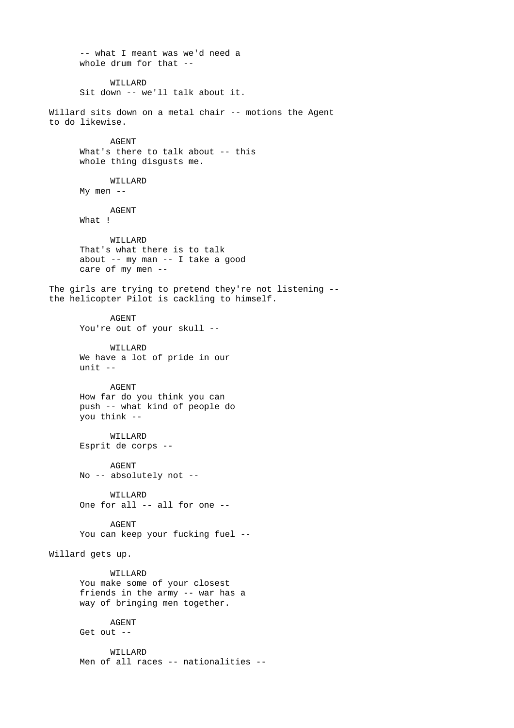-- what I meant was we'd need a whole drum for that -- WILLARD Sit down -- we'll talk about it. Willard sits down on a metal chair -- motions the Agent to do likewise. AGENT What's there to talk about -- this whole thing disgusts me. WILLARD My men -- AGENT What ! WILLARD That's what there is to talk about -- my man -- I take a good care of my men -- The girls are trying to pretend they're not listening - the helicopter Pilot is cackling to himself. AGENT You're out of your skull -- WILLARD We have a lot of pride in our  $unit - -$ AGENT How far do you think you can push -- what kind of people do you think -- WILLARD Esprit de corps -- AGENT No -- absolutely not -- WILLARD One for all -- all for one -- AGENT You can keep your fucking fuel -- Willard gets up. WILLARD You make some of your closest friends in the army -- war has a way of bringing men together. AGENT Get out -- WILLARD Men of all races -- nationalities --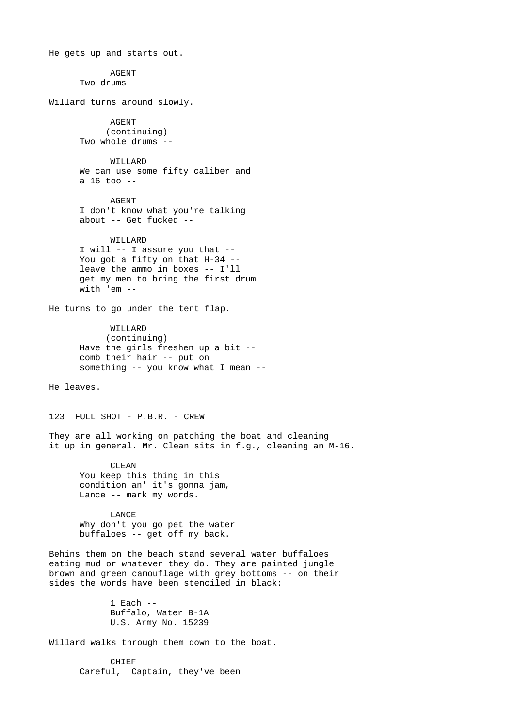He gets up and starts out. AGENT Two drums -- Willard turns around slowly. AGENT (continuing) Two whole drums -- **WILLARD** We can use some fifty caliber and a 16 too -- AGENT I don't know what you're talking about -- Get fucked -- WILLARD I will -- I assure you that -- You got a fifty on that H-34 -leave the ammo in boxes -- I'll get my men to bring the first drum with 'em -- He turns to go under the tent flap. WILLARD (continuing) Have the girls freshen up a bit - comb their hair -- put on something -- you know what I mean -- He leaves. 123 FULL SHOT - P.B.R. - CREW They are all working on patching the boat and cleaning it up in general. Mr. Clean sits in f.g., cleaning an M-16. CLEAN You keep this thing in this condition an' it's gonna jam, Lance -- mark my words. LANCE Why don't you go pet the water buffaloes -- get off my back. Behins them on the beach stand several water buffaloes eating mud or whatever they do. They are painted jungle brown and green camouflage with grey bottoms -- on their sides the words have been stenciled in black: 1 Each -- Buffalo, Water B-1A U.S. Army No. 15239 Willard walks through them down to the boat. **CHTEF** Careful, Captain, they've been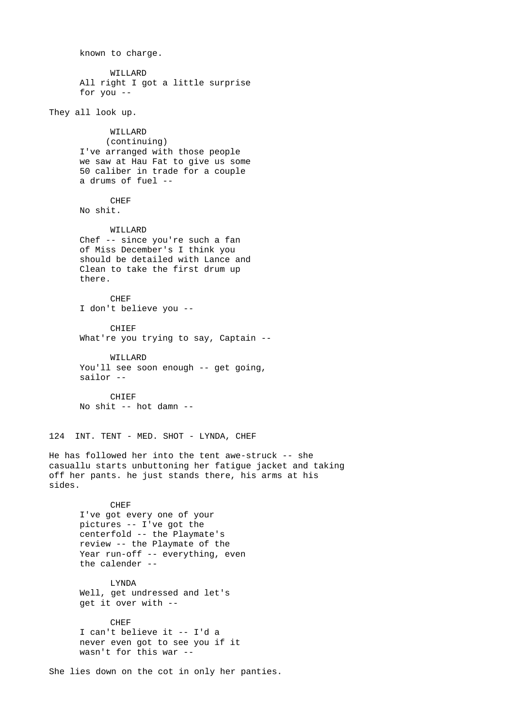known to charge. WILLARD All right I got a little surprise for you -- They all look up. WILLARD (continuing) I've arranged with those people we saw at Hau Fat to give us some 50 caliber in trade for a couple a drums of fuel -- CHEF No shit. WILLARD Chef -- since you're such a fan of Miss December's I think you should be detailed with Lance and Clean to take the first drum up there. CHEF I don't believe you -- CHIEF What're you trying to say, Captain -- WILLARD You'll see soon enough -- get going, sailor -- CHIEF No shit -- hot damn -- 124 INT. TENT - MED. SHOT - LYNDA, CHEF He has followed her into the tent awe-struck -- she casuallu starts unbuttoning her fatigue jacket and taking off her pants. he just stands there, his arms at his sides. CHEF I've got every one of your pictures -- I've got the centerfold -- the Playmate's review -- the Playmate of the Year run-off -- everything, even the calender -- LYNDA Well, get undressed and let's get it over with -- CHEF I can't believe it -- I'd a never even got to see you if it wasn't for this war -- She lies down on the cot in only her panties.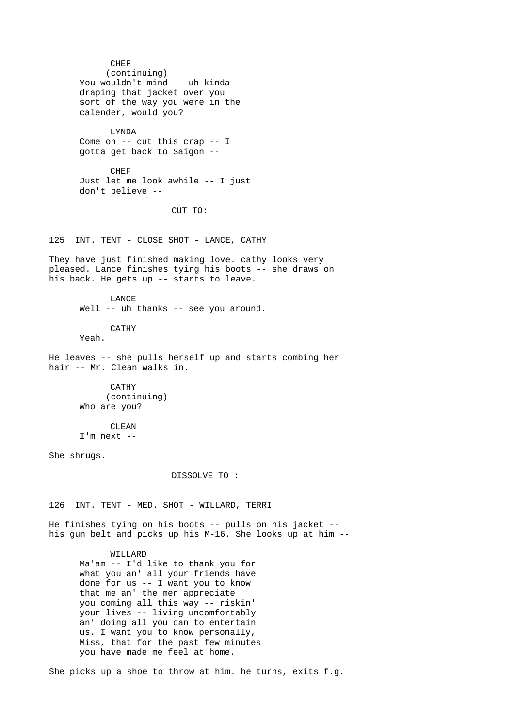CHEF (continuing) You wouldn't mind -- uh kinda draping that jacket over you sort of the way you were in the calender, would you? LYNDA Come on -- cut this crap -- I gotta get back to Saigon -- CHEF Just let me look awhile -- I just don't believe -- CUT TO: 125 INT. TENT - CLOSE SHOT - LANCE, CATHY They have just finished making love. cathy looks very pleased. Lance finishes tying his boots -- she draws on his back. He gets up -- starts to leave. LANCE Well -- uh thanks -- see you around. CATHY Yeah. He leaves -- she pulls herself up and starts combing her hair -- Mr. Clean walks in. CATHY (continuing) Who are you? CLEAN I'm next -- She shrugs. DISSOLVE TO : 126 INT. TENT - MED. SHOT - WILLARD, TERRI He finishes tying on his boots -- pulls on his jacket - his gun belt and picks up his M-16. She looks up at him -- WILLARD Ma'am -- I'd like to thank you for what you an' all your friends have done for us -- I want you to know that me an' the men appreciate you coming all this way -- riskin' your lives -- living uncomfortably an' doing all you can to entertain us. I want you to know personally, Miss, that for the past few minutes you have made me feel at home.

She picks up a shoe to throw at him. he turns, exits f.g.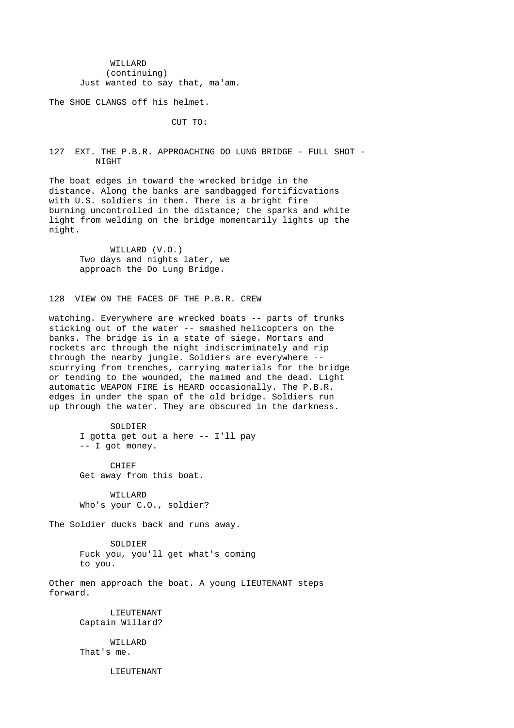## WILLARD (continuing) Just wanted to say that, ma'am.

The SHOE CLANGS off his helmet.

CUT TO:

### 127 EXT. THE P.B.R. APPROACHING DO LUNG BRIDGE - FULL SHOT - **NTGHT**

The boat edges in toward the wrecked bridge in the distance. Along the banks are sandbagged fortificvations with U.S. soldiers in them. There is a bright fire burning uncontrolled in the distance; the sparks and white light from welding on the bridge momentarily lights up the night.

> WILLARD (V.O.) Two days and nights later, we approach the Do Lung Bridge.

128 VIEW ON THE FACES OF THE P.B.R. CREW

watching. Everywhere are wrecked boats -- parts of trunks sticking out of the water -- smashed helicopters on the banks. The bridge is in a state of siege. Mortars and rockets arc through the night indiscriminately and rip through the nearby jungle. Soldiers are everywhere - scurrying from trenches, carrying materials for the bridge or tending to the wounded, the maimed and the dead. Light automatic WEAPON FIRE is HEARD occasionally. The P.B.R. edges in under the span of the old bridge. Soldiers run up through the water. They are obscured in the darkness.

> SOLDIER I gotta get out a here -- I'll pay -- I got money.

CHIEF Get away from this boat.

WILLARD Who's your C.O., soldier?

The Soldier ducks back and runs away.

SOLDIER Fuck you, you'll get what's coming to you.

Other men approach the boat. A young LIEUTENANT steps forward.

> LIEUTENANT Captain Willard?

WILLARD That's me.

LIEUTENANT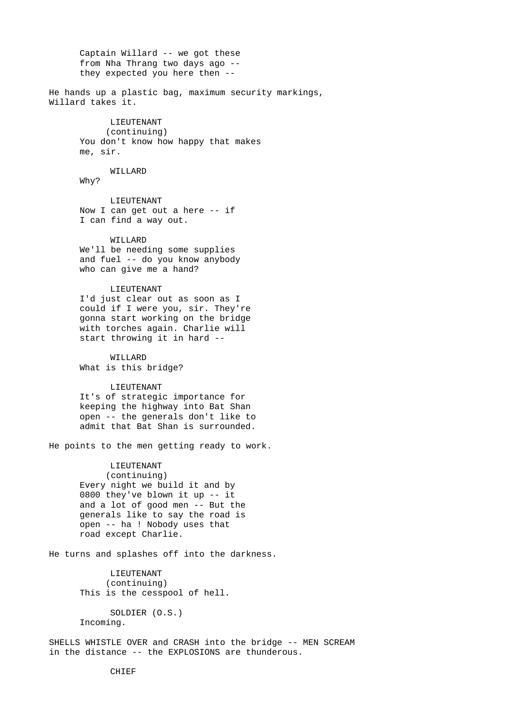Captain Willard -- we got these from Nha Thrang two days ago - they expected you here then -- He hands up a plastic bag, maximum security markings, Willard takes it. LIEUTENANT (continuing) You don't know how happy that makes me, sir. WILLARD Why? LIEUTENANT Now I can get out a here -- if I can find a way out. WILLARD We'll be needing some supplies and fuel -- do you know anybody who can give me a hand? LIEUTENANT I'd just clear out as soon as I could if I were you, sir. They're gonna start working on the bridge with torches again. Charlie will start throwing it in hard -- WILLARD What is this bridge? LIEUTENANT It's of strategic importance for keeping the highway into Bat Shan open -- the generals don't like to admit that Bat Shan is surrounded. He points to the men getting ready to work. LIEUTENANT (continuing) Every night we build it and by 0800 they've blown it up -- it and a lot of good men -- But the generals like to say the road is open -- ha ! Nobody uses that road except Charlie. He turns and splashes off into the darkness. LIEUTENANT (continuing) This is the cesspool of hell. SOLDIER (O.S.) Incoming. SHELLS WHISTLE OVER and CRASH into the bridge -- MEN SCREAM in the distance -- the EXPLOSIONS are thunderous.

CHIEF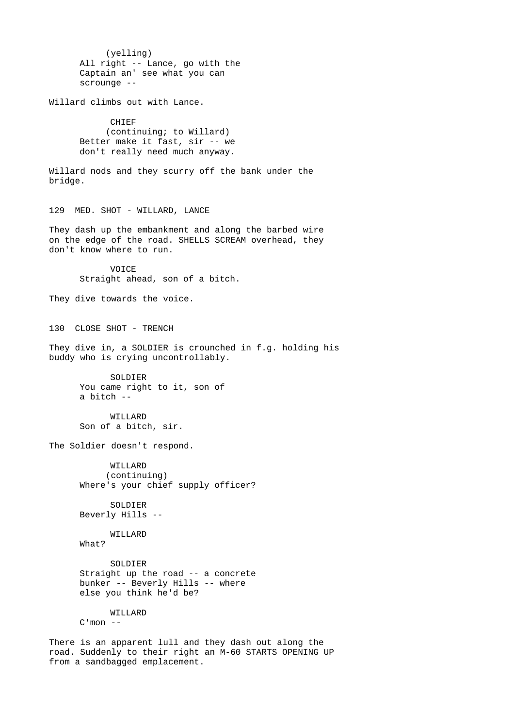(yelling) All right -- Lance, go with the Captain an' see what you can scrounge -- Willard climbs out with Lance. CHIEF (continuing; to Willard) Better make it fast, sir -- we don't really need much anyway. Willard nods and they scurry off the bank under the bridge. 129 MED. SHOT - WILLARD, LANCE They dash up the embankment and along the barbed wire on the edge of the road. SHELLS SCREAM overhead, they don't know where to run. VOICE Straight ahead, son of a bitch. They dive towards the voice. 130 CLOSE SHOT - TRENCH They dive in, a SOLDIER is crounched in f.g. holding his buddy who is crying uncontrollably. SOLDIER You came right to it, son of a bitch -- WILLARD Son of a bitch, sir. The Soldier doesn't respond. WILLARD (continuing) Where's your chief supply officer? SOLDIER Beverly Hills -- WILLARD What? SOLDIER Straight up the road -- a concrete bunker -- Beverly Hills -- where else you think he'd be? WILLARD C'mon -- There is an apparent lull and they dash out along the road. Suddenly to their right an M-60 STARTS OPENING UP

from a sandbagged emplacement.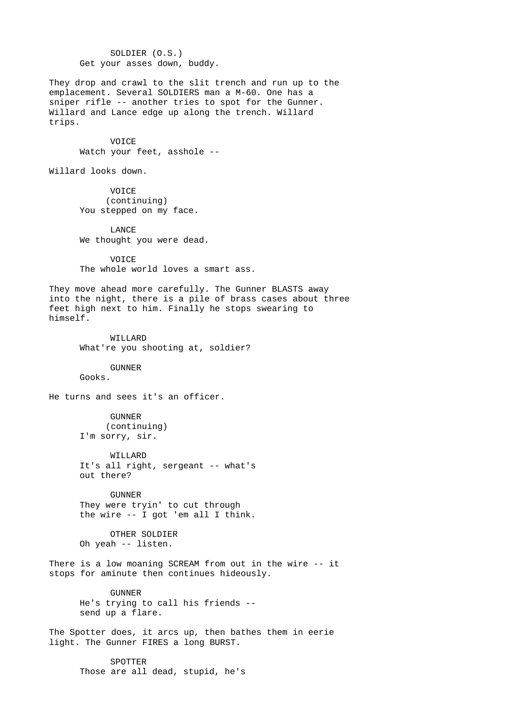# SOLDIER (O.S.) Get your asses down, buddy.

They drop and crawl to the slit trench and run up to the emplacement. Several SOLDIERS man a M-60. One has a sniper rifle -- another tries to spot for the Gunner. Willard and Lance edge up along the trench. Willard trips.

VOICE Watch your feet, asshole --

Willard looks down.

VOICE (continuing) You stepped on my face.

LANCE We thought you were dead.

VOICE The whole world loves a smart ass.

They move ahead more carefully. The Gunner BLASTS away into the night, there is a pile of brass cases about three feet high next to him. Finally he stops swearing to himself.

> WTI LARD What're you shooting at, soldier?

GUNNER Gooks.

He turns and sees it's an officer.

GUNNER (continuing) I'm sorry, sir.

WILLARD It's all right, sergeant -- what's out there?

GUNNER They were tryin' to cut through the wire -- I got 'em all I think.

OTHER SOLDIER Oh yeah -- listen.

There is a low moaning SCREAM from out in the wire -- it stops for aminute then continues hideously.

> GUNNER He's trying to call his friends - send up a flare.

The Spotter does, it arcs up, then bathes them in eerie light. The Gunner FIRES a long BURST.

> **SPOTTER** Those are all dead, stupid, he's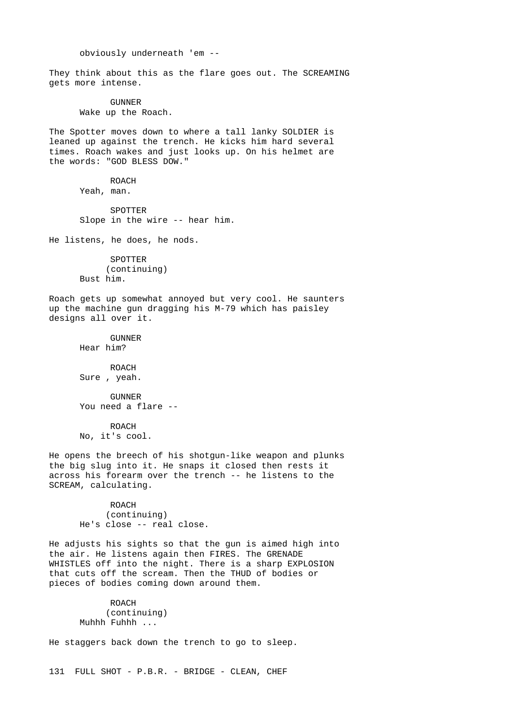They think about this as the flare goes out. The SCREAMING gets more intense. **GUNNER** Wake up the Roach. The Spotter moves down to where a tall lanky SOLDIER is leaned up against the trench. He kicks him hard several times. Roach wakes and just looks up. On his helmet are the words: "GOD BLESS DOW." ROACH Yeah, man. SPOTTER Slope in the wire -- hear him. He listens, he does, he nods. SPOTTER (continuing) Bust him. Roach gets up somewhat annoyed but very cool. He saunters up the machine gun dragging his M-79 which has paisley designs all over it. **GUNNER** Hear him? ROACH Sure , yeah. GUNNER You need a flare -- ROACH No, it's cool. He opens the breech of his shotgun-like weapon and plunks the big slug into it. He snaps it closed then rests it across his forearm over the trench -- he listens to the SCREAM, calculating. ROACH (continuing) He's close -- real close. He adjusts his sights so that the gun is aimed high into the air. He listens again then FIRES. The GRENADE WHISTLES off into the night. There is a sharp EXPLOSION that cuts off the scream. Then the THUD of bodies or pieces of bodies coming down around them. ROACH (continuing) Muhhh Fuhhh ... He staggers back down the trench to go to sleep.

obviously underneath 'em --

131 FULL SHOT - P.B.R. - BRIDGE - CLEAN, CHEF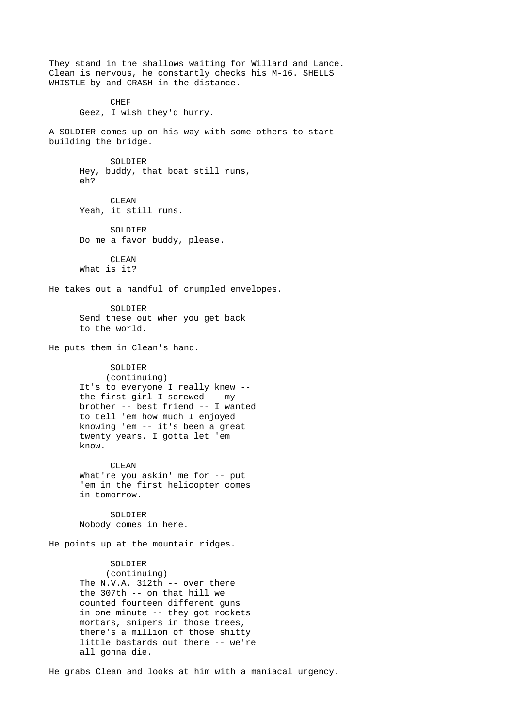They stand in the shallows waiting for Willard and Lance. Clean is nervous, he constantly checks his M-16. SHELLS WHISTLE by and CRASH in the distance. CHEF Geez, I wish they'd hurry. A SOLDIER comes up on his way with some others to start building the bridge. SOLDIER Hey, buddy, that boat still runs, eh? CLEAN Yeah, it still runs. SOLDIER Do me a favor buddy, please. CLEAN What is it? He takes out a handful of crumpled envelopes. SOLDIER Send these out when you get back to the world. He puts them in Clean's hand. SOLDIER (continuing) It's to everyone I really knew - the first girl I screwed -- my brother -- best friend -- I wanted to tell 'em how much I enjoyed knowing 'em -- it's been a great twenty years. I gotta let 'em know. CLEAN What're you askin' me for -- put 'em in the first helicopter comes in tomorrow. SOLDIER Nobody comes in here. He points up at the mountain ridges. SOLDIER (continuing) The N.V.A. 312th -- over there the 307th -- on that hill we counted fourteen different guns in one minute -- they got rockets mortars, snipers in those trees, there's a million of those shitty little bastards out there -- we're all gonna die.

He grabs Clean and looks at him with a maniacal urgency.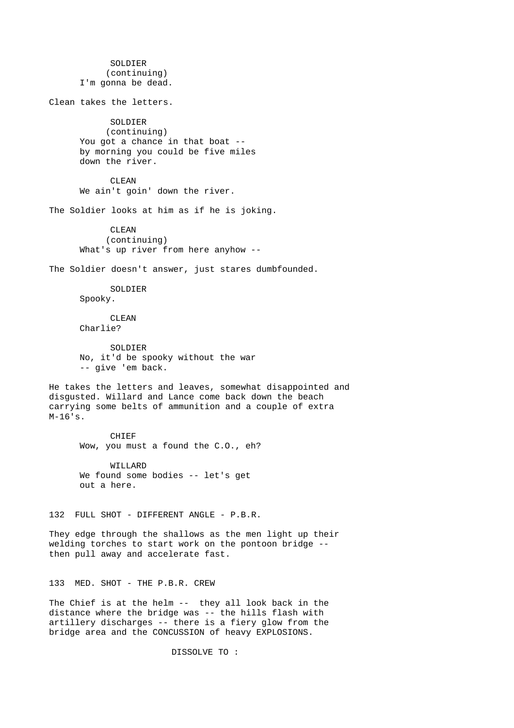SOLDIER (continuing) I'm gonna be dead. Clean takes the letters. SOLDIER (continuing) You got a chance in that boat - by morning you could be five miles down the river. CLEAN We ain't goin' down the river. The Soldier looks at him as if he is joking. CLEAN (continuing) What's up river from here anyhow -- The Soldier doesn't answer, just stares dumbfounded. SOLDIER Spooky. CLEAN Charlie? SOLDIER No, it'd be spooky without the war -- give 'em back. He takes the letters and leaves, somewhat disappointed and disgusted. Willard and Lance come back down the beach carrying some belts of ammunition and a couple of extra  $M-16$ <sup>'s.</sup> CHIEF Wow, you must a found the C.O., eh? WILLARD We found some bodies -- let's get out a here. 132 FULL SHOT - DIFFERENT ANGLE - P.B.R. They edge through the shallows as the men light up their welding torches to start work on the pontoon bridge - then pull away and accelerate fast. 133 MED. SHOT - THE P.B.R. CREW The Chief is at the helm -- they all look back in the distance where the bridge was -- the hills flash with artillery discharges -- there is a fiery glow from the bridge area and the CONCUSSION of heavy EXPLOSIONS.

DISSOLVE TO :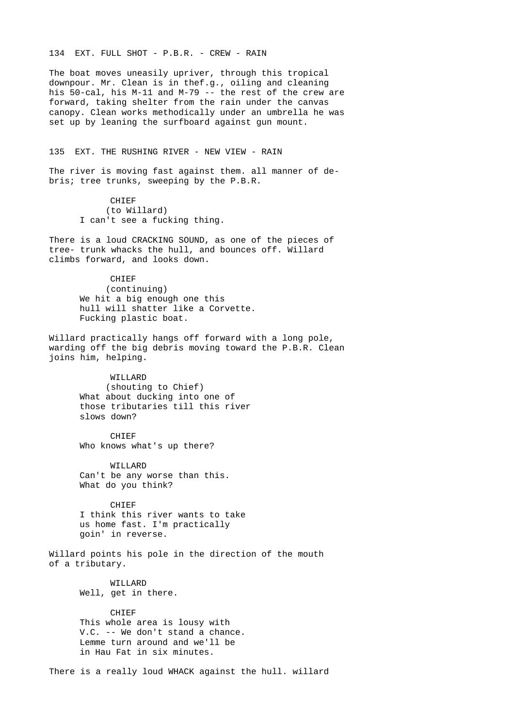134 EXT. FULL SHOT - P.B.R. - CREW - RAIN

The boat moves uneasily upriver, through this tropical downpour. Mr. Clean is in thef.g., oiling and cleaning his 50-cal, his M-11 and M-79 -- the rest of the crew are forward, taking shelter from the rain under the canvas canopy. Clean works methodically under an umbrella he was set up by leaning the surfboard against gun mount.

135 EXT. THE RUSHING RIVER - NEW VIEW - RAIN

The river is moving fast against them. all manner of debris; tree trunks, sweeping by the P.B.R.

> CHIEF (to Willard) I can't see a fucking thing.

There is a loud CRACKING SOUND, as one of the pieces of tree- trunk whacks the hull, and bounces off. Willard climbs forward, and looks down.

> CHIEF (continuing) We hit a big enough one this hull will shatter like a Corvette. Fucking plastic boat.

Willard practically hangs off forward with a long pole, warding off the big debris moving toward the P.B.R. Clean joins him, helping.

> WILLARD (shouting to Chief) What about ducking into one of those tributaries till this river slows down?

CHIEF Who knows what's up there?

WILLARD Can't be any worse than this. What do you think?

CHIEF I think this river wants to take us home fast. I'm practically goin' in reverse.

Willard points his pole in the direction of the mouth of a tributary.

> WILLARD Well, get in there.

CHIEF This whole area is lousy with V.C. -- We don't stand a chance. Lemme turn around and we'll be in Hau Fat in six minutes.

There is a really loud WHACK against the hull. willard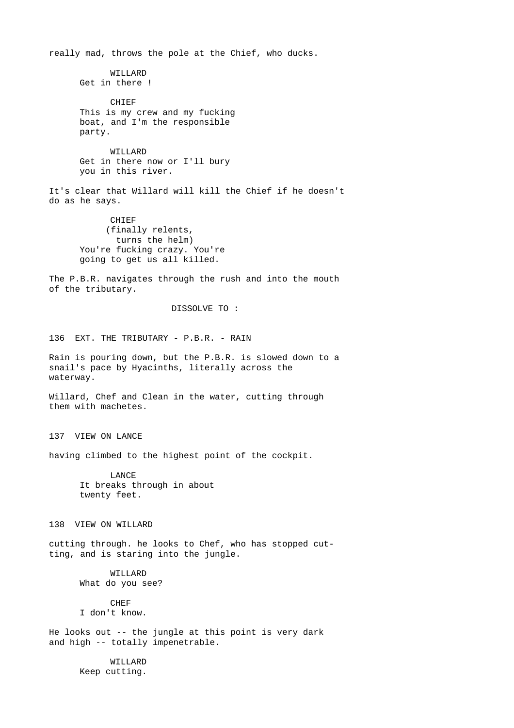really mad, throws the pole at the Chief, who ducks. WILLARD Get in there ! **CHTEF** This is my crew and my fucking boat, and I'm the responsible party. WILLARD Get in there now or I'll bury you in this river. It's clear that Willard will kill the Chief if he doesn't do as he says. CHIEF (finally relents, turns the helm) You're fucking crazy. You're going to get us all killed. The P.B.R. navigates through the rush and into the mouth of the tributary. DISSOLVE TO : 136 EXT. THE TRIBUTARY - P.B.R. - RAIN Rain is pouring down, but the P.B.R. is slowed down to a snail's pace by Hyacinths, literally across the waterway. Willard, Chef and Clean in the water, cutting through them with machetes. 137 VIEW ON LANCE having climbed to the highest point of the cockpit. LANCE It breaks through in about twenty feet. 138 VIEW ON WILLARD cutting through. he looks to Chef, who has stopped cutting, and is staring into the jungle. WILLARD What do you see? CHEF I don't know. He looks out -- the jungle at this point is very dark and high -- totally impenetrable. WILLARD Keep cutting.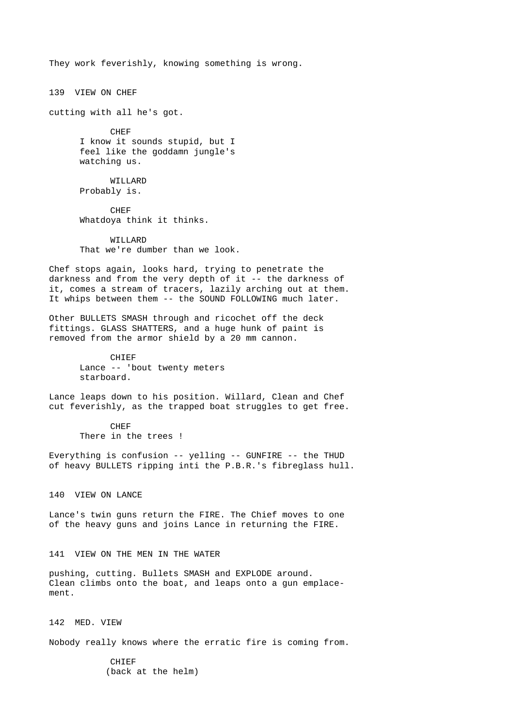They work feverishly, knowing something is wrong. 139 VIEW ON CHEF

cutting with all he's got.

CHEF I know it sounds stupid, but I feel like the goddamn jungle's watching us.

WILLARD Probably is.

CHEF Whatdoya think it thinks.

WILLARD That we're dumber than we look.

Chef stops again, looks hard, trying to penetrate the darkness and from the very depth of it -- the darkness of it, comes a stream of tracers, lazily arching out at them. It whips between them -- the SOUND FOLLOWING much later.

Other BULLETS SMASH through and ricochet off the deck fittings. GLASS SHATTERS, and a huge hunk of paint is removed from the armor shield by a 20 mm cannon.

> CHIEF Lance -- 'bout twenty meters starboard.

Lance leaps down to his position. Willard, Clean and Chef cut feverishly, as the trapped boat struggles to get free.

CHEF There in the trees !

Everything is confusion -- yelling -- GUNFIRE -- the THUD of heavy BULLETS ripping inti the P.B.R.'s fibreglass hull.

140 VIEW ON LANCE

Lance's twin guns return the FIRE. The Chief moves to one of the heavy guns and joins Lance in returning the FIRE.

141 VIEW ON THE MEN IN THE WATER

pushing, cutting. Bullets SMASH and EXPLODE around. Clean climbs onto the boat, and leaps onto a gun emplacement.

142 MED. VIEW

Nobody really knows where the erratic fire is coming from.

CHIEF (back at the helm)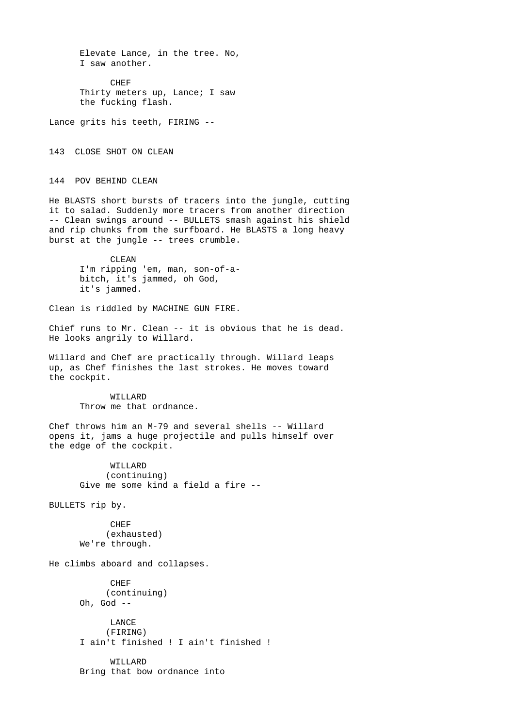Elevate Lance, in the tree. No, I saw another. CHEF Thirty meters up, Lance; I saw the fucking flash. Lance grits his teeth, FIRING -- 143 CLOSE SHOT ON CLEAN 144 POV BEHIND CLEAN He BLASTS short bursts of tracers into the jungle, cutting it to salad. Suddenly more tracers from another direction -- Clean swings around -- BULLETS smash against his shield and rip chunks from the surfboard. He BLASTS a long heavy burst at the jungle -- trees crumble. CLEAN I'm ripping 'em, man, son-of-abitch, it's jammed, oh God, it's jammed. Clean is riddled by MACHINE GUN FIRE. Chief runs to Mr. Clean -- it is obvious that he is dead. He looks angrily to Willard. Willard and Chef are practically through. Willard leaps up, as Chef finishes the last strokes. He moves toward the cockpit. WILLARD Throw me that ordnance. Chef throws him an M-79 and several shells -- Willard opens it, jams a huge projectile and pulls himself over the edge of the cockpit. WILLARD (continuing) Give me some kind a field a fire -- BULLETS rip by. CHEF (exhausted) We're through. He climbs aboard and collapses. CHEF (continuing) Oh, God -- LANCE (FIRING) I ain't finished ! I ain't finished ! WILLARD Bring that bow ordnance into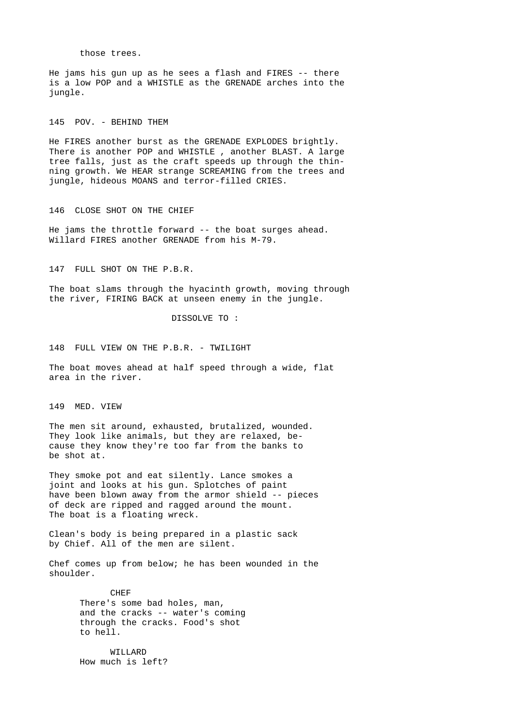those trees.

He jams his gun up as he sees a flash and FIRES -- there is a low POP and a WHISTLE as the GRENADE arches into the jungle.

145 POV. - BEHIND THEM

He FIRES another burst as the GRENADE EXPLODES brightly. There is another POP and WHISTLE , another BLAST. A large tree falls, just as the craft speeds up through the thinning growth. We HEAR strange SCREAMING from the trees and jungle, hideous MOANS and terror-filled CRIES.

146 CLOSE SHOT ON THE CHIEF

He jams the throttle forward -- the boat surges ahead. Willard FIRES another GRENADE from his M-79.

147 FULL SHOT ON THE P.B.R.

The boat slams through the hyacinth growth, moving through the river, FIRING BACK at unseen enemy in the jungle.

DISSOLVE TO :

148 FULL VIEW ON THE P.B.R. - TWILIGHT

The boat moves ahead at half speed through a wide, flat area in the river.

149 MED. VIEW

The men sit around, exhausted, brutalized, wounded. They look like animals, but they are relaxed, because they know they're too far from the banks to be shot at.

They smoke pot and eat silently. Lance smokes a joint and looks at his gun. Splotches of paint have been blown away from the armor shield -- pieces of deck are ripped and ragged around the mount. The boat is a floating wreck.

Clean's body is being prepared in a plastic sack by Chief. All of the men are silent.

Chef comes up from below; he has been wounded in the shoulder.

> CHEF There's some bad holes, man, and the cracks -- water's coming through the cracks. Food's shot to hell.

WILLARD How much is left?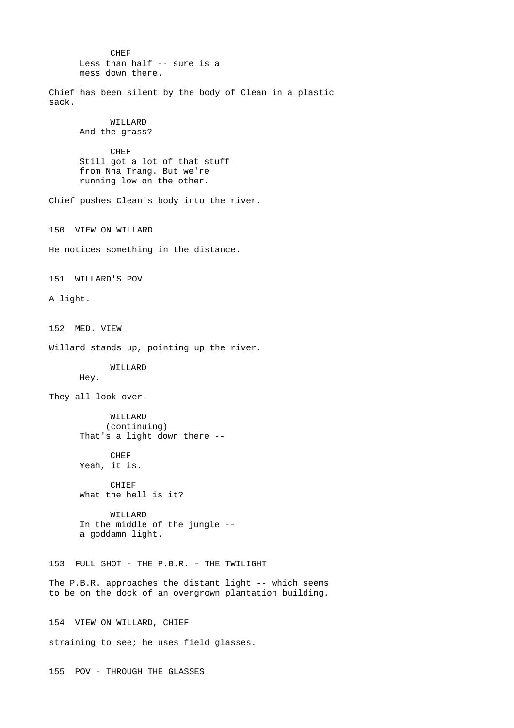CHEF Less than half -- sure is a mess down there. Chief has been silent by the body of Clean in a plastic sack. WILLARD And the grass? CHEF Still got a lot of that stuff from Nha Trang. But we're running low on the other. Chief pushes Clean's body into the river. 150 VIEW ON WILLARD He notices something in the distance. 151 WILLARD'S POV A light. 152 MED. VIEW Willard stands up, pointing up the river. WILLARD Hey. They all look over. WILLARD (continuing) That's a light down there -- CHEF Yeah, it is. CHIEF What the hell is it? WILLARD In the middle of the jungle - a goddamn light. 153 FULL SHOT - THE P.B.R. - THE TWILIGHT The P.B.R. approaches the distant light -- which seems to be on the dock of an overgrown plantation building. 154 VIEW ON WILLARD, CHIEF straining to see; he uses field glasses. 155 POV - THROUGH THE GLASSES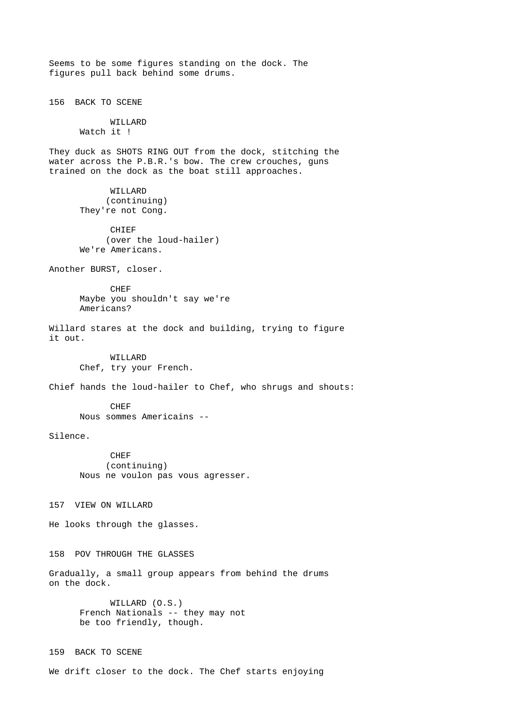Seems to be some figures standing on the dock. The figures pull back behind some drums. 156 BACK TO SCENE WILLARD Watch it ! They duck as SHOTS RING OUT from the dock, stitching the water across the P.B.R.'s bow. The crew crouches, guns trained on the dock as the boat still approaches. WILLARD (continuing) They're not Cong. CHIEF (over the loud-hailer) We're Americans. Another BURST, closer. CHEF Maybe you shouldn't say we're Americans? Willard stares at the dock and building, trying to figure it out. WILL ARD Chef, try your French. Chief hands the loud-hailer to Chef, who shrugs and shouts: CHEF Nous sommes Americains -- Silence. CHEF (continuing) Nous ne voulon pas vous agresser. 157 VIEW ON WILLARD He looks through the glasses. 158 POV THROUGH THE GLASSES Gradually, a small group appears from behind the drums on the dock. WILLARD (O.S.) French Nationals -- they may not be too friendly, though. 159 BACK TO SCENE

We drift closer to the dock. The Chef starts enjoying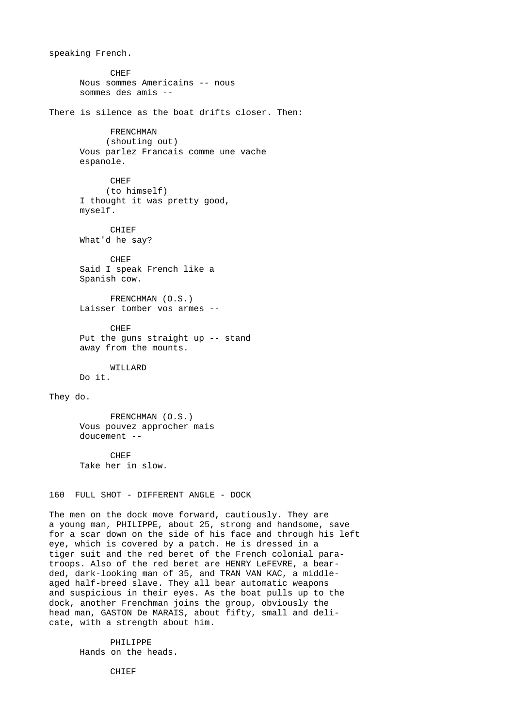speaking French. CHEF Nous sommes Americains -- nous sommes des amis -- There is silence as the boat drifts closer. Then: FRENCHMAN (shouting out) Vous parlez Francais comme une vache espanole. CHEF (to himself) I thought it was pretty good, myself. CHIEF What'd he say? CHEF Said I speak French like a Spanish cow. FRENCHMAN (O.S.) Laisser tomber vos armes -- CHEF Put the guns straight up -- stand away from the mounts. WILLARD Do it. They do. FRENCHMAN (O.S.) Vous pouvez approcher mais doucement -- CHEF Take her in slow. 160 FULL SHOT - DIFFERENT ANGLE - DOCK The men on the dock move forward, cautiously. They are

a young man, PHILIPPE, about 25, strong and handsome, save for a scar down on the side of his face and through his left eye, which is covered by a patch. He is dressed in a tiger suit and the red beret of the French colonial paratroops. Also of the red beret are HENRY LeFEVRE, a bearded, dark-looking man of 35, and TRAN VAN KAC, a middleaged half-breed slave. They all bear automatic weapons and suspicious in their eyes. As the boat pulls up to the dock, another Frenchman joins the group, obviously the head man, GASTON De MARAIS, about fifty, small and delicate, with a strength about him.

PHILIPPE Hands on the heads.

CHIEF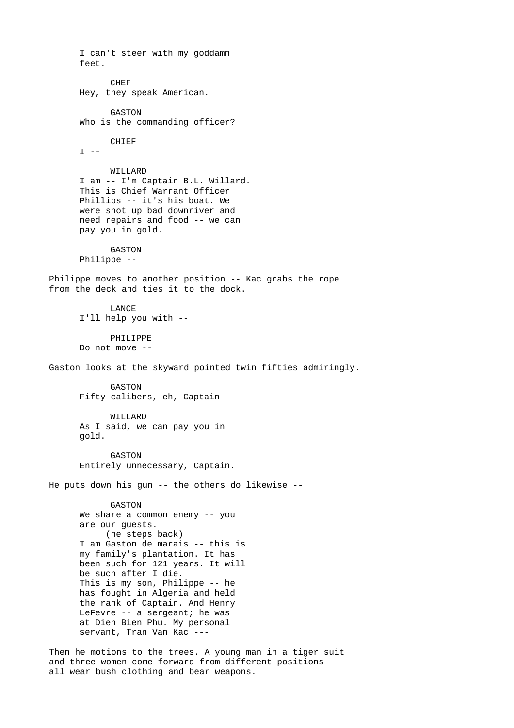I can't steer with my goddamn feet. CHEF Hey, they speak American. GASTON Who is the commanding officer? CHIEF  $T = -1$ WILLARD I am -- I'm Captain B.L. Willard. This is Chief Warrant Officer Phillips -- it's his boat. We were shot up bad downriver and need repairs and food -- we can pay you in gold. GASTON Philippe -- Philippe moves to another position -- Kac grabs the rope from the deck and ties it to the dock. LANCE I'll help you with -- PHTI TPPF Do not move -- Gaston looks at the skyward pointed twin fifties admiringly. GASTON Fifty calibers, eh, Captain -- WILLARD As I said, we can pay you in gold. GASTON Entirely unnecessary, Captain. He puts down his gun -- the others do likewise -- GASTON We share a common enemy -- you are our guests. (he steps back) I am Gaston de marais -- this is my family's plantation. It has been such for 121 years. It will be such after I die. This is my son, Philippe -- he has fought in Algeria and held the rank of Captain. And Henry LeFevre -- a sergeant; he was at Dien Bien Phu. My personal servant, Tran Van Kac --- Then he motions to the trees. A young man in a tiger suit

and three women come forward from different positions - all wear bush clothing and bear weapons.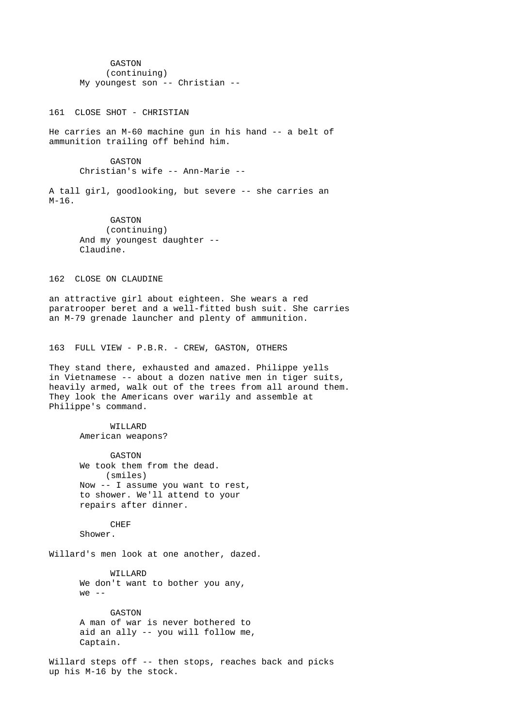GASTON (continuing) My youngest son -- Christian --

161 CLOSE SHOT - CHRISTIAN

He carries an M-60 machine gun in his hand -- a belt of ammunition trailing off behind him.

> GASTON Christian's wife -- Ann-Marie --

A tall girl, goodlooking, but severe -- she carries an M-16.

> GASTON (continuing) And my youngest daughter -- Claudine.

162 CLOSE ON CLAUDINE

an attractive girl about eighteen. She wears a red paratrooper beret and a well-fitted bush suit. She carries an M-79 grenade launcher and plenty of ammunition.

163 FULL VIEW - P.B.R. - CREW, GASTON, OTHERS

They stand there, exhausted and amazed. Philippe yells in Vietnamese -- about a dozen native men in tiger suits, heavily armed, walk out of the trees from all around them. They look the Americans over warily and assemble at Philippe's command.

> WILLARD American weapons?

GASTON We took them from the dead. (smiles) Now -- I assume you want to rest, to shower. We'll attend to your repairs after dinner.

CHEF

Shower.

Willard's men look at one another, dazed.

WILLARD We don't want to bother you any, we --

GASTON A man of war is never bothered to aid an ally -- you will follow me, Captain.

Willard steps off -- then stops, reaches back and picks up his M-16 by the stock.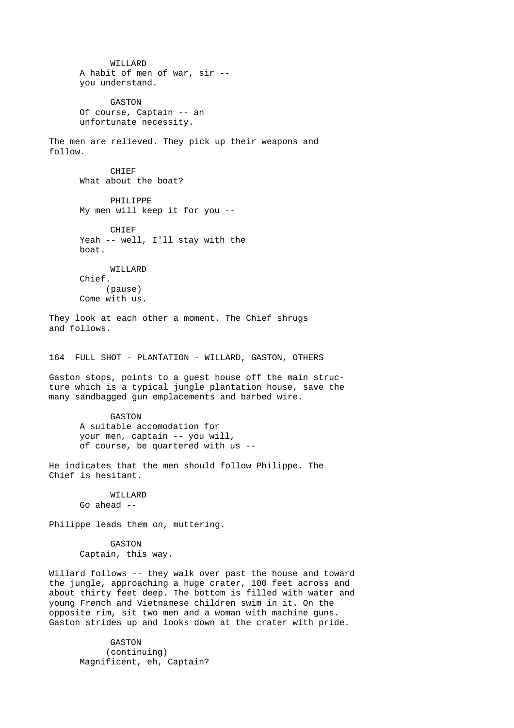WILLARD A habit of men of war, sir - you understand. GASTON Of course, Captain -- an unfortunate necessity. The men are relieved. They pick up their weapons and follow. **CHTEE** What about the boat? PHILIPPE My men will keep it for you -- CHIEF Yeah -- well, I'll stay with the boat. WILLARD Chief. (pause) Come with us. They look at each other a moment. The Chief shrugs and follows. 164 FULL SHOT - PLANTATION - WILLARD, GASTON, OTHERS Gaston stops, points to a guest house off the main structure which is a typical jungle plantation house, save the many sandbagged gun emplacements and barbed wire. GASTON A suitable accomodation for your men, captain -- you will, of course, be quartered with us -- He indicates that the men should follow Philippe. The Chief is hesitant. WILLARD Go ahead -- Philippe leads them on, muttering. GASTON Captain, this way. Willard follows -- they walk over past the house and toward the jungle, approaching a huge crater, 100 feet across and about thirty feet deep. The bottom is filled with water and young French and Vietnamese children swim in it. On the opposite rim, sit two men and a woman with machine guns. Gaston strides up and looks down at the crater with pride. GASTON

 (continuing) Magnificent, eh, Captain?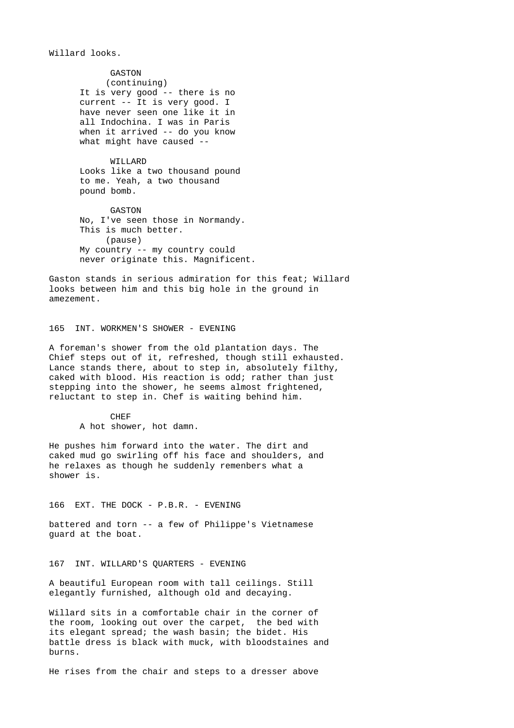Willard looks.

GASTON (continuing) It is very good -- there is no current -- It is very good. I have never seen one like it in all Indochina. I was in Paris when it arrived -- do you know what might have caused --

**WILLARD** Looks like a two thousand pound to me. Yeah, a two thousand pound bomb.

GASTON No, I've seen those in Normandy. This is much better. (pause) My country -- my country could never originate this. Magnificent.

Gaston stands in serious admiration for this feat; Willard looks between him and this big hole in the ground in amezement.

165 INT. WORKMEN'S SHOWER - EVENING

A foreman's shower from the old plantation days. The Chief steps out of it, refreshed, though still exhausted. Lance stands there, about to step in, absolutely filthy, caked with blood. His reaction is odd; rather than just stepping into the shower, he seems almost frightened, reluctant to step in. Chef is waiting behind him.

> CHEF A hot shower, hot damn.

He pushes him forward into the water. The dirt and caked mud go swirling off his face and shoulders, and he relaxes as though he suddenly remenbers what a shower is.

166 EXT. THE DOCK - P.B.R. - EVENING

battered and torn -- a few of Philippe's Vietnamese guard at the boat.

167 INT. WILLARD'S QUARTERS - EVENING

A beautiful European room with tall ceilings. Still elegantly furnished, although old and decaying.

Willard sits in a comfortable chair in the corner of the room, looking out over the carpet, the bed with its elegant spread; the wash basin; the bidet. His battle dress is black with muck, with bloodstaines and burns.

He rises from the chair and steps to a dresser above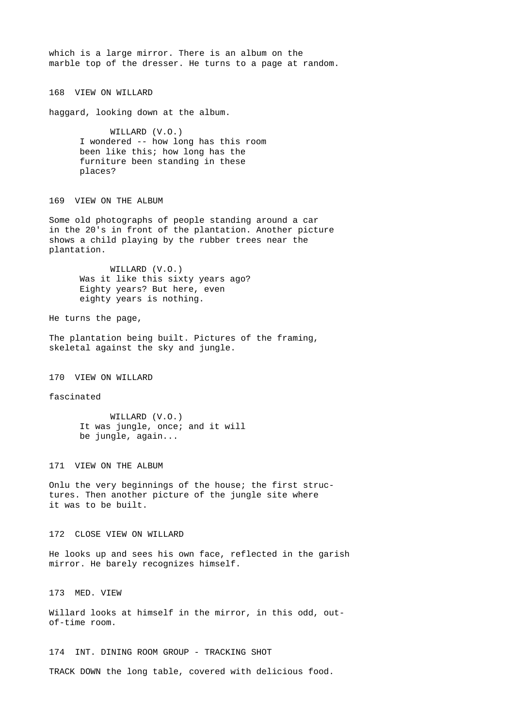which is a large mirror. There is an album on the marble top of the dresser. He turns to a page at random. 168 VIEW ON WILLARD haggard, looking down at the album. WILLARD (V.O.) I wondered -- how long has this room been like this; how long has the furniture been standing in these places? 169 VIEW ON THE ALBUM Some old photographs of people standing around a car in the 20's in front of the plantation. Another picture shows a child playing by the rubber trees near the plantation. WILLARD (V.O.) Was it like this sixty years ago? Eighty years? But here, even eighty years is nothing. He turns the page, The plantation being built. Pictures of the framing, skeletal against the sky and jungle. 170 VIEW ON WILLARD fascinated WILLARD (V.O.) It was jungle, once; and it will be jungle, again... 171 VIEW ON THE ALBUM Onlu the very beginnings of the house; the first structures. Then another picture of the jungle site where it was to be built. 172 CLOSE VIEW ON WILLARD He looks up and sees his own face, reflected in the garish mirror. He barely recognizes himself. 173 MED. VIEW Willard looks at himself in the mirror, in this odd, outof-time room. 174 INT. DINING ROOM GROUP - TRACKING SHOT TRACK DOWN the long table, covered with delicious food.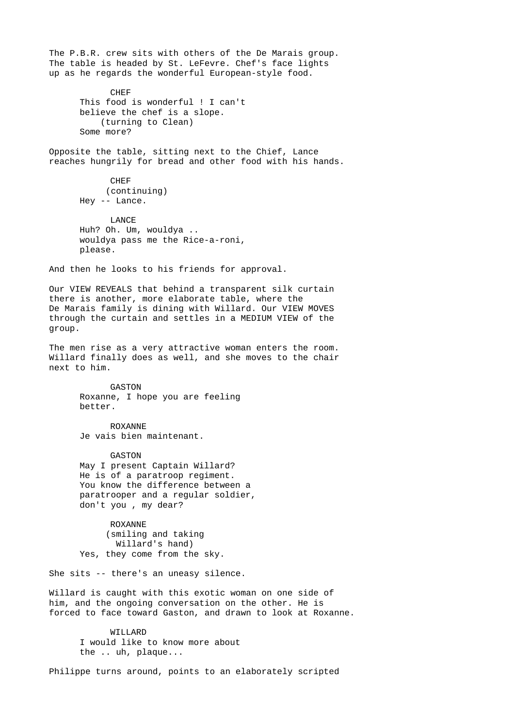The P.B.R. crew sits with others of the De Marais group. The table is headed by St. LeFevre. Chef's face lights up as he regards the wonderful European-style food. CHEF This food is wonderful ! I can't believe the chef is a slope. (turning to Clean) Some more? Opposite the table, sitting next to the Chief, Lance reaches hungrily for bread and other food with his hands. CHEF (continuing) Hey -- Lance. LANCE Huh? Oh. Um, wouldya .. wouldya pass me the Rice-a-roni, please. And then he looks to his friends for approval. Our VIEW REVEALS that behind a transparent silk curtain there is another, more elaborate table, where the De Marais family is dining with Willard. Our VIEW MOVES through the curtain and settles in a MEDIUM VIEW of the group. The men rise as a very attractive woman enters the room. Willard finally does as well, and she moves to the chair next to him. GASTON Roxanne, I hope you are feeling better. ROXANNE Je vais bien maintenant. GASTON May I present Captain Willard? He is of a paratroop regiment. You know the difference between a paratrooper and a regular soldier, don't you , my dear? ROXANNE (smiling and taking Willard's hand) Yes, they come from the sky. She sits -- there's an uneasy silence. Willard is caught with this exotic woman on one side of him, and the ongoing conversation on the other. He is forced to face toward Gaston, and drawn to look at Roxanne. WILLARD I would like to know more about the .. uh, plaque...

Philippe turns around, points to an elaborately scripted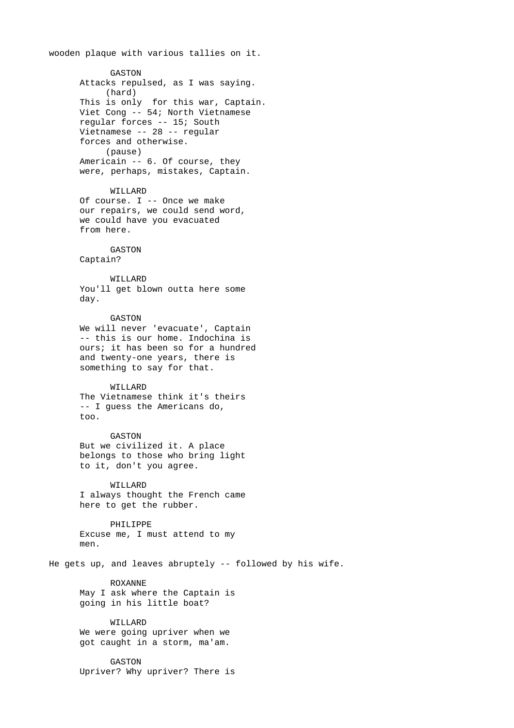wooden plaque with various tallies on it. GASTON Attacks repulsed, as I was saying. (hard) This is only for this war, Captain. Viet Cong -- 54; North Vietnamese regular forces -- 15; South Vietnamese -- 28 -- regular forces and otherwise. (pause) Americain -- 6. Of course, they were, perhaps, mistakes, Captain. WILLARD Of course. I -- Once we make our repairs, we could send word, we could have you evacuated from here. GASTON Captain? WILLARD You'll get blown outta here some day. GASTON We will never 'evacuate', Captain -- this is our home. Indochina is ours; it has been so for a hundred and twenty-one years, there is something to say for that. WILLARD The Vietnamese think it's theirs -- I guess the Americans do, too. GASTON But we civilized it. A place belongs to those who bring light to it, don't you agree. WILLARD I always thought the French came here to get the rubber. PHILIPPE Excuse me, I must attend to my men. He gets up, and leaves abruptely -- followed by his wife. ROXANNE May I ask where the Captain is going in his little boat? WILLARD We were going upriver when we got caught in a storm, ma'am. GASTON Upriver? Why upriver? There is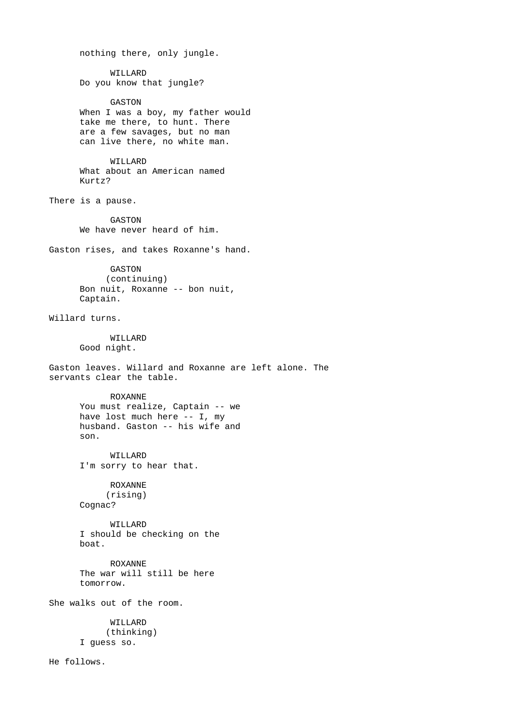nothing there, only jungle. WILLARD Do you know that jungle? GASTON When I was a boy, my father would take me there, to hunt. There are a few savages, but no man can live there, no white man. **WILLARD** What about an American named Kurtz? There is a pause. GASTON We have never heard of him. Gaston rises, and takes Roxanne's hand. GASTON (continuing) Bon nuit, Roxanne -- bon nuit, Captain. Willard turns. WTI LARD Good night. Gaston leaves. Willard and Roxanne are left alone. The servants clear the table. ROXANNE You must realize, Captain -- we have lost much here -- I, my husband. Gaston -- his wife and son. WILLARD I'm sorry to hear that. ROXANNE (rising) Cognac? WILLARD I should be checking on the boat. ROXANNE The war will still be here tomorrow. She walks out of the room. WILLARD (thinking) I guess so. He follows.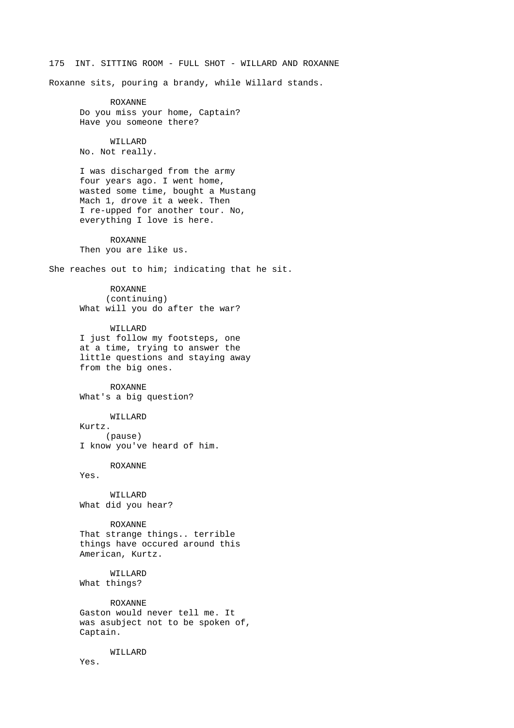175 INT. SITTING ROOM - FULL SHOT - WILLARD AND ROXANNE Roxanne sits, pouring a brandy, while Willard stands. ROXANNE Do you miss your home, Captain? Have you someone there? WILLARD No. Not really. I was discharged from the army four years ago. I went home, wasted some time, bought a Mustang Mach 1, drove it a week. Then I re-upped for another tour. No, everything I love is here. ROXANNE Then you are like us. She reaches out to him; indicating that he sit. ROXANNE (continuing) What will you do after the war? WILLARD I just follow my footsteps, one at a time, trying to answer the little questions and staying away from the big ones. ROXANNE What's a big question? WILLARD Kurtz. (pause) I know you've heard of him. ROXANNE Yes. WILLARD What did you hear? ROXANNE That strange things.. terrible things have occured around this American, Kurtz. WILLARD What things? ROXANNE Gaston would never tell me. It was asubject not to be spoken of, Captain. WILLARD

Yes.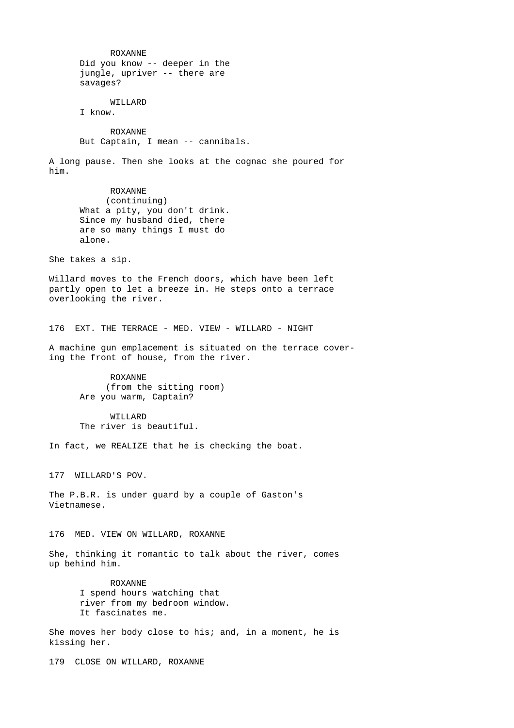ROXANNE Did you know -- deeper in the jungle, upriver -- there are savages? WILLARD I know. ROXANNE But Captain, I mean -- cannibals. A long pause. Then she looks at the cognac she poured for him. ROXANNE (continuing) What a pity, you don't drink. Since my husband died, there are so many things I must do alone. She takes a sip. Willard moves to the French doors, which have been left partly open to let a breeze in. He steps onto a terrace overlooking the river. 176 EXT. THE TERRACE - MED. VIEW - WILLARD - NIGHT A machine gun emplacement is situated on the terrace covering the front of house, from the river. ROXANNE (from the sitting room) Are you warm, Captain? WILLARD The river is beautiful. In fact, we REALIZE that he is checking the boat. 177 WILLARD'S POV. The P.B.R. is under guard by a couple of Gaston's Vietnamese. 176 MED. VIEW ON WILLARD, ROXANNE She, thinking it romantic to talk about the river, comes up behind him. ROXANNE I spend hours watching that river from my bedroom window. It fascinates me. She moves her body close to his; and, in a moment, he is kissing her. 179 CLOSE ON WILLARD, ROXANNE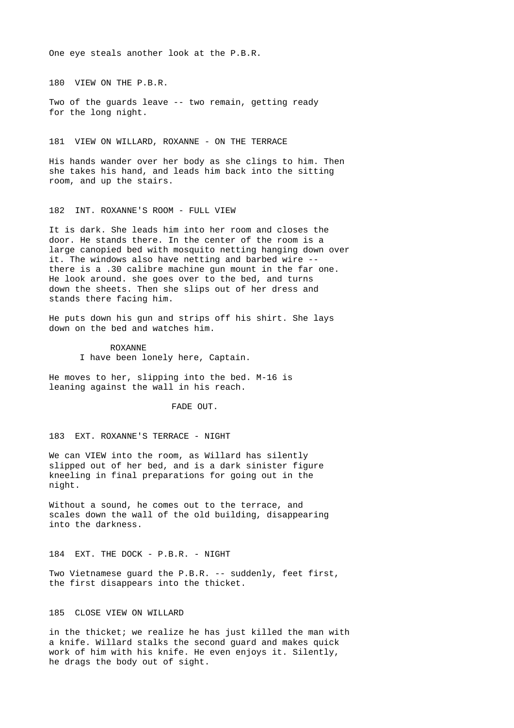One eye steals another look at the P.B.R.

180 VIEW ON THE P.B.R.

Two of the guards leave -- two remain, getting ready for the long night.

181 VIEW ON WILLARD, ROXANNE - ON THE TERRACE

His hands wander over her body as she clings to him. Then she takes his hand, and leads him back into the sitting room, and up the stairs.

182 INT. ROXANNE'S ROOM - FULL VIEW

It is dark. She leads him into her room and closes the door. He stands there. In the center of the room is a large canopied bed with mosquito netting hanging down over it. The windows also have netting and barbed wire - there is a .30 calibre machine gun mount in the far one. He look around. she goes over to the bed, and turns down the sheets. Then she slips out of her dress and stands there facing him.

He puts down his gun and strips off his shirt. She lays down on the bed and watches him.

ROXANNE I have been lonely here, Captain.

He moves to her, slipping into the bed. M-16 is leaning against the wall in his reach.

FADE OUT.

183 EXT. ROXANNE'S TERRACE - NIGHT

We can VIEW into the room, as Willard has silently slipped out of her bed, and is a dark sinister figure kneeling in final preparations for going out in the night.

Without a sound, he comes out to the terrace, and scales down the wall of the old building, disappearing into the darkness.

184 EXT. THE DOCK - P.B.R. - NIGHT

Two Vietnamese guard the P.B.R. -- suddenly, feet first, the first disappears into the thicket.

185 CLOSE VIEW ON WILLARD

in the thicket; we realize he has just killed the man with a knife. Willard stalks the second guard and makes quick work of him with his knife. He even enjoys it. Silently, he drags the body out of sight.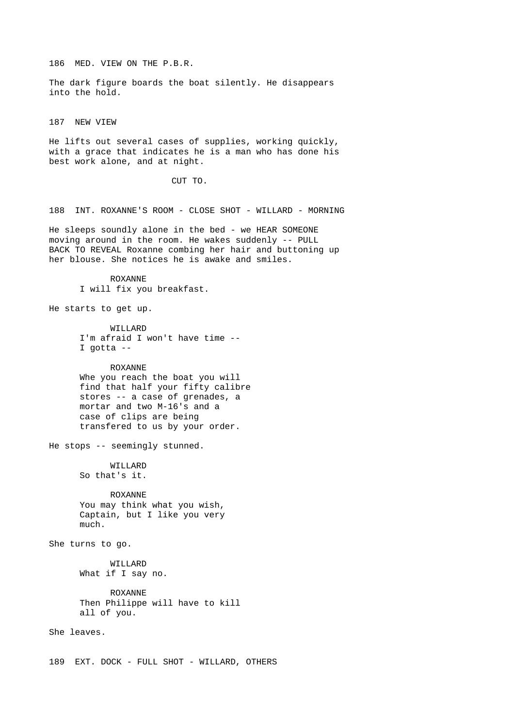186 MED. VIEW ON THE P.B.R.

The dark figure boards the boat silently. He disappears into the hold.

187 NEW VIEW

He lifts out several cases of supplies, working quickly, with a grace that indicates he is a man who has done his best work alone, and at night.

CUT TO.

188 INT. ROXANNE'S ROOM - CLOSE SHOT - WILLARD - MORNING

He sleeps soundly alone in the bed - we HEAR SOMEONE moving around in the room. He wakes suddenly -- PULL BACK TO REVEAL Roxanne combing her hair and buttoning up her blouse. She notices he is awake and smiles.

> ROXANNE I will fix you breakfast.

He starts to get up.

WILLARD I'm afraid I won't have time -- I gotta --

ROXANNE Whe you reach the boat you will find that half your fifty calibre stores -- a case of grenades, a mortar and two M-16's and a case of clips are being transfered to us by your order.

He stops -- seemingly stunned.

WILLARD So that's it.

ROXANNE You may think what you wish, Captain, but I like you very much.

She turns to go.

WILLARD What if I say no.

ROXANNE Then Philippe will have to kill all of you.

```
She leaves.
```
189 EXT. DOCK - FULL SHOT - WILLARD, OTHERS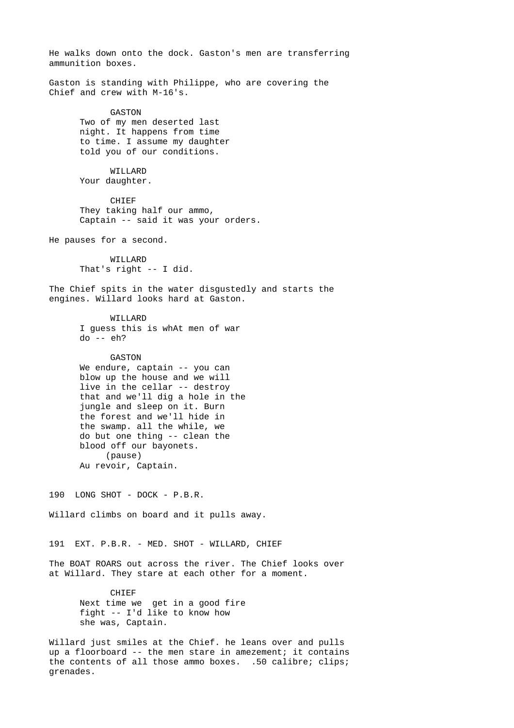He walks down onto the dock. Gaston's men are transferring ammunition boxes. Gaston is standing with Philippe, who are covering the Chief and crew with M-16's. GASTON Two of my men deserted last night. It happens from time to time. I assume my daughter told you of our conditions. WILLARD Your daughter. CHIEF They taking half our ammo, Captain -- said it was your orders. He pauses for a second. WILLARD That's right -- I did. The Chief spits in the water disgustedly and starts the engines. Willard looks hard at Gaston. **WILLARD** I guess this is whAt men of war do -- eh? GASTON We endure, captain -- you can blow up the house and we will live in the cellar -- destroy that and we'll dig a hole in the jungle and sleep on it. Burn the forest and we'll hide in the swamp. all the while, we do but one thing -- clean the blood off our bayonets. (pause) Au revoir, Captain. 190 LONG SHOT - DOCK - P.B.R. Willard climbs on board and it pulls away. 191 EXT. P.B.R. - MED. SHOT - WILLARD, CHIEF The BOAT ROARS out across the river. The Chief looks over at Willard. They stare at each other for a moment. CHIEF Next time we get in a good fire fight -- I'd like to know how she was, Captain. Willard just smiles at the Chief. he leans over and pulls up a floorboard -- the men stare in amezement; it contains the contents of all those ammo boxes. .50 calibre; clips; grenades.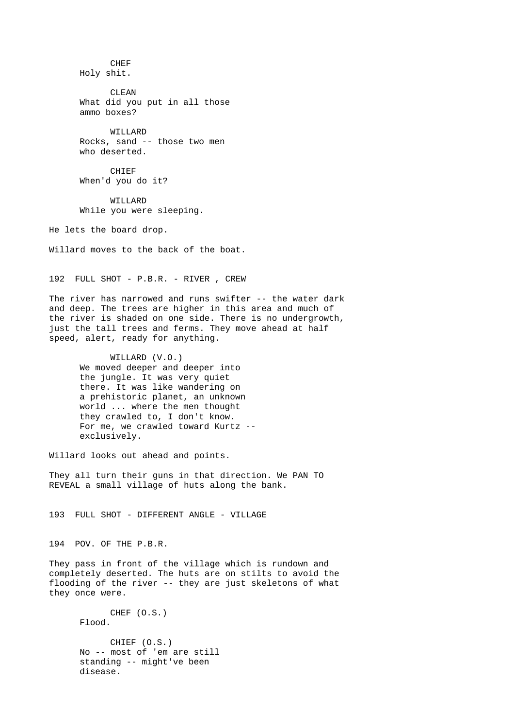CHEF Holy shit. CLEAN What did you put in all those ammo boxes? WILLARD Rocks, sand -- those two men who deserted. **CHTEF** When'd you do it? WILLARD While you were sleeping. He lets the board drop. Willard moves to the back of the boat. 192 FULL SHOT - P.B.R. - RIVER , CREW The river has narrowed and runs swifter -- the water dark and deep. The trees are higher in this area and much of the river is shaded on one side. There is no undergrowth, just the tall trees and ferms. They move ahead at half speed, alert, ready for anything. WILLARD (V.O.) We moved deeper and deeper into the jungle. It was very quiet there. It was like wandering on a prehistoric planet, an unknown world ... where the men thought they crawled to, I don't know. For me, we crawled toward Kurtz - exclusively. Willard looks out ahead and points. They all turn their guns in that direction. We PAN TO REVEAL a small village of huts along the bank. 193 FULL SHOT - DIFFERENT ANGLE - VILLAGE 194 POV. OF THE P.B.R. They pass in front of the village which is rundown and completely deserted. The huts are on stilts to avoid the flooding of the river -- they are just skeletons of what they once were. CHEF (O.S.) Flood. CHIEF (O.S.) No -- most of 'em are still standing -- might've been disease.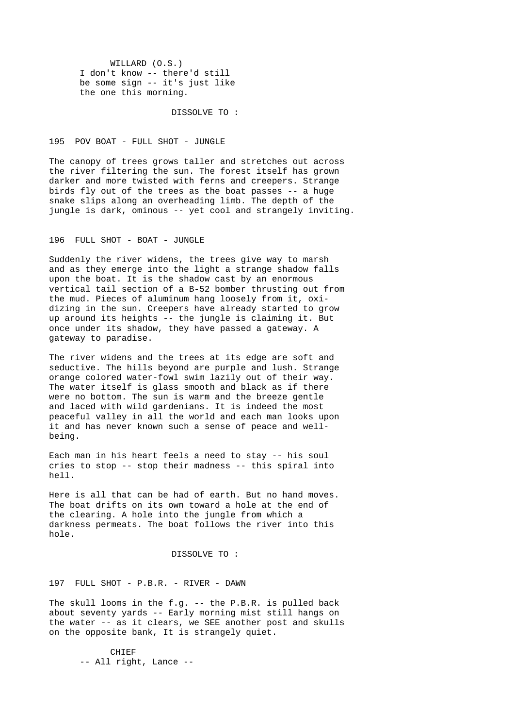WILLARD (O.S.) I don't know -- there'd still be some sign -- it's just like the one this morning.

DISSOLVE TO :

195 POV BOAT - FULL SHOT - JUNGLE

The canopy of trees grows taller and stretches out across the river filtering the sun. The forest itself has grown darker and more twisted with ferns and creepers. Strange birds fly out of the trees as the boat passes -- a huge snake slips along an overheading limb. The depth of the jungle is dark, ominous -- yet cool and strangely inviting.

196 FULL SHOT - BOAT - JUNGLE

Suddenly the river widens, the trees give way to marsh and as they emerge into the light a strange shadow falls upon the boat. It is the shadow cast by an enormous vertical tail section of a B-52 bomber thrusting out from the mud. Pieces of aluminum hang loosely from it, oxidizing in the sun. Creepers have already started to grow up around its heights -- the jungle is claiming it. But once under its shadow, they have passed a gateway. A gateway to paradise.

The river widens and the trees at its edge are soft and seductive. The hills beyond are purple and lush. Strange orange colored water-fowl swim lazily out of their way. The water itself is glass smooth and black as if there were no bottom. The sun is warm and the breeze gentle and laced with wild gardenians. It is indeed the most peaceful valley in all the world and each man looks upon it and has never known such a sense of peace and wellbeing.

Each man in his heart feels a need to stay -- his soul cries to stop -- stop their madness -- this spiral into hell.

Here is all that can be had of earth. But no hand moves. The boat drifts on its own toward a hole at the end of the clearing. A hole into the jungle from which a darkness permeats. The boat follows the river into this hole.

DISSOLVE TO :

197 FULL SHOT - P.B.R. - RIVER - DAWN

The skull looms in the f.g. -- the P.B.R. is pulled back about seventy yards -- Early morning mist still hangs on the water -- as it clears, we SEE another post and skulls on the opposite bank, It is strangely quiet.

> CHIEF -- All right, Lance --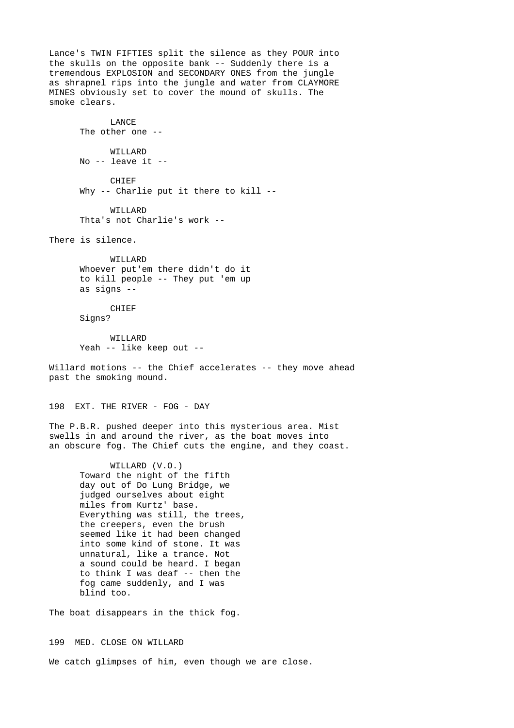Lance's TWIN FIFTIES split the silence as they POUR into the skulls on the opposite bank -- Suddenly there is a tremendous EXPLOSION and SECONDARY ONES from the jungle as shrapnel rips into the jungle and water from CLAYMORE MINES obviously set to cover the mound of skulls. The smoke clears. LANCE The other one -- WILLARD No -- leave it -- CHIEF Why -- Charlie put it there to kill -- WILLARD Thta's not Charlie's work -- There is silence. WILLARD Whoever put'em there didn't do it to kill people -- They put 'em up as signs -- CHIEF Signs? WILLARD Yeah -- like keep out -- Willard motions -- the Chief accelerates -- they move ahead past the smoking mound. 198 EXT. THE RIVER - FOG - DAY The P.B.R. pushed deeper into this mysterious area. Mist swells in and around the river, as the boat moves into an obscure fog. The Chief cuts the engine, and they coast. WILLARD (V.O.) Toward the night of the fifth day out of Do Lung Bridge, we judged ourselves about eight miles from Kurtz' base. Everything was still, the trees, the creepers, even the brush seemed like it had been changed into some kind of stone. It was unnatural, like a trance. Not a sound could be heard. I began to think I was deaf -- then the fog came suddenly, and I was blind too. The boat disappears in the thick fog. 199 MED. CLOSE ON WILLARD

We catch glimpses of him, even though we are close.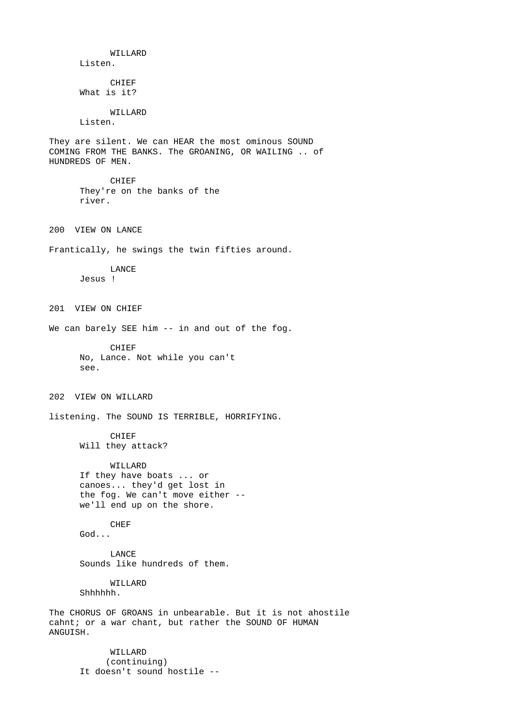WILLARD Listen. CHIEF What is it? WILLARD Listen. They are silent. We can HEAR the most ominous SOUND COMING FROM THE BANKS. The GROANING, OR WAILING .. of HUNDREDS OF MEN. CHIEF They're on the banks of the river. 200 VIEW ON LANCE Frantically, he swings the twin fifties around. LANCE Jesus ! 201 VIEW ON CHIEF We can barely SEE him -- in and out of the fog. CHT<sub>F</sub> No, Lance. Not while you can't see. 202 VIEW ON WILLARD listening. The SOUND IS TERRIBLE, HORRIFYING. CHIEF Will they attack? WILLARD If they have boats ... or canoes... they'd get lost in the fog. We can't move either - we'll end up on the shore. CHEF God... LANCE Sounds like hundreds of them. WILLARD Shhhhhh. The CHORUS OF GROANS in unbearable. But it is not ahostile cahnt; or a war chant, but rather the SOUND OF HUMAN ANGUISH. WILLARD (continuing) It doesn't sound hostile --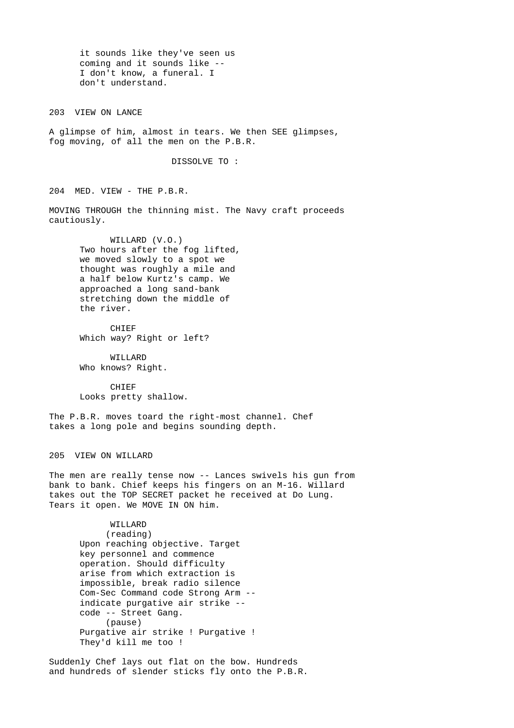it sounds like they've seen us coming and it sounds like -- I don't know, a funeral. I don't understand.

203 VIEW ON LANCE

A glimpse of him, almost in tears. We then SEE glimpses, fog moving, of all the men on the P.B.R.

DISSOLVE TO :

204 MED. VIEW - THE P.B.R.

MOVING THROUGH the thinning mist. The Navy craft proceeds cautiously.

> WILLARD (V.O.) Two hours after the fog lifted, we moved slowly to a spot we thought was roughly a mile and a half below Kurtz's camp. We approached a long sand-bank stretching down the middle of the river.

CHIEF Which way? Right or left?

WILLARD Who knows? Right.

CHIEF Looks pretty shallow.

The P.B.R. moves toard the right-most channel. Chef takes a long pole and begins sounding depth.

205 VIEW ON WILLARD

The men are really tense now -- Lances swivels his gun from bank to bank. Chief keeps his fingers on an M-16. Willard takes out the TOP SECRET packet he received at Do Lung. Tears it open. We MOVE IN ON him.

> WILLARD (reading) Upon reaching objective. Target key personnel and commence operation. Should difficulty arise from which extraction is impossible, break radio silence Com-Sec Command code Strong Arm - indicate purgative air strike - code -- Street Gang. (pause) Purgative air strike ! Purgative ! They'd kill me too !

Suddenly Chef lays out flat on the bow. Hundreds and hundreds of slender sticks fly onto the P.B.R.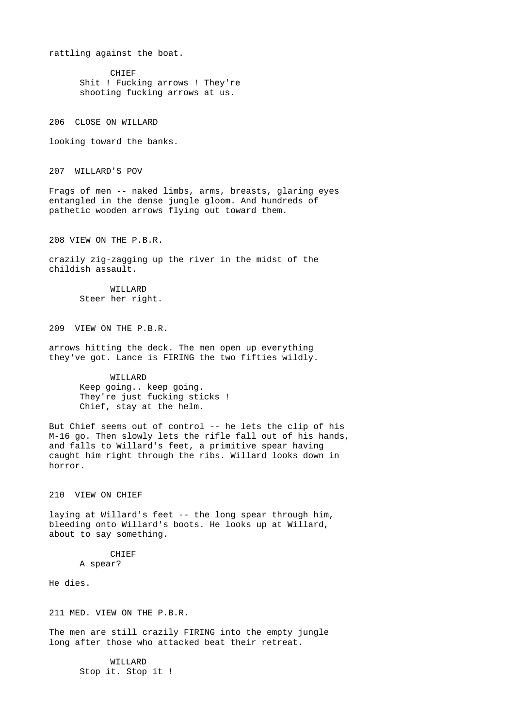rattling against the boat.

CHIEF Shit ! Fucking arrows ! They're shooting fucking arrows at us.

206 CLOSE ON WILLARD

looking toward the banks.

207 WILLARD'S POV

Frags of men -- naked limbs, arms, breasts, glaring eyes entangled in the dense jungle gloom. And hundreds of pathetic wooden arrows flying out toward them.

208 VIEW ON THE P.B.R.

crazily zig-zagging up the river in the midst of the childish assault.

> WILLARD Steer her right.

209 VIEW ON THE P.B.R.

arrows hitting the deck. The men open up everything they've got. Lance is FIRING the two fifties wildly.

> WILLARD Keep going.. keep going. They're just fucking sticks ! Chief, stay at the helm.

But Chief seems out of control -- he lets the clip of his M-16 go. Then slowly lets the rifle fall out of his hands, and falls to Willard's feet, a primitive spear having caught him right through the ribs. Willard looks down in horror.

210 VIEW ON CHIEF

laying at Willard's feet -- the long spear through him, bleeding onto Willard's boots. He looks up at Willard, about to say something.

> CHIEF A spear?

He dies.

211 MED. VIEW ON THE P.B.R.

The men are still crazily FIRING into the empty jungle long after those who attacked beat their retreat.

> WILLARD Stop it. Stop it !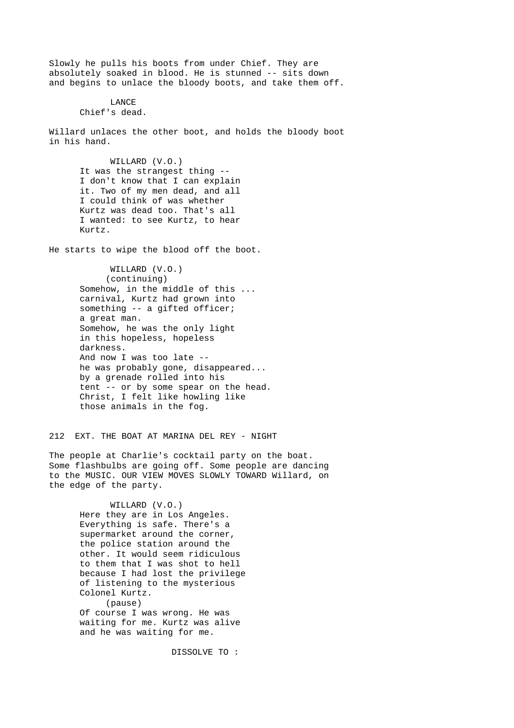Slowly he pulls his boots from under Chief. They are absolutely soaked in blood. He is stunned -- sits down and begins to unlace the bloody boots, and take them off.

# **LANCE** Chief's dead.

Willard unlaces the other boot, and holds the bloody boot in his hand.

> WILLARD (V.O.) It was the strangest thing -- I don't know that I can explain it. Two of my men dead, and all I could think of was whether Kurtz was dead too. That's all I wanted: to see Kurtz, to hear Kurtz.

He starts to wipe the blood off the boot.

WILLARD (V.O.) (continuing) Somehow, in the middle of this ... carnival, Kurtz had grown into something -- a gifted officer; a great man. Somehow, he was the only light in this hopeless, hopeless darkness. And now I was too late - he was probably gone, disappeared... by a grenade rolled into his tent -- or by some spear on the head. Christ, I felt like howling like those animals in the fog.

212 EXT. THE BOAT AT MARINA DEL REY - NIGHT

The people at Charlie's cocktail party on the boat. Some flashbulbs are going off. Some people are dancing to the MUSIC. OUR VIEW MOVES SLOWLY TOWARD Willard, on the edge of the party.

> WILLARD (V.O.) Here they are in Los Angeles. Everything is safe. There's a supermarket around the corner, the police station around the other. It would seem ridiculous to them that I was shot to hell because I had lost the privilege of listening to the mysterious Colonel Kurtz. (pause) Of course I was wrong. He was waiting for me. Kurtz was alive and he was waiting for me.

> > DISSOLVE TO :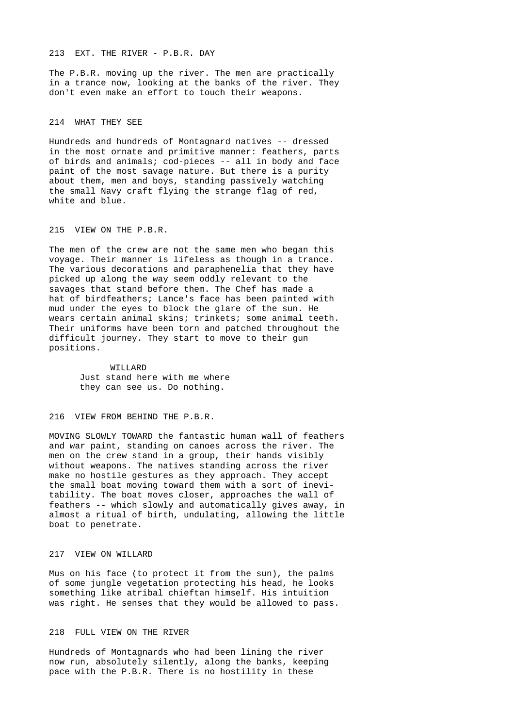## 213 EXT. THE RIVER - P.B.R. DAY

The P.B.R. moving up the river. The men are practically in a trance now, looking at the banks of the river. They don't even make an effort to touch their weapons.

#### 214 WHAT THEY SEE

Hundreds and hundreds of Montagnard natives -- dressed in the most ornate and primitive manner: feathers, parts of birds and animals; cod-pieces -- all in body and face paint of the most savage nature. But there is a purity about them, men and boys, standing passively watching the small Navy craft flying the strange flag of red, white and blue.

# 215 VIEW ON THE P.B.R.

The men of the crew are not the same men who began this voyage. Their manner is lifeless as though in a trance. The various decorations and paraphenelia that they have picked up along the way seem oddly relevant to the savages that stand before them. The Chef has made a hat of birdfeathers; Lance's face has been painted with mud under the eyes to block the glare of the sun. He wears certain animal skins; trinkets; some animal teeth. Their uniforms have been torn and patched throughout the difficult journey. They start to move to their gun positions.

> WILL ARD Just stand here with me where they can see us. Do nothing.

# 216 VIEW FROM BEHIND THE P.B.R.

MOVING SLOWLY TOWARD the fantastic human wall of feathers and war paint, standing on canoes across the river. The men on the crew stand in a group, their hands visibly without weapons. The natives standing across the river make no hostile gestures as they approach. They accept the small boat moving toward them with a sort of inevitability. The boat moves closer, approaches the wall of feathers -- which slowly and automatically gives away, in almost a ritual of birth, undulating, allowing the little boat to penetrate.

### 217 VIEW ON WILLARD

Mus on his face (to protect it from the sun), the palms of some jungle vegetation protecting his head, he looks something like atribal chieftan himself. His intuition was right. He senses that they would be allowed to pass.

## 218 FULL VIEW ON THE RIVER

Hundreds of Montagnards who had been lining the river now run, absolutely silently, along the banks, keeping pace with the P.B.R. There is no hostility in these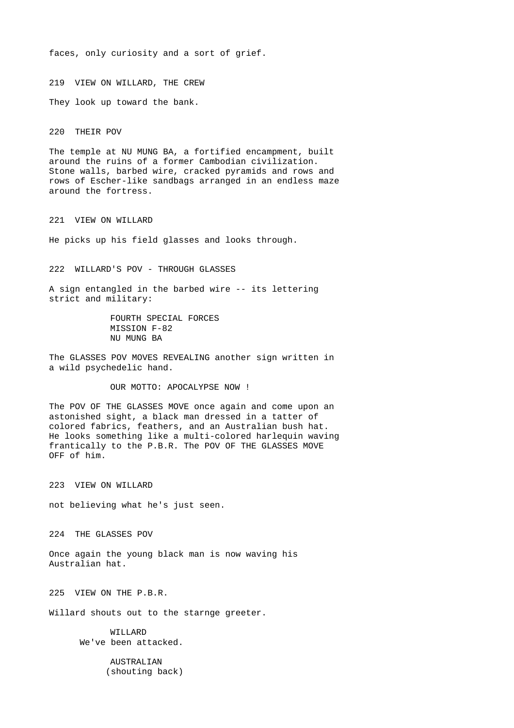faces, only curiosity and a sort of grief.

219 VIEW ON WILLARD, THE CREW

They look up toward the bank.

220 THEIR POV

The temple at NU MUNG BA, a fortified encampment, built around the ruins of a former Cambodian civilization. Stone walls, barbed wire, cracked pyramids and rows and rows of Escher-like sandbags arranged in an endless maze around the fortress.

221 VIEW ON WILLARD

He picks up his field glasses and looks through.

222 WILLARD'S POV - THROUGH GLASSES

A sign entangled in the barbed wire -- its lettering strict and military:

> FOURTH SPECIAL FORCES MISSION F-82 NU MUNG BA

The GLASSES POV MOVES REVEALING another sign written in a wild psychedelic hand.

OUR MOTTO: APOCALYPSE NOW !

The POV OF THE GLASSES MOVE once again and come upon an astonished sight, a black man dressed in a tatter of colored fabrics, feathers, and an Australian bush hat. He looks something like a multi-colored harlequin waving frantically to the P.B.R. The POV OF THE GLASSES MOVE OFF of him.

223 VIEW ON WILLARD

not believing what he's just seen.

224 THE GLASSES POV

Once again the young black man is now waving his Australian hat.

225 VIEW ON THE P.B.R.

Willard shouts out to the starnge greeter.

WILLARD We've been attacked.

> AUSTRALIAN (shouting back)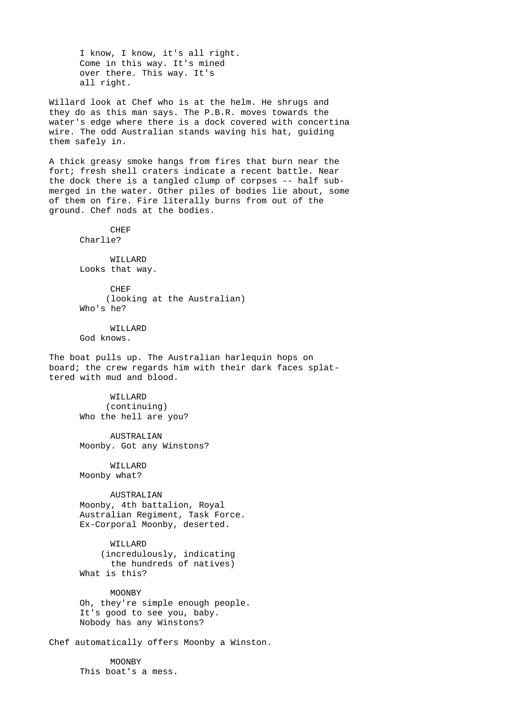I know, I know, it's all right. Come in this way. It's mined over there. This way. It's all right.

Willard look at Chef who is at the helm. He shrugs and they do as this man says. The P.B.R. moves towards the water's edge where there is a dock covered with concertina wire. The odd Australian stands waving his hat, guiding them safely in.

A thick greasy smoke hangs from fires that burn near the fort; fresh shell craters indicate a recent battle. Near the dock there is a tangled clump of corpses -- half submerged in the water. Other piles of bodies lie about, some of them on fire. Fire literally burns from out of the ground. Chef nods at the bodies.

> CHEF Charlie?

WILLARD Looks that way.

CHEF (looking at the Australian) Who's he?

WILLARD God knows.

The boat pulls up. The Australian harlequin hops on board; the crew regards him with their dark faces splattered with mud and blood.

> WILLARD (continuing) Who the hell are you?

AUSTRALIAN Moonby. Got any Winstons?

WILLARD Moonby what?

AUSTRALIAN Moonby, 4th battalion, Royal Australian Regiment, Task Force. Ex-Corporal Moonby, deserted.

WILLARD (incredulously, indicating the hundreds of natives) What is this?

**MOONRY** Oh, they're simple enough people. It's good to see you, baby. Nobody has any Winstons?

Chef automatically offers Moonby a Winston.

MOONBY This boat's a mess.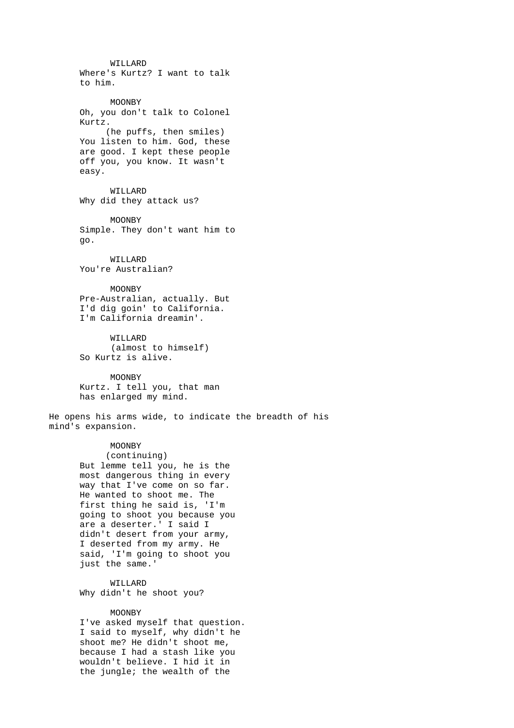WILLARD Where's Kurtz? I want to talk to him. **MOONRY** Oh, you don't talk to Colonel Kurtz. (he puffs, then smiles) You listen to him. God, these are good. I kept these people off you, you know. It wasn't easy. WILLARD Why did they attack us? MOONBY Simple. They don't want him to go. WILLARD You're Australian? **MOONBY** Pre-Australian, actually. But I'd dig goin' to California. I'm California dreamin'. WILL ARD (almost to himself) So Kurtz is alive. MOONBY Kurtz. I tell you, that man has enlarged my mind. He opens his arms wide, to indicate the breadth of his mind's expansion. MOONBY (continuing) But lemme tell you, he is the most dangerous thing in every way that I've come on so far. He wanted to shoot me. The first thing he said is, 'I'm going to shoot you because you are a deserter.' I said I didn't desert from your army, I deserted from my army. He said, 'I'm going to shoot you just the same.' WILLARD Why didn't he shoot you? MOONBY

I've asked myself that question. I said to myself, why didn't he shoot me? He didn't shoot me, because I had a stash like you wouldn't believe. I hid it in the jungle; the wealth of the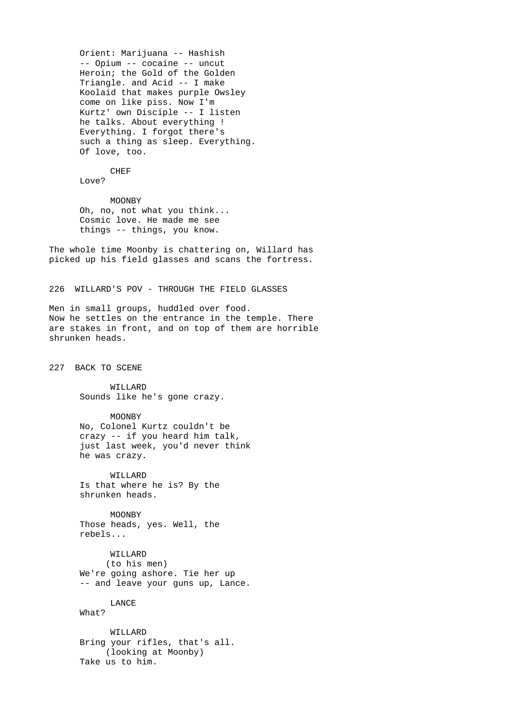Orient: Marijuana -- Hashish -- Opium -- cocaine -- uncut Heroin; the Gold of the Golden Triangle. and Acid -- I make Koolaid that makes purple Owsley come on like piss. Now I'm Kurtz' own Disciple -- I listen he talks. About everything ! Everything. I forgot there's such a thing as sleep. Everything. Of love, too. CHEF Love?

MOONBY Oh, no, not what you think... Cosmic love. He made me see things -- things, you know.

The whole time Moonby is chattering on, Willard has picked up his field glasses and scans the fortress.

226 WILLARD'S POV - THROUGH THE FIELD GLASSES

Men in small groups, huddled over food. Now he settles on the entrance in the temple. There are stakes in front, and on top of them are horrible shrunken heads.

227 BACK TO SCENE

WILLARD Sounds like he's gone crazy.

MOONBY No, Colonel Kurtz couldn't be crazy -- if you heard him talk, just last week, you'd never think he was crazy.

WILLARD Is that where he is? By the shrunken heads.

MOONBY Those heads, yes. Well, the rebels...

WILLARD (to his men) We're going ashore. Tie her up -- and leave your guns up, Lance.

LANCE

What?

WILLARD Bring your rifles, that's all. (looking at Moonby) Take us to him.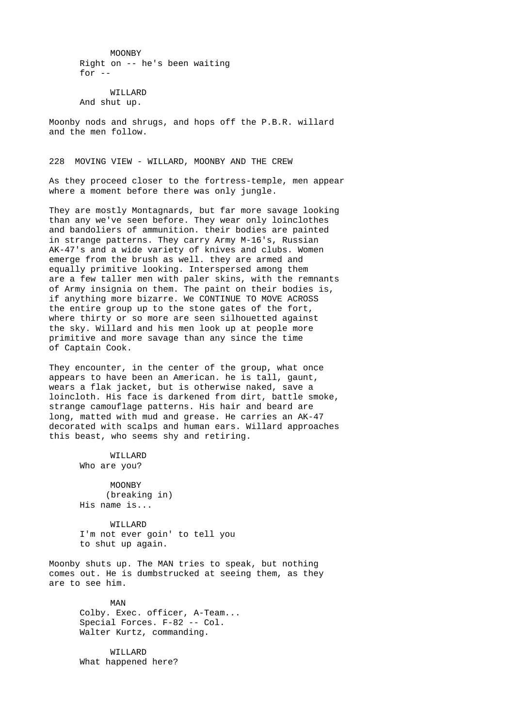MOONBY Right on -- he's been waiting for  $-$ 

WILLARD And shut up.

Moonby nods and shrugs, and hops off the P.B.R. willard and the men follow.

228 MOVING VIEW - WILLARD, MOONBY AND THE CREW

As they proceed closer to the fortress-temple, men appear where a moment before there was only jungle.

They are mostly Montagnards, but far more savage looking than any we've seen before. They wear only loinclothes and bandoliers of ammunition. their bodies are painted in strange patterns. They carry Army M-16's, Russian AK-47's and a wide variety of knives and clubs. Women emerge from the brush as well. they are armed and equally primitive looking. Interspersed among them are a few taller men with paler skins, with the remnants of Army insignia on them. The paint on their bodies is, if anything more bizarre. We CONTINUE TO MOVE ACROSS the entire group up to the stone gates of the fort, where thirty or so more are seen silhouetted against the sky. Willard and his men look up at people more primitive and more savage than any since the time of Captain Cook.

They encounter, in the center of the group, what once appears to have been an American. he is tall, gaunt, wears a flak jacket, but is otherwise naked, save a loincloth. His face is darkened from dirt, battle smoke, strange camouflage patterns. His hair and beard are long, matted with mud and grease. He carries an AK-47 decorated with scalps and human ears. Willard approaches this beast, who seems shy and retiring.

> WILLARD Who are you?

MOONBY (breaking in) His name is...

WILLARD I'm not ever goin' to tell you to shut up again.

Moonby shuts up. The MAN tries to speak, but nothing comes out. He is dumbstrucked at seeing them, as they are to see him.

> MAN Colby. Exec. officer, A-Team... Special Forces. F-82 -- Col. Walter Kurtz, commanding.

WILLARD What happened here?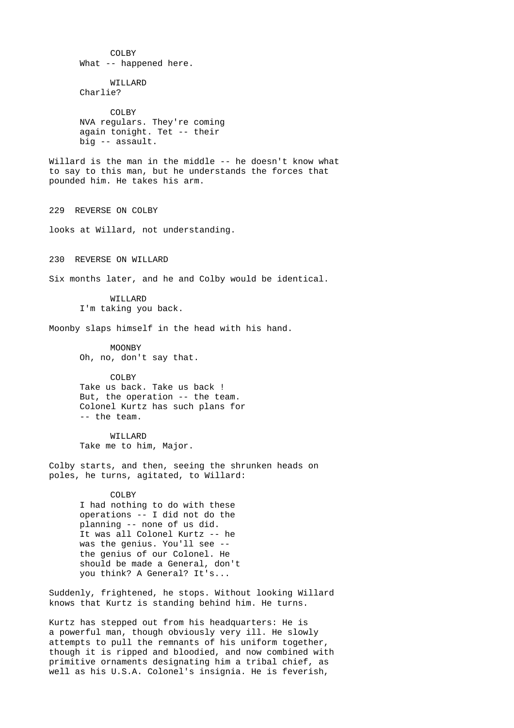**COLBY** What -- happened here. WILLARD Charlie? COLBY NVA regulars. They're coming again tonight. Tet -- their big -- assault. Willard is the man in the middle -- he doesn't know what to say to this man, but he understands the forces that pounded him. He takes his arm. 229 REVERSE ON COLBY looks at Willard, not understanding. 230 REVERSE ON WILLARD Six months later, and he and Colby would be identical. WILLARD I'm taking you back. Moonby slaps himself in the head with his hand. MOONBY Oh, no, don't say that. COLBY Take us back. Take us back ! But, the operation -- the team. Colonel Kurtz has such plans for -- the team. WILLARD Take me to him, Major. Colby starts, and then, seeing the shrunken heads on poles, he turns, agitated, to Willard: COLBY I had nothing to do with these operations -- I did not do the planning -- none of us did. It was all Colonel Kurtz -- he was the genius. You'll see - the genius of our Colonel. He should be made a General, don't you think? A General? It's... Suddenly, frightened, he stops. Without looking Willard knows that Kurtz is standing behind him. He turns. Kurtz has stepped out from his headquarters: He is a powerful man, though obviously very ill. He slowly

attempts to pull the remnants of his uniform together, though it is ripped and bloodied, and now combined with primitive ornaments designating him a tribal chief, as well as his U.S.A. Colonel's insignia. He is feverish,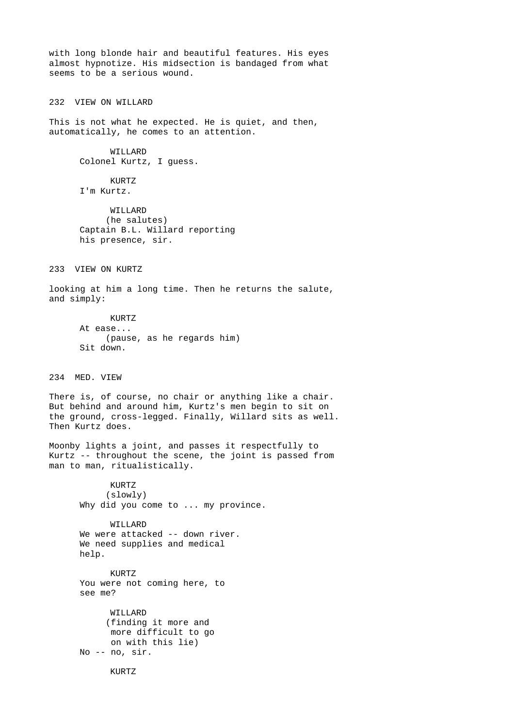with long blonde hair and beautiful features. His eyes almost hypnotize. His midsection is bandaged from what seems to be a serious wound. 232 VIEW ON WILLARD This is not what he expected. He is quiet, and then, automatically, he comes to an attention. WILLARD Colonel Kurtz, I guess. KURTZ I'm Kurtz. WILLARD (he salutes) Captain B.L. Willard reporting his presence, sir. 233 VIEW ON KURTZ looking at him a long time. Then he returns the salute, and simply: KURTZ At ease... (pause, as he regards him) Sit down. 234 MED. VIEW There is, of course, no chair or anything like a chair. But behind and around him, Kurtz's men begin to sit on the ground, cross-legged. Finally, Willard sits as well. Then Kurtz does. Moonby lights a joint, and passes it respectfully to Kurtz -- throughout the scene, the joint is passed from man to man, ritualistically. KURTZ (slowly) Why did you come to ... my province. WILLARD We were attacked -- down river. We need supplies and medical help. KURTZ You were not coming here, to see me? WILLARD (finding it more and more difficult to go on with this lie) No -- no, sir. KURTZ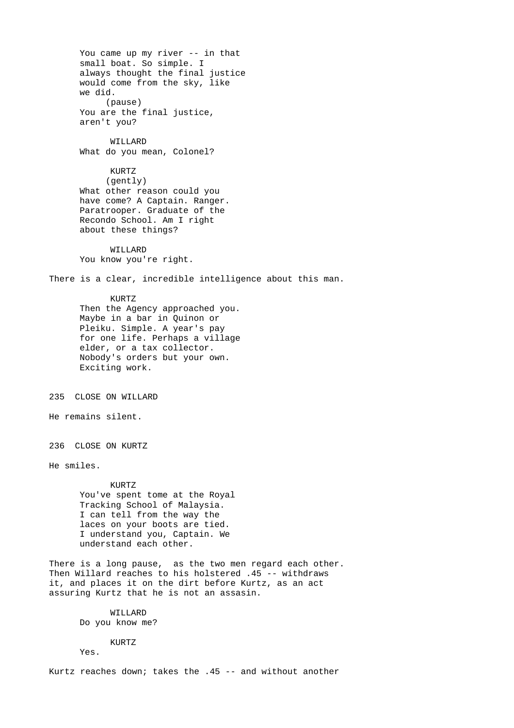You came up my river -- in that small boat. So simple. I always thought the final justice would come from the sky, like we did. (pause) You are the final justice, aren't you? WTI LARD What do you mean, Colonel? KURTZ (gently) What other reason could you have come? A Captain. Ranger. Paratrooper. Graduate of the Recondo School. Am I right about these things? WILLARD You know you're right. There is a clear, incredible intelligence about this man. KURTZ Then the Agency approached you. Maybe in a bar in Quinon or Pleiku. Simple. A year's pay for one life. Perhaps a village elder, or a tax collector. Nobody's orders but your own. Exciting work. 235 CLOSE ON WILLARD He remains silent. 236 CLOSE ON KURTZ He smiles. KURTZ You've spent tome at the Royal Tracking School of Malaysia. I can tell from the way the laces on your boots are tied. I understand you, Captain. We understand each other. There is a long pause, as the two men regard each other. Then Willard reaches to his holstered .45 -- withdraws it, and places it on the dirt before Kurtz, as an act assuring Kurtz that he is not an assasin. WILLARD Do you know me?

KURTZ

Yes.

Kurtz reaches down; takes the .45 -- and without another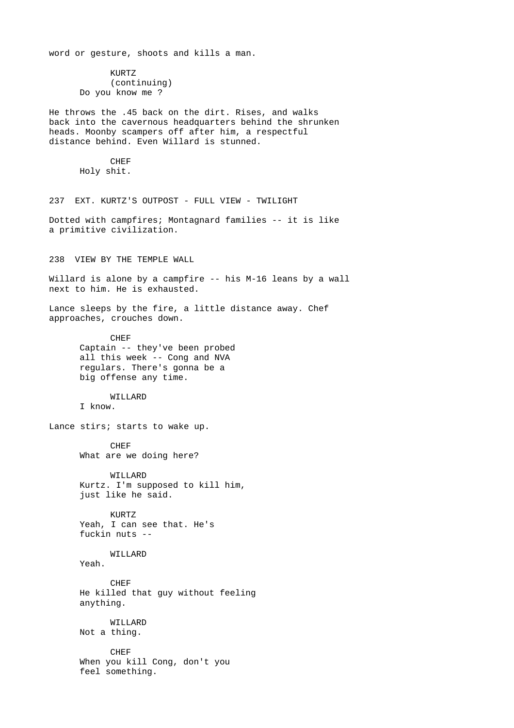word or gesture, shoots and kills a man.

KURTZ (continuing) Do you know me ?

He throws the .45 back on the dirt. Rises, and walks back into the cavernous headquarters behind the shrunken heads. Moonby scampers off after him, a respectful distance behind. Even Willard is stunned.

> CHEF Holy shit.

237 EXT. KURTZ'S OUTPOST - FULL VIEW - TWILIGHT

Dotted with campfires; Montagnard families -- it is like a primitive civilization.

238 VIEW BY THE TEMPLE WALL

Willard is alone by a campfire -- his M-16 leans by a wall next to him. He is exhausted.

Lance sleeps by the fire, a little distance away. Chef approaches, crouches down.

> CHEF Captain -- they've been probed all this week -- Cong and NVA regulars. There's gonna be a big offense any time.

WILLARD I know.

Lance stirs; starts to wake up.

CHEF What are we doing here?

WILLARD Kurtz. I'm supposed to kill him, just like he said.

KURTZ Yeah, I can see that. He's fuckin nuts --

WILLARD

Yeah.

CHEF He killed that guy without feeling anything.

WILLARD Not a thing.

CHEF When you kill Cong, don't you feel something.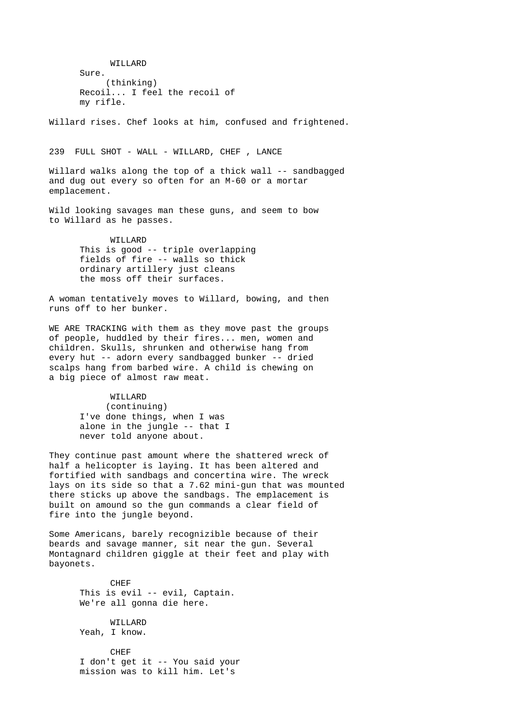WILLARD Sure. (thinking) Recoil... I feel the recoil of my rifle.

Willard rises. Chef looks at him, confused and frightened.

239 FULL SHOT - WALL - WILLARD, CHEF , LANCE

Willard walks along the top of a thick wall -- sandbagged and dug out every so often for an M-60 or a mortar emplacement.

Wild looking savages man these guns, and seem to bow to Willard as he passes.

> WILLARD This is good -- triple overlapping fields of fire -- walls so thick ordinary artillery just cleans the moss off their surfaces.

A woman tentatively moves to Willard, bowing, and then runs off to her bunker.

WE ARE TRACKING with them as they move past the groups of people, huddled by their fires... men, women and children. Skulls, shrunken and otherwise hang from every hut -- adorn every sandbagged bunker -- dried scalps hang from barbed wire. A child is chewing on a big piece of almost raw meat.

> WILLARD (continuing) I've done things, when I was alone in the jungle -- that I never told anyone about.

They continue past amount where the shattered wreck of half a helicopter is laying. It has been altered and fortified with sandbags and concertina wire. The wreck lays on its side so that a 7.62 mini-gun that was mounted there sticks up above the sandbags. The emplacement is built on amound so the gun commands a clear field of fire into the jungle beyond.

Some Americans, barely recognizible because of their beards and savage manner, sit near the gun. Several Montagnard children giggle at their feet and play with bayonets.

CHEF This is evil -- evil, Captain. We're all gonna die here. WILLARD Yeah, I know. CHEF I don't get it -- You said your mission was to kill him. Let's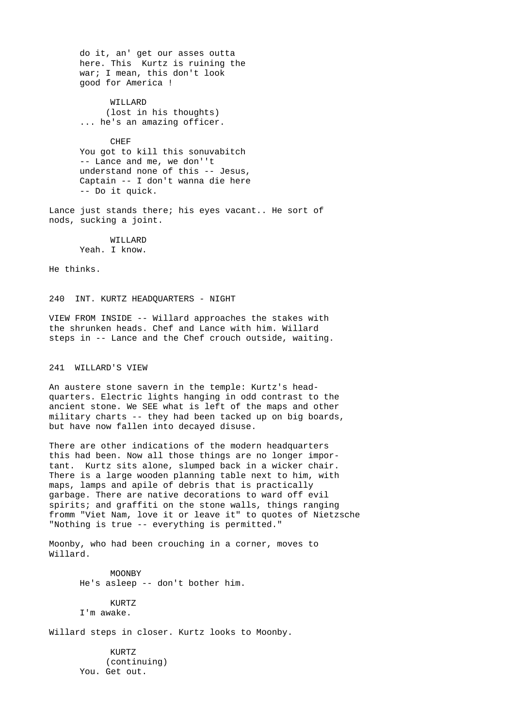do it, an' get our asses outta here. This Kurtz is ruining the war; I mean, this don't look good for America !

WILLARD (lost in his thoughts) ... he's an amazing officer.

CHEF You got to kill this sonuvabitch -- Lance and me, we don''t understand none of this -- Jesus, Captain -- I don't wanna die here -- Do it quick.

Lance just stands there; his eyes vacant.. He sort of nods, sucking a joint.

> WILLARD Yeah. I know.

He thinks.

240 INT. KURTZ HEADQUARTERS - NIGHT

VIEW FROM INSIDE -- Willard approaches the stakes with the shrunken heads. Chef and Lance with him. Willard steps in -- Lance and the Chef crouch outside, waiting.

## 241 WILLARD'S VIEW

An austere stone savern in the temple: Kurtz's headquarters. Electric lights hanging in odd contrast to the ancient stone. We SEE what is left of the maps and other military charts -- they had been tacked up on big boards, but have now fallen into decayed disuse.

There are other indications of the modern headquarters this had been. Now all those things are no longer important. Kurtz sits alone, slumped back in a wicker chair. There is a large wooden planning table next to him, with maps, lamps and apile of debris that is practically garbage. There are native decorations to ward off evil spirits; and graffiti on the stone walls, things ranging fromm "Viet Nam, love it or leave it" to quotes of Nietzsche "Nothing is true -- everything is permitted."

Moonby, who had been crouching in a corner, moves to Willard.

> MOONBY He's asleep -- don't bother him.

KURTZ I'm awake.

Willard steps in closer. Kurtz looks to Moonby.

**KURTZ**  (continuing) You. Get out.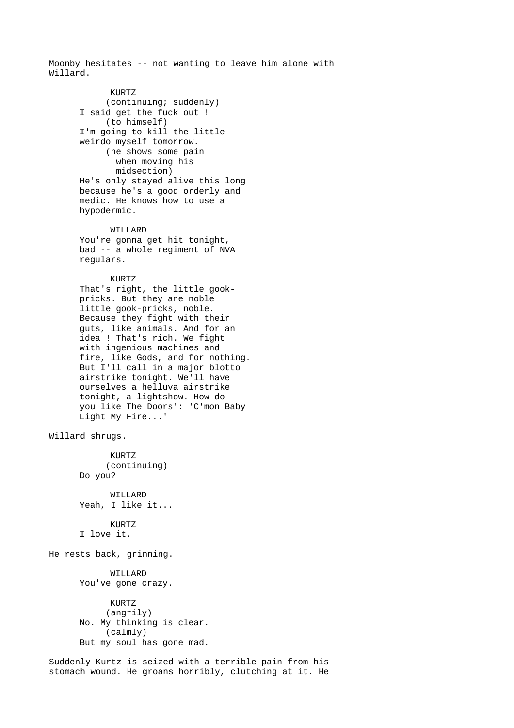Moonby hesitates -- not wanting to leave him alone with Willard. KURTZ (continuing; suddenly) I said get the fuck out ! (to himself) I'm going to kill the little weirdo myself tomorrow. (he shows some pain when moving his midsection) He's only stayed alive this long because he's a good orderly and medic. He knows how to use a hypodermic. WILLARD You're gonna get hit tonight, bad -- a whole regiment of NVA regulars. KURTZ That's right, the little gookpricks. But they are noble little gook-pricks, noble. Because they fight with their guts, like animals. And for an idea ! That's rich. We fight with ingenious machines and fire, like Gods, and for nothing. But I'll call in a major blotto airstrike tonight. We'll have ourselves a helluva airstrike tonight, a lightshow. How do you like The Doors': 'C'mon Baby Light My Fire...' Willard shrugs. KURTZ (continuing) Do you? WILLARD Yeah, I like it... KURTZ I love it. He rests back, grinning. WILLARD You've gone crazy. KURTZ (angrily) No. My thinking is clear. (calmly) But my soul has gone mad. Suddenly Kurtz is seized with a terrible pain from his stomach wound. He groans horribly, clutching at it. He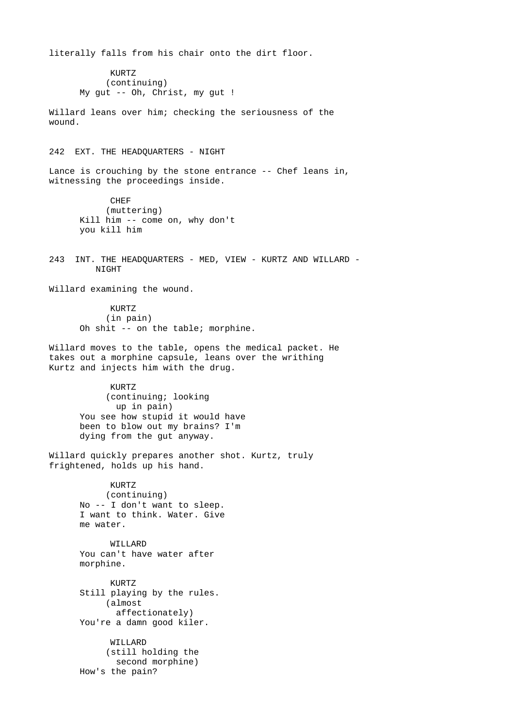literally falls from his chair onto the dirt floor.

KURTZ (continuing) My gut -- Oh, Christ, my gut !

Willard leans over him; checking the seriousness of the wound.

242 EXT. THE HEADQUARTERS - NIGHT

Lance is crouching by the stone entrance -- Chef leans in, witnessing the proceedings inside.

> CHEF (muttering) Kill him -- come on, why don't you kill him

243 INT. THE HEADQUARTERS - MED, VIEW - KURTZ AND WILLARD - NIGHT

Willard examining the wound.

KURTZ (in pain) Oh shit -- on the table; morphine.

Willard moves to the table, opens the medical packet. He takes out a morphine capsule, leans over the writhing Kurtz and injects him with the drug.

> KURTZ (continuing; looking up in pain) You see how stupid it would have been to blow out my brains? I'm dying from the gut anyway.

Willard quickly prepares another shot. Kurtz, truly frightened, holds up his hand.

> KURTZ (continuing) No -- I don't want to sleep. I want to think. Water. Give me water.

WILLARD You can't have water after morphine.

KURTZ Still playing by the rules. (almost affectionately) You're a damn good kiler.

WILLARD (still holding the second morphine) How's the pain?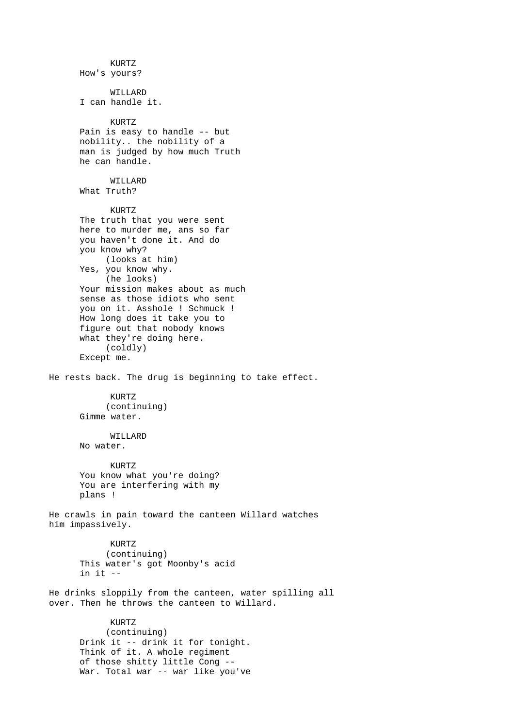KURTZ How's yours? **WILLARD** I can handle it. **KURTZ** Pain is easy to handle -- but nobility.. the nobility of a man is judged by how much Truth he can handle. WILLARD What Truth? KURTZ The truth that you were sent here to murder me, ans so far you haven't done it. And do you know why? (looks at him) Yes, you know why. (he looks) Your mission makes about as much sense as those idiots who sent you on it. Asshole ! Schmuck ! How long does it take you to figure out that nobody knows what they're doing here. (coldly) Except me. He rests back. The drug is beginning to take effect. KURTZ (continuing) Gimme water. WILLARD No water. KURTZ You know what you're doing? You are interfering with my plans ! He crawls in pain toward the canteen Willard watches him impassively. KURTZ (continuing) This water's got Moonby's acid in it -- He drinks sloppily from the canteen, water spilling all over. Then he throws the canteen to Willard. KURTZ (continuing) Drink it -- drink it for tonight. Think of it. A whole regiment of those shitty little Cong -- War. Total war -- war like you've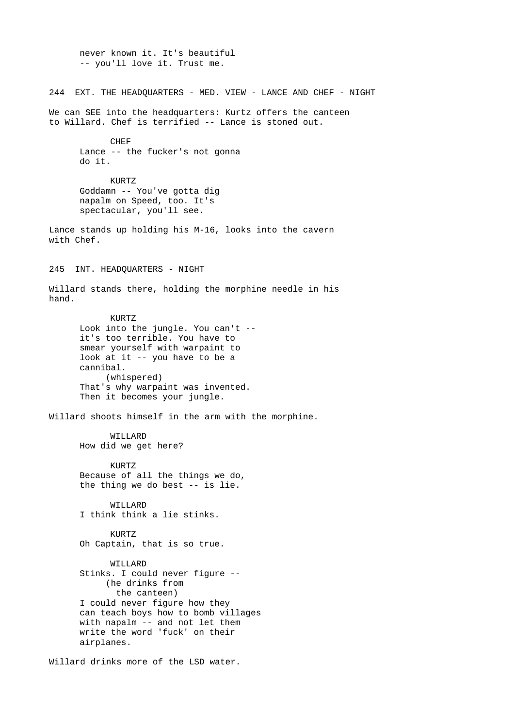never known it. It's beautiful -- you'll love it. Trust me. 244 EXT. THE HEADQUARTERS - MED. VIEW - LANCE AND CHEF - NIGHT We can SEE into the headquarters: Kurtz offers the canteen to Willard. Chef is terrified -- Lance is stoned out. CHEF Lance -- the fucker's not gonna do it. KURTZ Goddamn -- You've gotta dig napalm on Speed, too. It's spectacular, you'll see. Lance stands up holding his M-16, looks into the cavern with Chef. 245 INT. HEADQUARTERS - NIGHT Willard stands there, holding the morphine needle in his hand. KURTZ Look into the jungle. You can't - it's too terrible. You have to smear yourself with warpaint to look at it -- you have to be a cannibal. (whispered) That's why warpaint was invented. Then it becomes your jungle. Willard shoots himself in the arm with the morphine. WILLARD How did we get here? KURTZ Because of all the things we do, the thing we do best -- is lie. WILLARD I think think a lie stinks. KURTZ Oh Captain, that is so true. WILLARD Stinks. I could never figure -- (he drinks from the canteen) I could never figure how they can teach boys how to bomb villages with napalm -- and not let them write the word 'fuck' on their airplanes. Willard drinks more of the LSD water.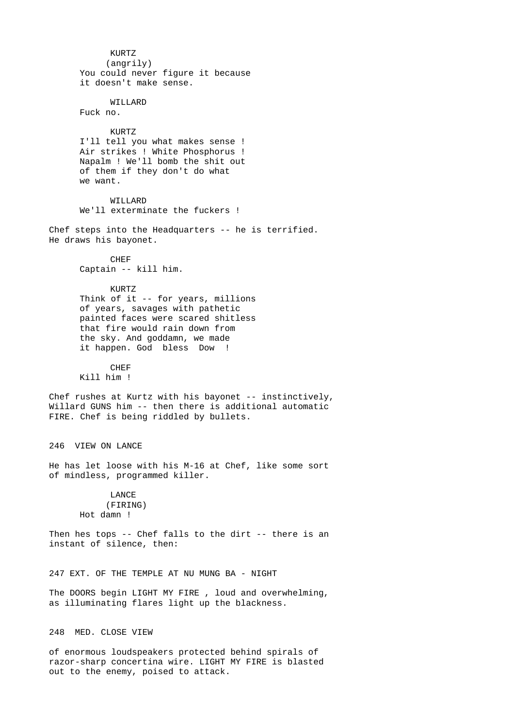KURTZ (angrily) You could never figure it because it doesn't make sense. **WILLARD** Fuck no. KURTZ I'll tell you what makes sense ! Air strikes ! White Phosphorus ! Napalm ! We'll bomb the shit out of them if they don't do what we want. WILLARD We'll exterminate the fuckers ! Chef steps into the Headquarters -- he is terrified. He draws his bayonet. CHEF Captain -- kill him. KURTZ Think of it -- for years, millions of years, savages with pathetic painted faces were scared shitless that fire would rain down from the sky. And goddamn, we made it happen. God bless Dow ! CHEF Kill him ! Chef rushes at Kurtz with his bayonet -- instinctively, Willard GUNS him -- then there is additional automatic FIRE. Chef is being riddled by bullets. 246 VIEW ON LANCE He has let loose with his M-16 at Chef, like some sort of mindless, programmed killer. LANCE (FIRING) Hot damn ! Then hes tops -- Chef falls to the dirt -- there is an instant of silence, then: 247 EXT. OF THE TEMPLE AT NU MUNG BA - NIGHT The DOORS begin LIGHT MY FIRE , loud and overwhelming, as illuminating flares light up the blackness. 248 MED. CLOSE VIEW of enormous loudspeakers protected behind spirals of razor-sharp concertina wire. LIGHT MY FIRE is blasted out to the enemy, poised to attack.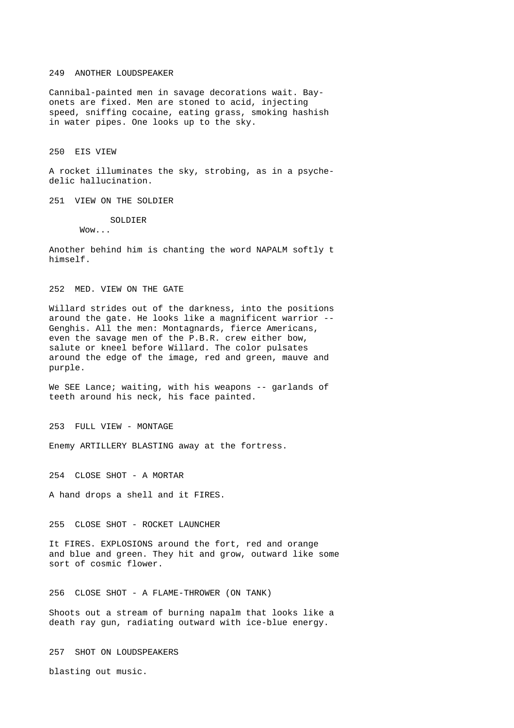249 ANOTHER LOUDSPEAKER

Cannibal-painted men in savage decorations wait. Bayonets are fixed. Men are stoned to acid, injecting speed, sniffing cocaine, eating grass, smoking hashish in water pipes. One looks up to the sky.

250 EIS VIEW

A rocket illuminates the sky, strobing, as in a psychedelic hallucination.

251 VIEW ON THE SOLDIER

SOLDIER

Wow...

Another behind him is chanting the word NAPALM softly t himself.

252 MED. VIEW ON THE GATE

Willard strides out of the darkness, into the positions around the gate. He looks like a magnificent warrior -- Genghis. All the men: Montagnards, fierce Americans, even the savage men of the P.B.R. crew either bow, salute or kneel before Willard. The color pulsates around the edge of the image, red and green, mauve and purple.

We SEE Lance; waiting, with his weapons -- garlands of teeth around his neck, his face painted.

253 FULL VIEW - MONTAGE

Enemy ARTILLERY BLASTING away at the fortress.

254 CLOSE SHOT - A MORTAR

A hand drops a shell and it FIRES.

255 CLOSE SHOT - ROCKET LAUNCHER

It FIRES. EXPLOSIONS around the fort, red and orange and blue and green. They hit and grow, outward like some sort of cosmic flower.

256 CLOSE SHOT - A FLAME-THROWER (ON TANK)

Shoots out a stream of burning napalm that looks like a death ray gun, radiating outward with ice-blue energy.

257 SHOT ON LOUDSPEAKERS

blasting out music.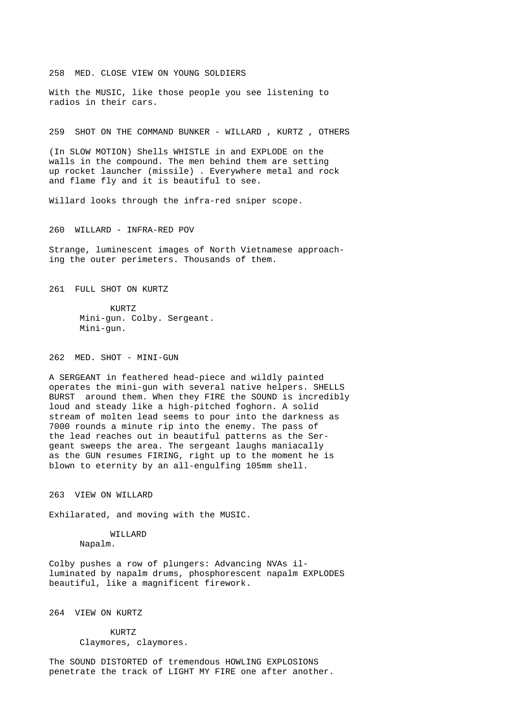258 MED. CLOSE VIEW ON YOUNG SOLDIERS

With the MUSIC, like those people you see listening to radios in their cars.

259 SHOT ON THE COMMAND BUNKER - WILLARD , KURTZ , OTHERS

(In SLOW MOTION) Shells WHISTLE in and EXPLODE on the walls in the compound. The men behind them are setting up rocket launcher (missile) . Everywhere metal and rock and flame fly and it is beautiful to see.

Willard looks through the infra-red sniper scope.

260 WILLARD - INFRA-RED POV

Strange, luminescent images of North Vietnamese approaching the outer perimeters. Thousands of them.

261 FULL SHOT ON KURTZ

**KURTZ** Mini-gun. Colby. Sergeant. Mini-gun.

262 MED. SHOT - MINI-GUN

A SERGEANT in feathered head-piece and wildly painted operates the mini-gun with several native helpers. SHELLS BURST around them. When they FIRE the SOUND is incredibly loud and steady like a high-pitched foghorn. A solid stream of molten lead seems to pour into the darkness as 7000 rounds a minute rip into the enemy. The pass of the lead reaches out in beautiful patterns as the Sergeant sweeps the area. The sergeant laughs maniacally as the GUN resumes FIRING, right up to the moment he is blown to eternity by an all-engulfing 105mm shell.

263 VIEW ON WILLARD

Exhilarated, and moving with the MUSIC.

# WILLARD

Napalm.

Colby pushes a row of plungers: Advancing NVAs illuminated by napalm drums, phosphorescent napalm EXPLODES beautiful, like a magnificent firework.

264 VIEW ON KURTZ

KURTZ Claymores, claymores.

The SOUND DISTORTED of tremendous HOWLING EXPLOSIONS penetrate the track of LIGHT MY FIRE one after another.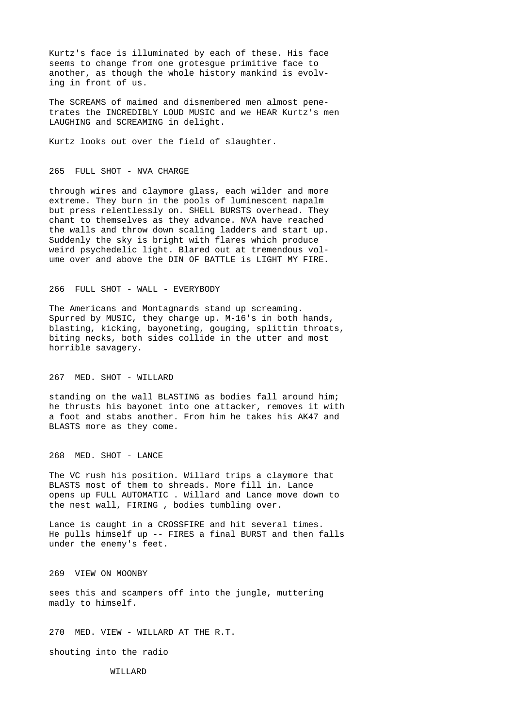Kurtz's face is illuminated by each of these. His face seems to change from one grotesgue primitive face to another, as though the whole history mankind is evolving in front of us.

The SCREAMS of maimed and dismembered men almost penetrates the INCREDIBLY LOUD MUSIC and we HEAR Kurtz's men LAUGHING and SCREAMING in delight.

Kurtz looks out over the field of slaughter.

#### 265 FULL SHOT - NVA CHARGE

through wires and claymore glass, each wilder and more extreme. They burn in the pools of luminescent napalm but press relentlessly on. SHELL BURSTS overhead. They chant to themselves as they advance. NVA have reached the walls and throw down scaling ladders and start up. Suddenly the sky is bright with flares which produce weird psychedelic light. Blared out at tremendous volume over and above the DIN OF BATTLE is LIGHT MY FIRE.

#### 266 FULL SHOT - WALL - EVERYBODY

The Americans and Montagnards stand up screaming. Spurred by MUSIC, they charge up. M-16's in both hands, blasting, kicking, bayoneting, gouging, splittin throats, biting necks, both sides collide in the utter and most horrible savagery.

#### 267 MED. SHOT - WILLARD

standing on the wall BLASTING as bodies fall around him; he thrusts his bayonet into one attacker, removes it with a foot and stabs another. From him he takes his AK47 and BLASTS more as they come.

268 MED. SHOT - LANCE

The VC rush his position. Willard trips a claymore that BLASTS most of them to shreads. More fill in. Lance opens up FULL AUTOMATIC . Willard and Lance move down to the nest wall, FIRING , bodies tumbling over.

Lance is caught in a CROSSFIRE and hit several times. He pulls himself up -- FIRES a final BURST and then falls under the enemy's feet.

269 VIEW ON MOONBY

sees this and scampers off into the jungle, muttering madly to himself.

270 MED. VIEW - WILLARD AT THE R.T.

shouting into the radio

WILLARD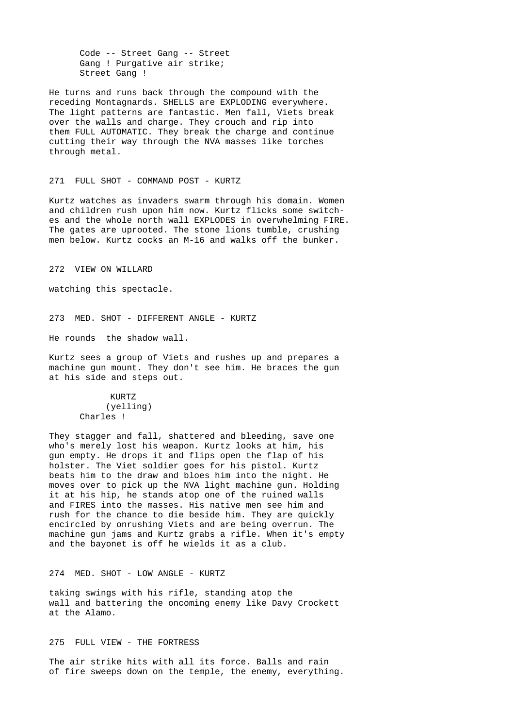Code -- Street Gang -- Street Gang ! Purgative air strike; Street Gang !

He turns and runs back through the compound with the receding Montagnards. SHELLS are EXPLODING everywhere. The light patterns are fantastic. Men fall, Viets break over the walls and charge. They crouch and rip into them FULL AUTOMATIC. They break the charge and continue cutting their way through the NVA masses like torches through metal.

271 FULL SHOT - COMMAND POST - KURTZ

Kurtz watches as invaders swarm through his domain. Women and children rush upon him now. Kurtz flicks some switches and the whole north wall EXPLODES in overwhelming FIRE. The gates are uprooted. The stone lions tumble, crushing men below. Kurtz cocks an M-16 and walks off the bunker.

272 VIEW ON WILLARD

watching this spectacle.

273 MED. SHOT - DIFFERENT ANGLE - KURTZ

He rounds the shadow wall.

Kurtz sees a group of Viets and rushes up and prepares a machine gun mount. They don't see him. He braces the gun at his side and steps out.

> KURTZ (yelling) Charles !

They stagger and fall, shattered and bleeding, save one who's merely lost his weapon. Kurtz looks at him, his gun empty. He drops it and flips open the flap of his holster. The Viet soldier goes for his pistol. Kurtz beats him to the draw and bloes him into the night. He moves over to pick up the NVA light machine gun. Holding it at his hip, he stands atop one of the ruined walls and FIRES into the masses. His native men see him and rush for the chance to die beside him. They are quickly encircled by onrushing Viets and are being overrun. The machine gun jams and Kurtz grabs a rifle. When it's empty and the bayonet is off he wields it as a club.

274 MED. SHOT - LOW ANGLE - KURTZ

taking swings with his rifle, standing atop the wall and battering the oncoming enemy like Davy Crockett at the Alamo.

275 FULL VIEW - THE FORTRESS

The air strike hits with all its force. Balls and rain of fire sweeps down on the temple, the enemy, everything.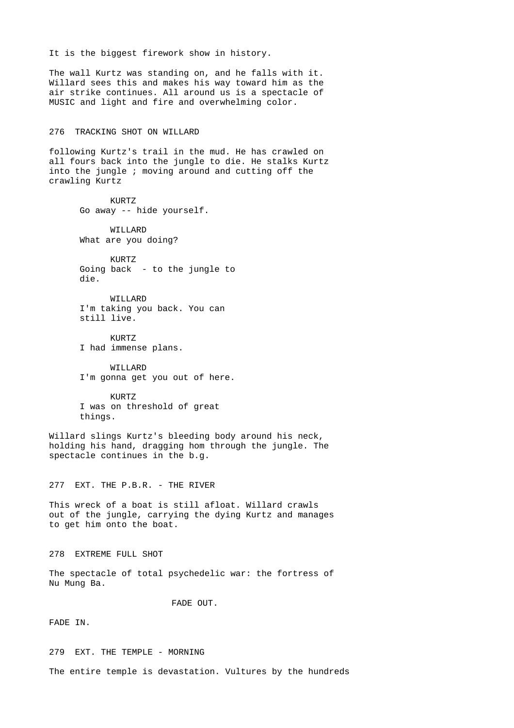It is the biggest firework show in history.

The wall Kurtz was standing on, and he falls with it. Willard sees this and makes his way toward him as the air strike continues. All around us is a spectacle of MUSIC and light and fire and overwhelming color.

# 276 TRACKING SHOT ON WILLARD

following Kurtz's trail in the mud. He has crawled on all fours back into the jungle to die. He stalks Kurtz into the jungle ; moving around and cutting off the crawling Kurtz

> KURTZ Go away -- hide yourself.

WILLARD What are you doing?

KURTZ Going back - to the jungle to die.

WILLARD I'm taking you back. You can still live.

KURTZ I had immense plans.

WILLARD I'm gonna get you out of here.

KURTZ I was on threshold of great things.

Willard slings Kurtz's bleeding body around his neck, holding his hand, dragging hom through the jungle. The spectacle continues in the b.g.

277 EXT. THE P.B.R. - THE RIVER

This wreck of a boat is still afloat. Willard crawls out of the jungle, carrying the dying Kurtz and manages to get him onto the boat.

278 EXTREME FULL SHOT

The spectacle of total psychedelic war: the fortress of Nu Mung Ba.

FADE OUT.

FADE IN.

279 EXT. THE TEMPLE - MORNING

The entire temple is devastation. Vultures by the hundreds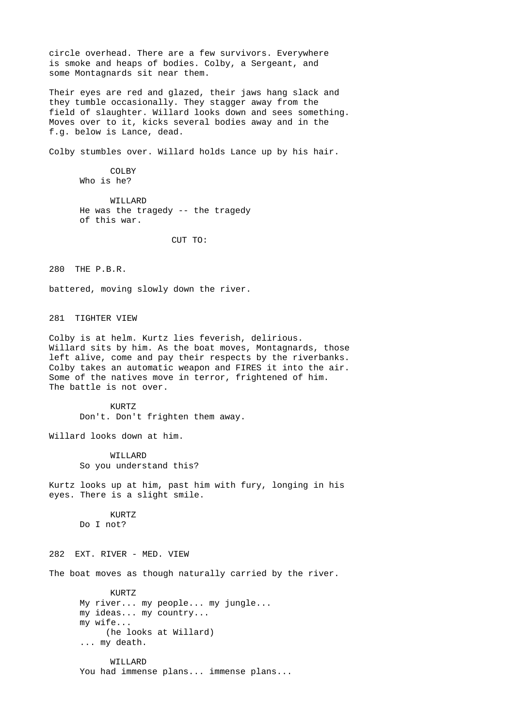circle overhead. There are a few survivors. Everywhere is smoke and heaps of bodies. Colby, a Sergeant, and some Montagnards sit near them.

Their eyes are red and glazed, their jaws hang slack and they tumble occasionally. They stagger away from the field of slaughter. Willard looks down and sees something. Moves over to it, kicks several bodies away and in the f.g. below is Lance, dead.

Colby stumbles over. Willard holds Lance up by his hair.

COL **RY** Who is he?

WILLARD He was the tragedy -- the tragedy of this war.

CUT TO:

280 THE P.B.R.

battered, moving slowly down the river.

281 TIGHTER VIEW

Colby is at helm. Kurtz lies feverish, delirious. Willard sits by him. As the boat moves, Montagnards, those left alive, come and pay their respects by the riverbanks. Colby takes an automatic weapon and FIRES it into the air. Some of the natives move in terror, frightened of him. The battle is not over.

> KURTZ Don't. Don't frighten them away.

Willard looks down at him.

WILLARD So you understand this?

Kurtz looks up at him, past him with fury, longing in his eyes. There is a slight smile.

> KURTZ Do I not?

282 EXT. RIVER - MED. VIEW

The boat moves as though naturally carried by the river.

KURTZ My river... my people... my jungle... my ideas... my country... my wife... (he looks at Willard) ... my death.

WILLARD You had immense plans... immense plans...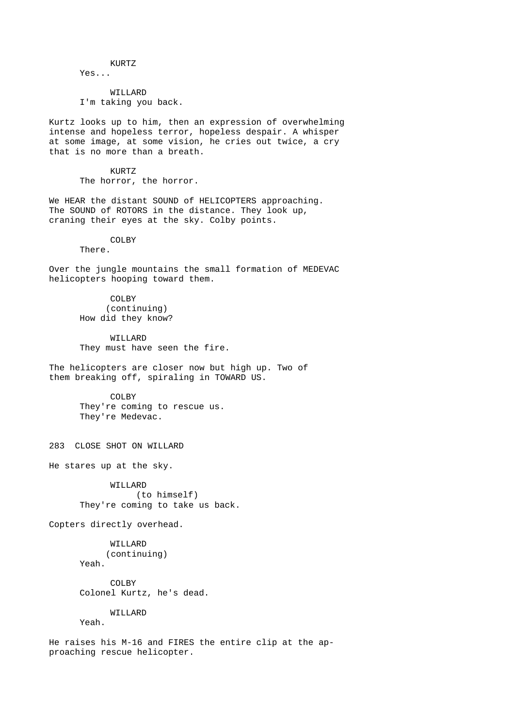# KURTZ

Yes...

**WILLARD** I'm taking you back.

Kurtz looks up to him, then an expression of overwhelming intense and hopeless terror, hopeless despair. A whisper at some image, at some vision, he cries out twice, a cry that is no more than a breath.

KURTZ The horror, the horror.

We HEAR the distant SOUND of HELICOPTERS approaching. The SOUND of ROTORS in the distance. They look up, craning their eyes at the sky. Colby points.

COLBY

There.

Over the jungle mountains the small formation of MEDEVAC helicopters hooping toward them.

> COLBY (continuing) How did they know?

WILL ARD They must have seen the fire.

The helicopters are closer now but high up. Two of them breaking off, spiraling in TOWARD US.

> COLBY They're coming to rescue us. They're Medevac.

283 CLOSE SHOT ON WILLARD

He stares up at the sky.

WILLARD (to himself) They're coming to take us back.

Copters directly overhead.

```
WILLARD
      (continuing)
Yeah.
```
COLBY Colonel Kurtz, he's dead.

WILLARD

Yeah.

He raises his M-16 and FIRES the entire clip at the approaching rescue helicopter.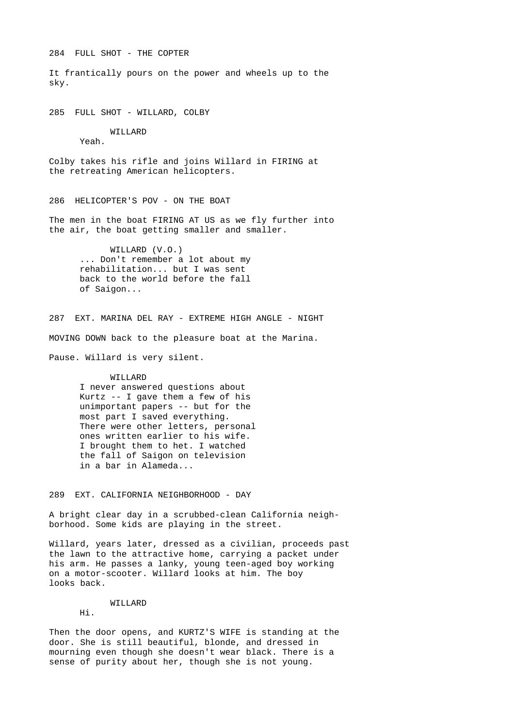284 FULL SHOT - THE COPTER

It frantically pours on the power and wheels up to the sky.

285 FULL SHOT - WILLARD, COLBY

WILLARD

Yeah.

Colby takes his rifle and joins Willard in FIRING at the retreating American helicopters.

286 HELICOPTER'S POV - ON THE BOAT

The men in the boat FIRING AT US as we fly further into the air, the boat getting smaller and smaller.

> WILLARD (V.O.) ... Don't remember a lot about my rehabilitation... but I was sent back to the world before the fall of Saigon...

287 EXT. MARINA DEL RAY - EXTREME HIGH ANGLE - NIGHT MOVING DOWN back to the pleasure boat at the Marina. Pause. Willard is very silent.

**WILLARD** 

I never answered questions about Kurtz -- I gave them a few of his unimportant papers -- but for the most part I saved everything. There were other letters, personal ones written earlier to his wife. I brought them to het. I watched the fall of Saigon on television in a bar in Alameda...

289 EXT. CALIFORNIA NEIGHBORHOOD - DAY

A bright clear day in a scrubbed-clean California neighborhood. Some kids are playing in the street.

Willard, years later, dressed as a civilian, proceeds past the lawn to the attractive home, carrying a packet under his arm. He passes a lanky, young teen-aged boy working on a motor-scooter. Willard looks at him. The boy looks back.

## WILLARD

Hi.

Then the door opens, and KURTZ'S WIFE is standing at the door. She is still beautiful, blonde, and dressed in mourning even though she doesn't wear black. There is a sense of purity about her, though she is not young.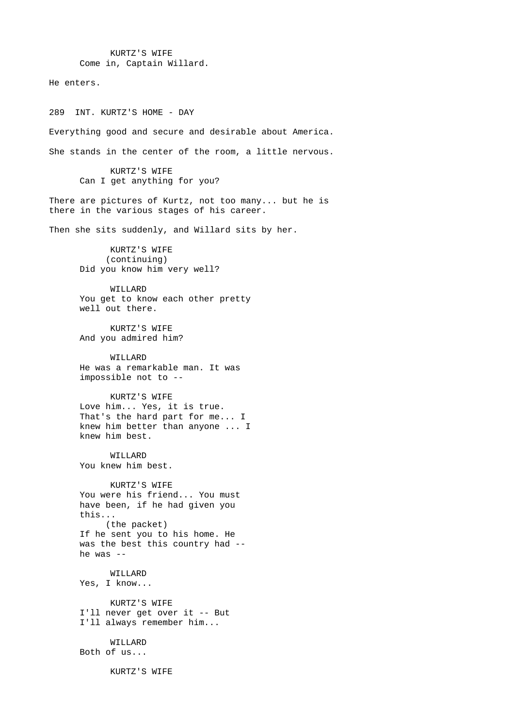## KURTZ'S WIFE Come in, Captain Willard.

He enters.

289 INT. KURTZ'S HOME - DAY

Everything good and secure and desirable about America.

She stands in the center of the room, a little nervous.

KURTZ'S WIFE Can I get anything for you?

There are pictures of Kurtz, not too many... but he is there in the various stages of his career.

Then she sits suddenly, and Willard sits by her.

KURTZ'S WIFE (continuing) Did you know him very well?

WILLARD You get to know each other pretty well out there.

KURTZ'S WIFE And you admired him?

**WILLARD** He was a remarkable man. It was impossible not to --

KURTZ'S WIFE Love him... Yes, it is true. That's the hard part for me... I knew him better than anyone ... I knew him best.

**WILLARD** You knew him best.

KURTZ'S WIFE You were his friend... You must have been, if he had given you this... (the packet) If he sent you to his home. He was the best this country had - he was --

WILLARD Yes, I know... KURTZ'S WIFE

I'll never get over it -- But I'll always remember him...

WILLARD Both of us...

KURTZ'S WIFE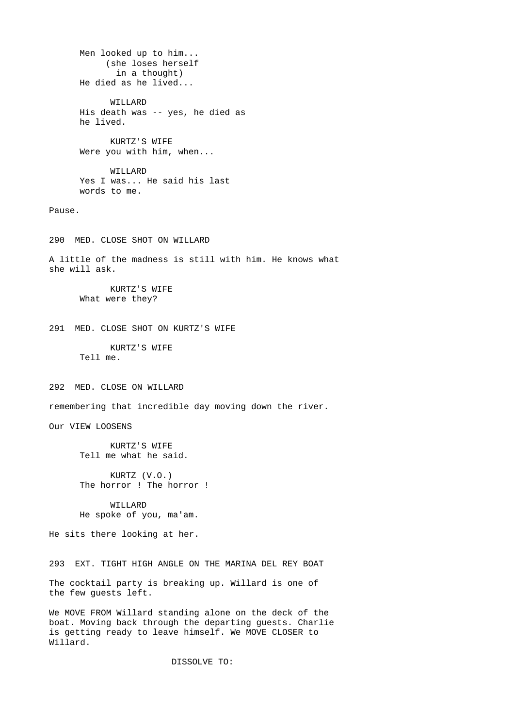Men looked up to him... (she loses herself in a thought) He died as he lived... **WILLARD** His death was -- yes, he died as he lived. KURTZ'S WIFE Were you with him, when... WILLARD Yes I was... He said his last words to me. Pause. 290 MED. CLOSE SHOT ON WILLARD A little of the madness is still with him. He knows what she will ask. KURTZ'S WIFE What were they? 291 MED. CLOSE SHOT ON KURTZ'S WIFE KURTZ'S WIFE Tell me. 292 MED. CLOSE ON WILLARD remembering that incredible day moving down the river. Our VIEW LOOSENS KURTZ'S WIFE Tell me what he said. KURTZ (V.O.) The horror ! The horror ! WILLARD He spoke of you, ma'am. He sits there looking at her. 293 EXT. TIGHT HIGH ANGLE ON THE MARINA DEL REY BOAT The cocktail party is breaking up. Willard is one of the few quests left. We MOVE FROM Willard standing alone on the deck of the boat. Moving back through the departing guests. Charlie

DISSOLVE TO:

is getting ready to leave himself. We MOVE CLOSER to

Willard.